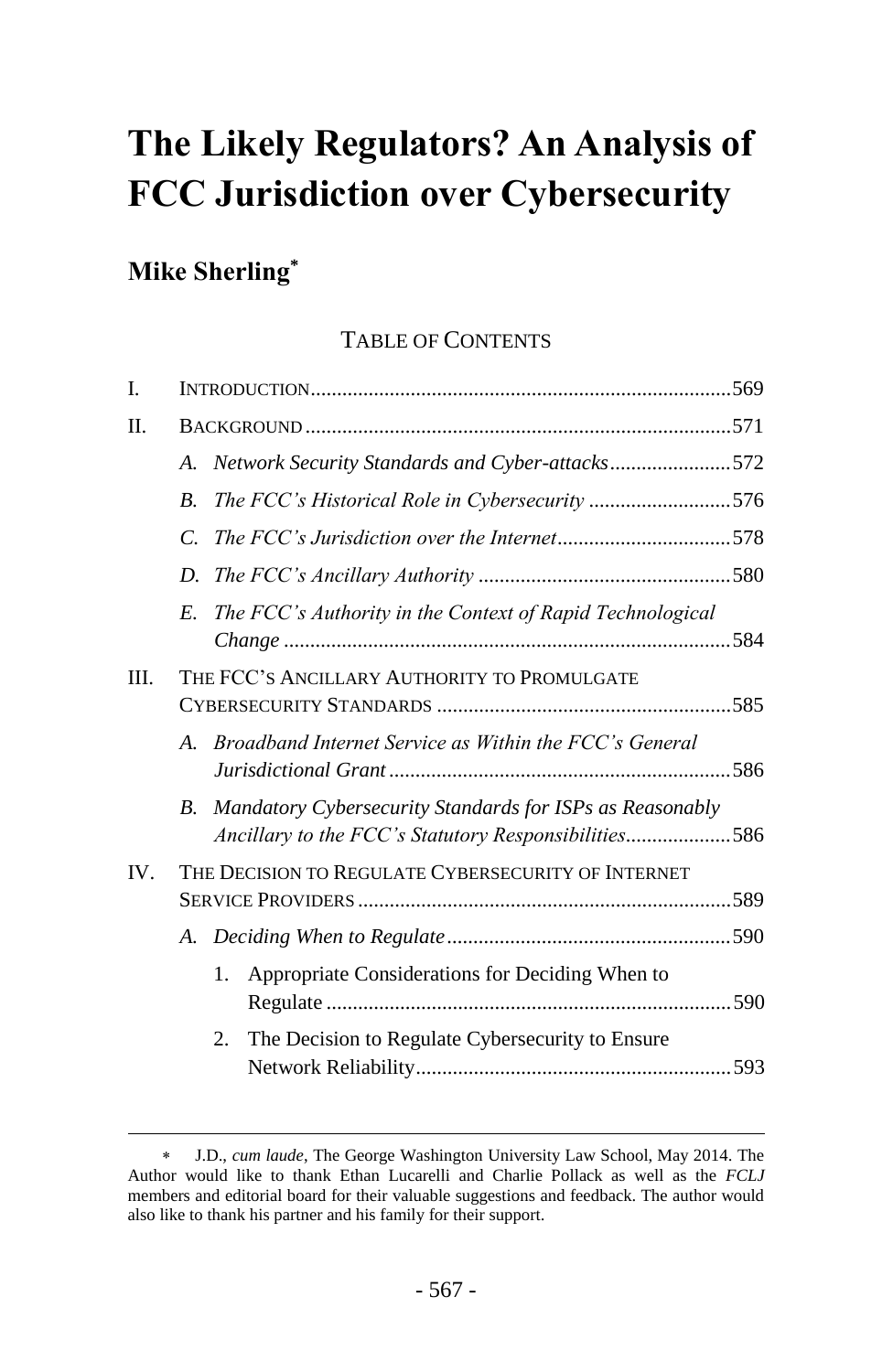# **The Likely Regulators? An Analysis of FCC Jurisdiction over Cybersecurity**

## **Mike Sherling\***

 $\overline{a}$ 

## TABLE OF CONTENTS

| I.  |                                                    |                                                                                                                  |  |  |  |
|-----|----------------------------------------------------|------------------------------------------------------------------------------------------------------------------|--|--|--|
| П.  |                                                    |                                                                                                                  |  |  |  |
|     | A.                                                 | Network Security Standards and Cyber-attacks572                                                                  |  |  |  |
|     | $\overline{B}$ .                                   | The FCC's Historical Role in Cybersecurity 576                                                                   |  |  |  |
|     | $\mathcal{C}$                                      |                                                                                                                  |  |  |  |
|     | D.                                                 |                                                                                                                  |  |  |  |
|     | $E_{\cdot}$                                        | The FCC's Authority in the Context of Rapid Technological                                                        |  |  |  |
| Ш.  | THE FCC'S ANCILLARY AUTHORITY TO PROMULGATE        |                                                                                                                  |  |  |  |
|     | $A_{\cdot}$                                        | Broadband Internet Service as Within the FCC's General                                                           |  |  |  |
|     | В.                                                 | Mandatory Cybersecurity Standards for ISPs as Reasonably<br>Ancillary to the FCC's Statutory Responsibilities586 |  |  |  |
| IV. | THE DECISION TO REGULATE CYBERSECURITY OF INTERNET |                                                                                                                  |  |  |  |
|     |                                                    |                                                                                                                  |  |  |  |
|     |                                                    | Appropriate Considerations for Deciding When to<br>1.                                                            |  |  |  |
|     |                                                    | The Decision to Regulate Cybersecurity to Ensure<br>2.                                                           |  |  |  |

J.D., *cum laude*, The George Washington University Law School, May 2014. The Author would like to thank Ethan Lucarelli and Charlie Pollack as well as the *FCLJ* members and editorial board for their valuable suggestions and feedback. The author would also like to thank his partner and his family for their support.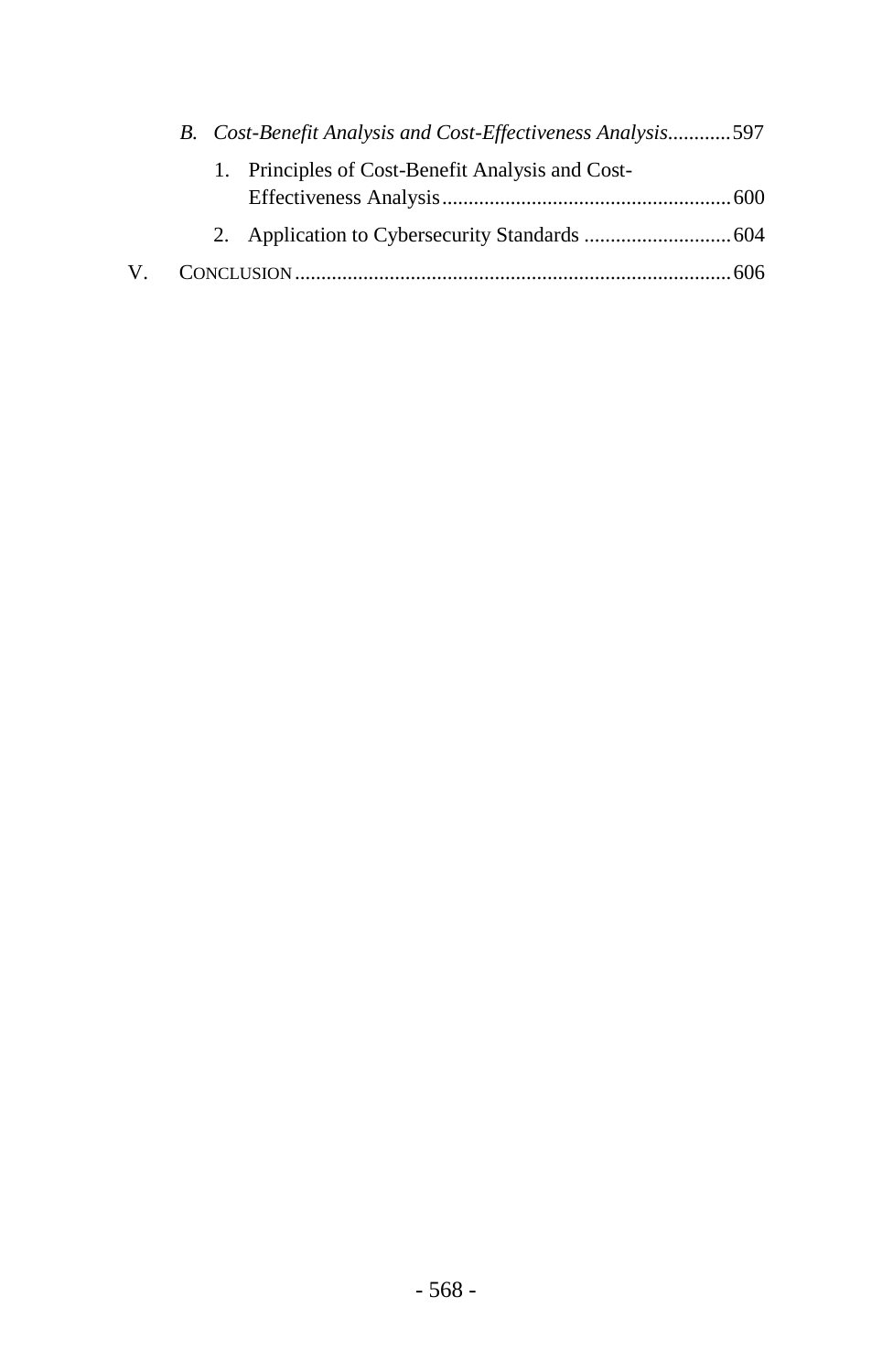|    | B. Cost-Benefit Analysis and Cost-Effectiveness Analysis597 |                                                  |  |  |
|----|-------------------------------------------------------------|--------------------------------------------------|--|--|
|    |                                                             | 1. Principles of Cost-Benefit Analysis and Cost- |  |  |
|    |                                                             |                                                  |  |  |
|    |                                                             |                                                  |  |  |
| V. |                                                             |                                                  |  |  |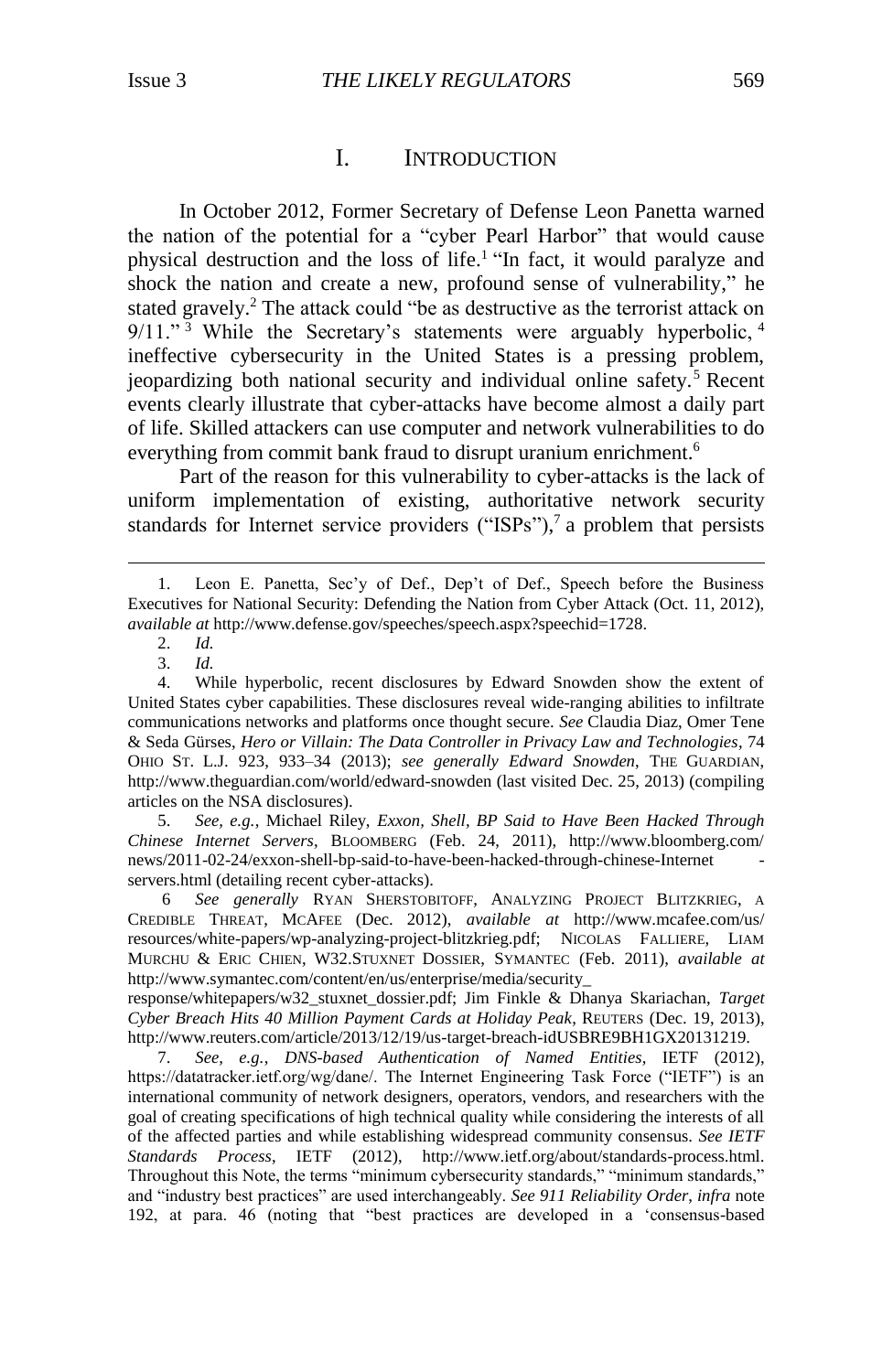## <span id="page-2-1"></span>I. INTRODUCTION

<span id="page-2-0"></span>In October 2012, Former Secretary of Defense Leon Panetta warned the nation of the potential for a "cyber Pearl Harbor" that would cause physical destruction and the loss of life.<sup>1</sup> "In fact, it would paralyze and shock the nation and create a new, profound sense of vulnerability," he stated gravely.<sup>2</sup> The attack could "be as destructive as the terrorist attack on  $9/11.^{3}$  While the Secretary's statements were arguably hyperbolic,  $4$ ineffective cybersecurity in the United States is a pressing problem, jeopardizing both national security and individual online safety.<sup>5</sup> Recent events clearly illustrate that cyber-attacks have become almost a daily part of life. Skilled attackers can use computer and network vulnerabilities to do everything from commit bank fraud to disrupt uranium enrichment.<sup>6</sup>

Part of the reason for this vulnerability to cyber-attacks is the lack of uniform implementation of existing, authoritative network security standards for Internet service providers ("ISPs"),<sup>7</sup> a problem that persists

2. *Id.*

 $\overline{a}$ 

3. *Id.*

5. *See, e.g.*, Michael Riley, *Exxon, Shell, BP Said to Have Been Hacked Through Chinese Internet Servers*, BLOOMBERG (Feb. 24, 2011), http://www.bloomberg.com/ news/2011-02-24/exxon-shell-bp-said-to-have-been-hacked-through-chinese-Internet servers.html (detailing recent cyber-attacks).

6 *See generally* RYAN SHERSTOBITOFF, ANALYZING PROJECT BLITZKRIEG, A CREDIBLE THREAT, MCAFEE (Dec. 2012), *available at* http://www.mcafee.com/us/ resources/white-papers/wp-analyzing-project-blitzkrieg.pdf; NICOLAS FALLIERE, LIAM MURCHU & ERIC CHIEN, W32.STUXNET DOSSIER, SYMANTEC (Feb. 2011), *available at*  http://www.symantec.com/content/en/us/enterprise/media/security\_

response/whitepapers/w32\_stuxnet\_dossier.pdf; Jim Finkle & Dhanya Skariachan, *Target Cyber Breach Hits 40 Million Payment Cards at Holiday Peak*, REUTERS (Dec. 19, 2013), http://www.reuters.com/article/2013/12/19/us-target-breach-idUSBRE9BH1GX20131219.

7. *See, e.g.*, *DNS-based Authentication of Named Entities*, IETF (2012), https://datatracker.ietf.org/wg/dane/. The Internet Engineering Task Force ("IETF") is an international community of network designers, operators, vendors, and researchers with the goal of creating specifications of high technical quality while considering the interests of all of the affected parties and while establishing widespread community consensus. *See IETF Standards Process*, IETF (2012), http://www.ietf.org/about/standards-process.html. Throughout this Note, the terms "minimum cybersecurity standards," "minimum standards," and "industry best practices" are used interchangeably. *See 911 Reliability Order*, *infra* note [192,](#page-26-1) at para. 46 (noting that "best practices are developed in a 'consensus-based

Leon E. Panetta, Sec'y of Def., Dep't of Def., Speech before the Business Executives for National Security: Defending the Nation from Cyber Attack (Oct. 11, 2012), *available at* http://www.defense.gov/speeches/speech.aspx?speechid=1728.

<sup>4.</sup> While hyperbolic, recent disclosures by Edward Snowden show the extent of United States cyber capabilities. These disclosures reveal wide-ranging abilities to infiltrate communications networks and platforms once thought secure. *See* Claudia Diaz, Omer Tene & Seda Gürses, *Hero or Villain: The Data Controller in Privacy Law and Technologies*, 74 OHIO ST. L.J. 923, 933–34 (2013); *see generally Edward Snowden*, THE GUARDIAN, http://www.theguardian.com/world/edward-snowden (last visited Dec. 25, 2013) (compiling articles on the NSA disclosures).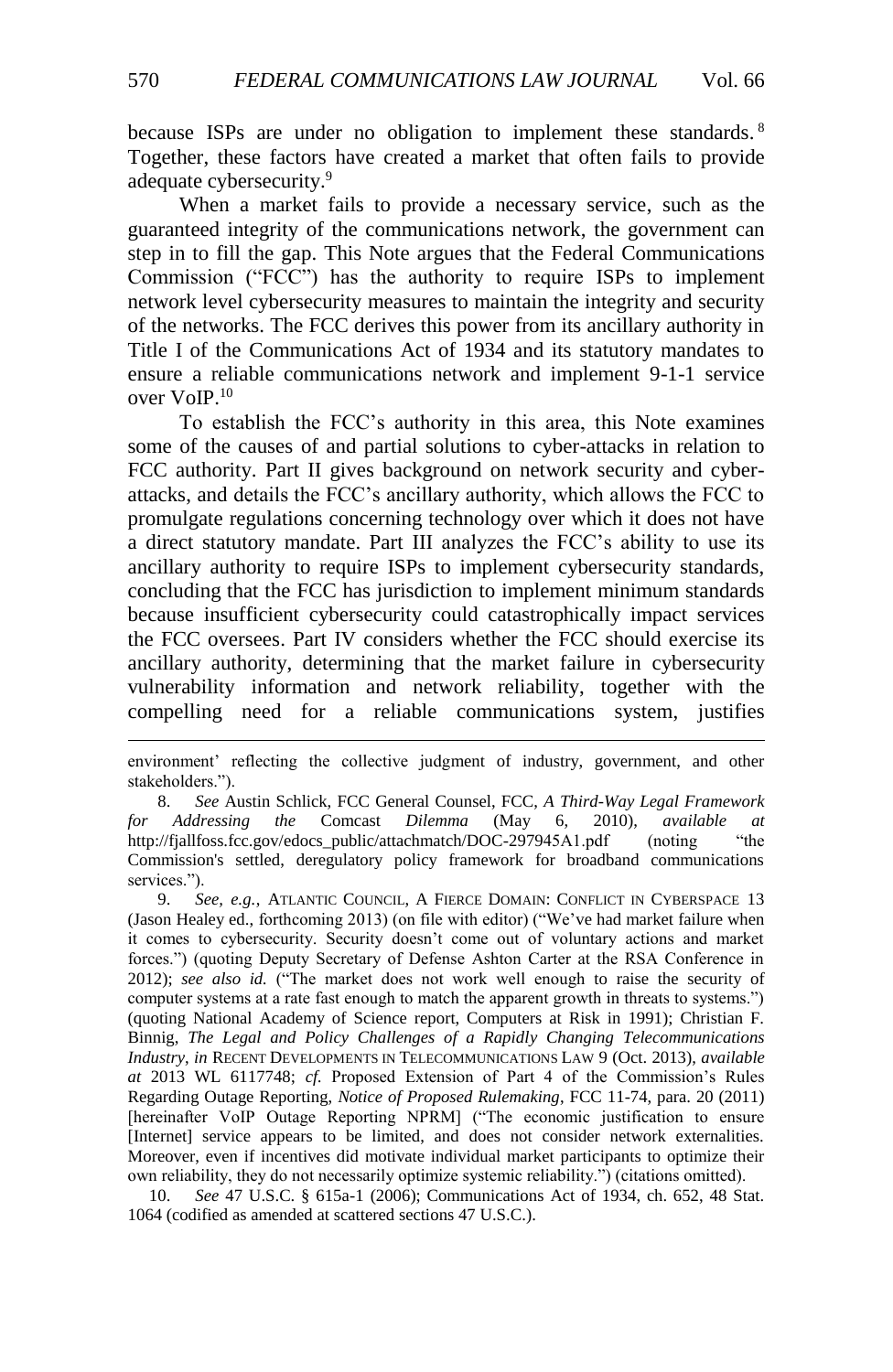because ISPs are under no obligation to implement these standards.<sup>8</sup> Together, these factors have created a market that often fails to provide adequate cybersecurity.<sup>9</sup>

<span id="page-3-0"></span>When a market fails to provide a necessary service, such as the guaranteed integrity of the communications network, the government can step in to fill the gap. This Note argues that the Federal Communications Commission ("FCC") has the authority to require ISPs to implement network level cybersecurity measures to maintain the integrity and security of the networks. The FCC derives this power from its ancillary authority in Title I of the Communications Act of 1934 and its statutory mandates to ensure a reliable communications network and implement 9-1-1 service over VoIP.<sup>10</sup>

To establish the FCC's authority in this area, this Note examines some of the causes of and partial solutions to cyber-attacks in relation to FCC authority. Part II gives background on network security and cyberattacks, and details the FCC's ancillary authority, which allows the FCC to promulgate regulations concerning technology over which it does not have a direct statutory mandate. Part III analyzes the FCC's ability to use its ancillary authority to require ISPs to implement cybersecurity standards, concluding that the FCC has jurisdiction to implement minimum standards because insufficient cybersecurity could catastrophically impact services the FCC oversees. Part IV considers whether the FCC should exercise its ancillary authority, determining that the market failure in cybersecurity vulnerability information and network reliability, together with the compelling need for a reliable communications system, justifies

8. *See* Austin Schlick, FCC General Counsel, FCC, *A Third-Way Legal Framework for Addressing the* Comcast *Dilemma* (May 6, 2010), *available at* http://fjallfoss.fcc.gov/edocs\_public/attachmatch/DOC-297945A1.pdf (noting "the Commission's settled, deregulatory policy framework for broadband communications services.").

9. *See, e.g.*, ATLANTIC COUNCIL, A FIERCE DOMAIN: CONFLICT IN CYBERSPACE 13 (Jason Healey ed., forthcoming 2013) (on file with editor) ("We've had market failure when it comes to cybersecurity. Security doesn't come out of voluntary actions and market forces.") (quoting Deputy Secretary of Defense Ashton Carter at the RSA Conference in 2012); *see also id.* ("The market does not work well enough to raise the security of computer systems at a rate fast enough to match the apparent growth in threats to systems.") (quoting National Academy of Science report, Computers at Risk in 1991); Christian F. Binnig, *The Legal and Policy Challenges of a Rapidly Changing Telecommunications Industry*, *in* RECENT DEVELOPMENTS IN TELECOMMUNICATIONS LAW 9 (Oct. 2013), *available at* 2013 WL 6117748; *cf.* Proposed Extension of Part 4 of the Commission's Rules Regarding Outage Reporting, *Notice of Proposed Rulemaking*, FCC 11-74, para. 20 (2011) [hereinafter VoIP Outage Reporting NPRM] ("The economic justification to ensure [Internet] service appears to be limited, and does not consider network externalities. Moreover, even if incentives did motivate individual market participants to optimize their own reliability, they do not necessarily optimize systemic reliability.") (citations omitted).

10. *See* 47 U.S.C. § 615a-1 (2006); Communications Act of 1934, ch. 652, 48 Stat. 1064 (codified as amended at scattered sections 47 U.S.C.).

environment' reflecting the collective judgment of industry, government, and other stakeholders.").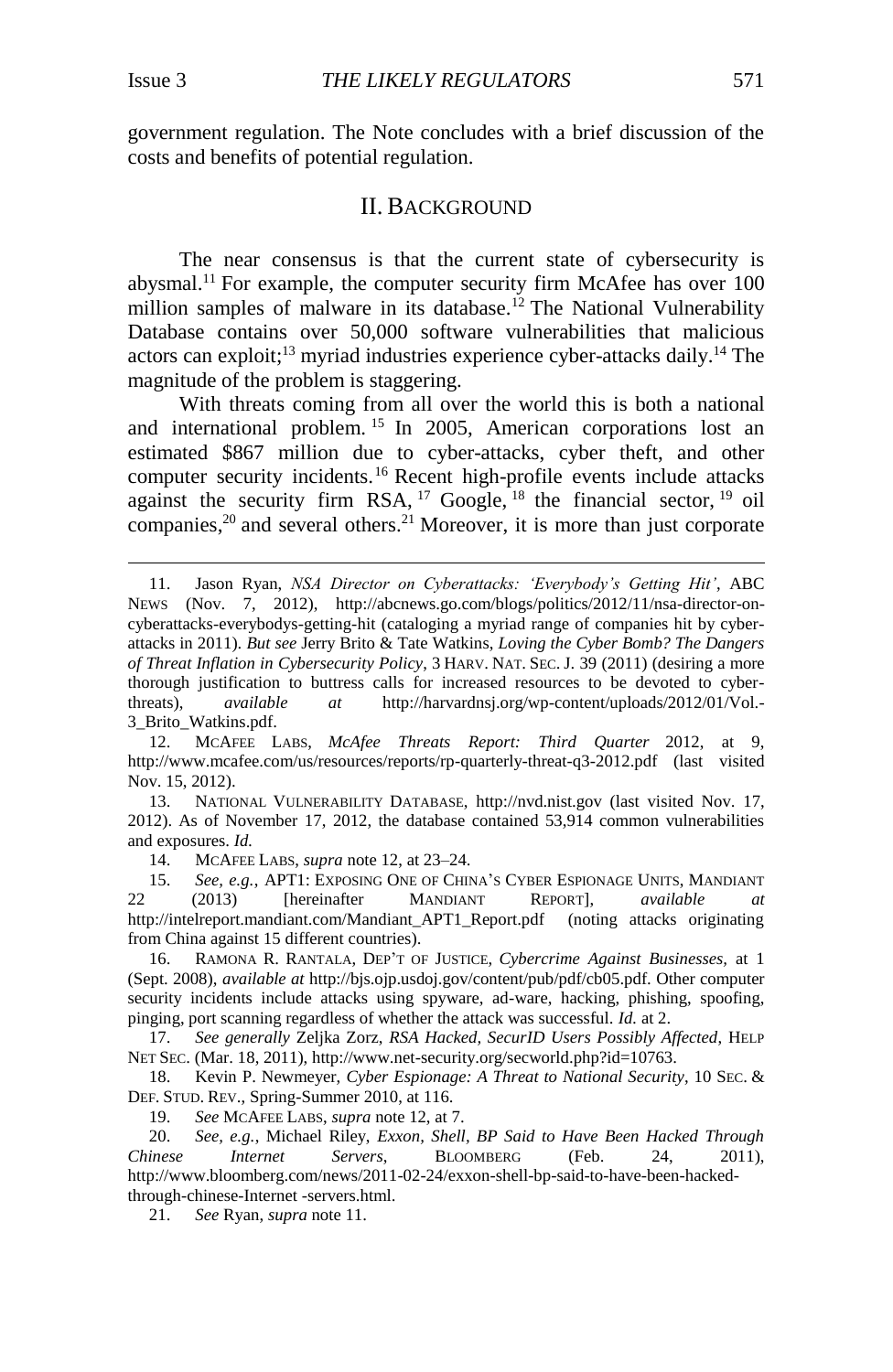$\overline{a}$ 

government regulation. The Note concludes with a brief discussion of the costs and benefits of potential regulation.

## <span id="page-4-3"></span><span id="page-4-1"></span>II. BACKGROUND

<span id="page-4-2"></span><span id="page-4-0"></span>The near consensus is that the current state of cybersecurity is abysmal.<sup>11</sup> For example, the computer security firm McAfee has over 100 million samples of malware in its database.<sup>12</sup> The National Vulnerability Database contains over 50,000 software vulnerabilities that malicious actors can exploit;<sup>13</sup> myriad industries experience cyber-attacks daily.<sup>14</sup> The magnitude of the problem is staggering.

With threats coming from all over the world this is both a national and international problem. <sup>15</sup> In 2005, American corporations lost an estimated \$867 million due to cyber-attacks, cyber theft, and other computer security incidents.<sup>16</sup> Recent high-profile events include attacks against the security firm RSA,  $17$  Google,  $18$  the financial sector,  $19$  oil companies,<sup>20</sup> and several others.<sup>21</sup> Moreover, it is more than just corporate

13. NATIONAL VULNERABILITY DATABASE, http://nvd.nist.gov (last visited Nov. 17, 2012). As of November 17, 2012, the database contained 53,914 common vulnerabilities and exposures. *Id.*

14. MCAFEE LABS, *supra* note [12,](#page-4-1) at 23–24.

15. *See, e.g.*, APT1: EXPOSING ONE OF CHINA'S CYBER ESPIONAGE UNITS, MANDIANT 22 (2013) [hereinafter MANDIANT REPORT], *available at*  http://intelreport.mandiant.com/Mandiant\_APT1\_Report.pdf (noting attacks originating from China against 15 different countries).

16. RAMONA R. RANTALA, DEP'T OF JUSTICE, *Cybercrime Against Businesses,* at 1 (Sept. 2008), *available at* [http://bjs.ojp.usdoj.gov/content/pub/](http://bjs.ojp.usdoj.gov/content/pub)pdf/cb05.pdf. Other computer security incidents include attacks using spyware, ad-ware, hacking, phishing, spoofing, pinging, port scanning regardless of whether the attack was successful. *Id.* at 2.

17. *See generally* Zeljka Zorz, *RSA Hacked, SecurID Users Possibly Affected*, HELP NET SEC. (Mar. 18, 2011), http://www.net-security.org/secworld.php?id=10763.

18. Kevin P. Newmeyer, *Cyber Espionage: A Threat to National Security*, 10 SEC. & DEF. STUD. REV., Spring-Summer 2010, at 116.

19. *See* MCAFEE LABS, *supra* not[e 12,](#page-4-1) at 7.

20. *See, e.g.*, Michael Riley, *Exxon, Shell, BP Said to Have Been Hacked Through Chinese Internet Servers*, BLOOMBERG (Feb. 24, 2011), http://www.bloomberg.com/news/2011-02-24/exxon-shell-bp-said-to-have-been-hackedthrough-chinese-Internet -servers.html.

21. *See* Ryan, *supra* note [11.](#page-4-2)

<sup>11.</sup> Jason Ryan, *NSA Director on Cyberattacks: 'Everybody's Getting Hit'*, ABC NEWS (Nov. 7, 2012), [http://abcnews.go.com/blogs/politics/2012/11/nsa-director-on](http://abcnews.go.com/blogs/politics/2012/11/nsa-director-on-cyberattacks-everybodys-getting-hit)[cyberattacks-everybodys-getting-hit](http://abcnews.go.com/blogs/politics/2012/11/nsa-director-on-cyberattacks-everybodys-getting-hit) (cataloging a myriad range of companies hit by cyberattacks in 2011). *But see* Jerry Brito & Tate Watkins, *Loving the Cyber Bomb? The Dangers of Threat Inflation in Cybersecurity Policy*, 3 HARV. NAT. SEC. J. 39 (2011) (desiring a more thorough justification to buttress calls for increased resources to be devoted to cyberthreats), *available at* [http://harvardnsj.org/wp-content/uploads/2012/01/Vol.-](http://harvardnsj.org/wp-content/uploads/2012/01/Vol.-3_Brito_Watkins.pdf) [3\\_Brito\\_Watkins.pdf.](http://harvardnsj.org/wp-content/uploads/2012/01/Vol.-3_Brito_Watkins.pdf)

<sup>12.</sup> MCAFEE LABS, *McAfee Threats Report: Third Quarter* 2012, at 9, <http://www.mcafee.com/us/resources/reports/rp-quarterly-threat-q3-2012.pdf> (last visited Nov. 15, 2012).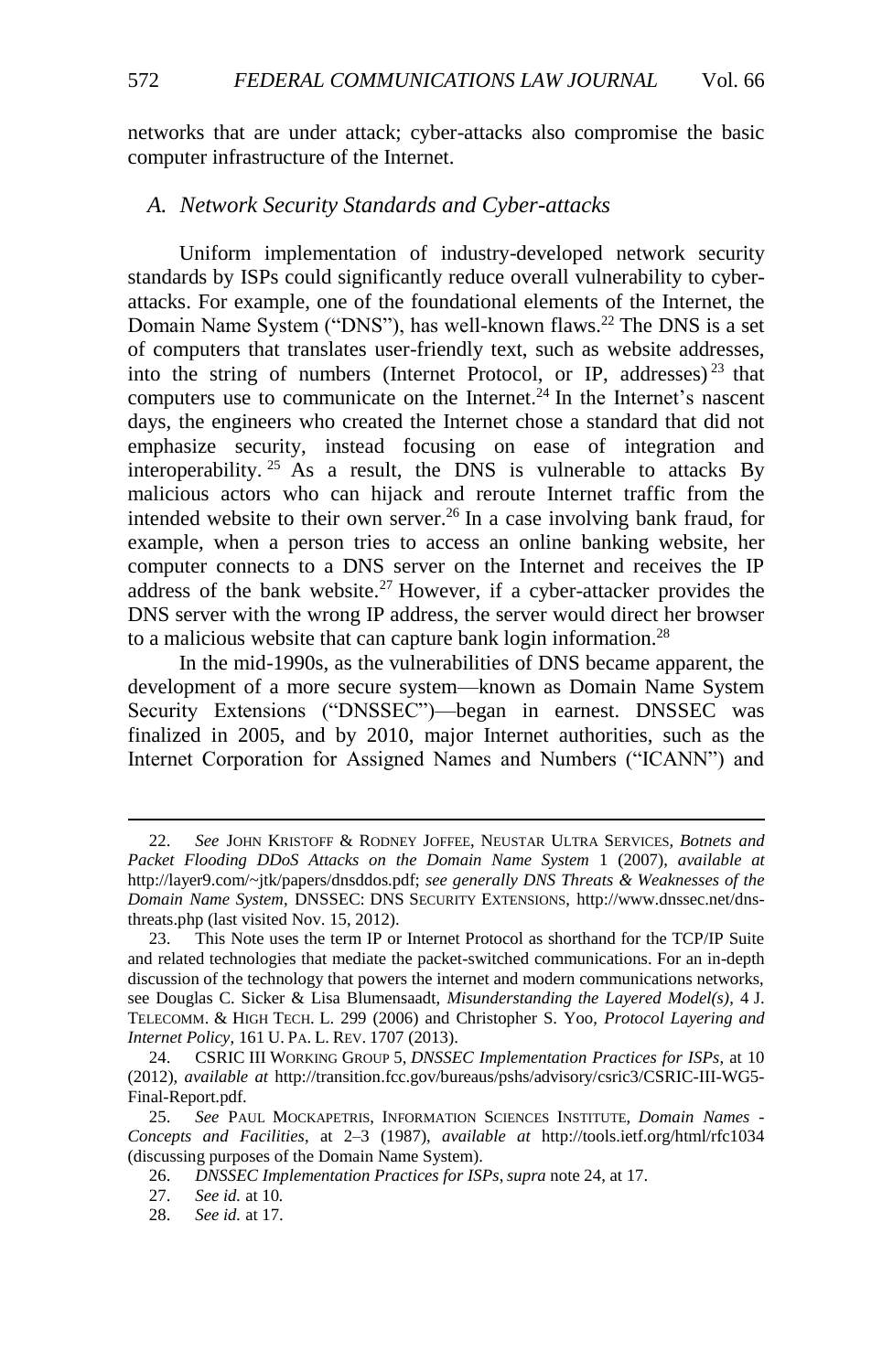networks that are under attack; cyber-attacks also compromise the basic computer infrastructure of the Internet.

#### <span id="page-5-0"></span>*A. Network Security Standards and Cyber-attacks*

<span id="page-5-1"></span>Uniform implementation of industry-developed network security standards by ISPs could significantly reduce overall vulnerability to cyberattacks. For example, one of the foundational elements of the Internet, the Domain Name System ("DNS"), has well-known flaws.<sup>22</sup> The DNS is a set of computers that translates user-friendly text, such as website addresses, into the string of numbers (Internet Protocol, or IP, addresses)<sup>23</sup> that computers use to communicate on the Internet.<sup>24</sup> In the Internet's nascent days, the engineers who created the Internet chose a standard that did not emphasize security, instead focusing on ease of integration and interoperability.<sup>25</sup> As a result, the DNS is vulnerable to attacks By malicious actors who can hijack and reroute Internet traffic from the intended website to their own server.<sup>26</sup> In a case involving bank fraud, for example, when a person tries to access an online banking website, her computer connects to a DNS server on the Internet and receives the IP address of the bank website.<sup>27</sup> However, if a cyber-attacker provides the DNS server with the wrong IP address, the server would direct her browser to a malicious website that can capture bank login information.<sup>28</sup>

In the mid-1990s, as the vulnerabilities of DNS became apparent, the development of a more secure system—known as Domain Name System Security Extensions ("DNSSEC")—began in earnest. DNSSEC was finalized in 2005, and by 2010, major Internet authorities, such as the Internet Corporation for Assigned Names and Numbers ("ICANN") and

<sup>22.</sup> *See* JOHN KRISTOFF & RODNEY JOFFEE, NEUSTAR ULTRA SERVICES, *Botnets and Packet Flooding DDoS Attacks on the Domain Name System* 1 (2007), *available at* http://layer9.com/~jtk/papers/dnsddos.pdf; *see generally DNS Threats & Weaknesses of the Domain Name System*, DNSSEC: DNS SECURITY EXTENSIONS, http://www.dnssec.net/dnsthreats.php (last visited Nov. 15, 2012).

<sup>23.</sup> This Note uses the term IP or Internet Protocol as shorthand for the TCP/IP Suite and related technologies that mediate the packet-switched communications. For an in-depth discussion of the technology that powers the internet and modern communications networks, see Douglas C. Sicker & Lisa Blumensaadt, *Misunderstanding the Layered Model(s)*, 4 J. TELECOMM. & HIGH TECH. L. 299 (2006) and Christopher S. Yoo, *Protocol Layering and Internet Policy*, 161 U. PA. L. REV. 1707 (2013).

<sup>24.</sup> CSRIC III WORKING GROUP 5, *DNSSEC Implementation Practices for ISPs*, at 10 (2012), *available at* http://transition.fcc.gov/bureaus/pshs/advisory/csric3/CSRIC-III-WG5- Final-Report.pdf.

<sup>25.</sup> *See* PAUL MOCKAPETRIS, INFORMATION SCIENCES INSTITUTE, *Domain Names - Concepts and Facilities*, at 2–3 (1987), *available at* http://tools.ietf.org/html/rfc1034 (discussing purposes of the Domain Name System).

<sup>26.</sup> *DNSSEC Implementation Practices for ISPs*,*supra* not[e 24,](#page-5-1) at 17.

<sup>27.</sup> *See id.* at 10*.*

<sup>28.</sup> *See id.* at 17.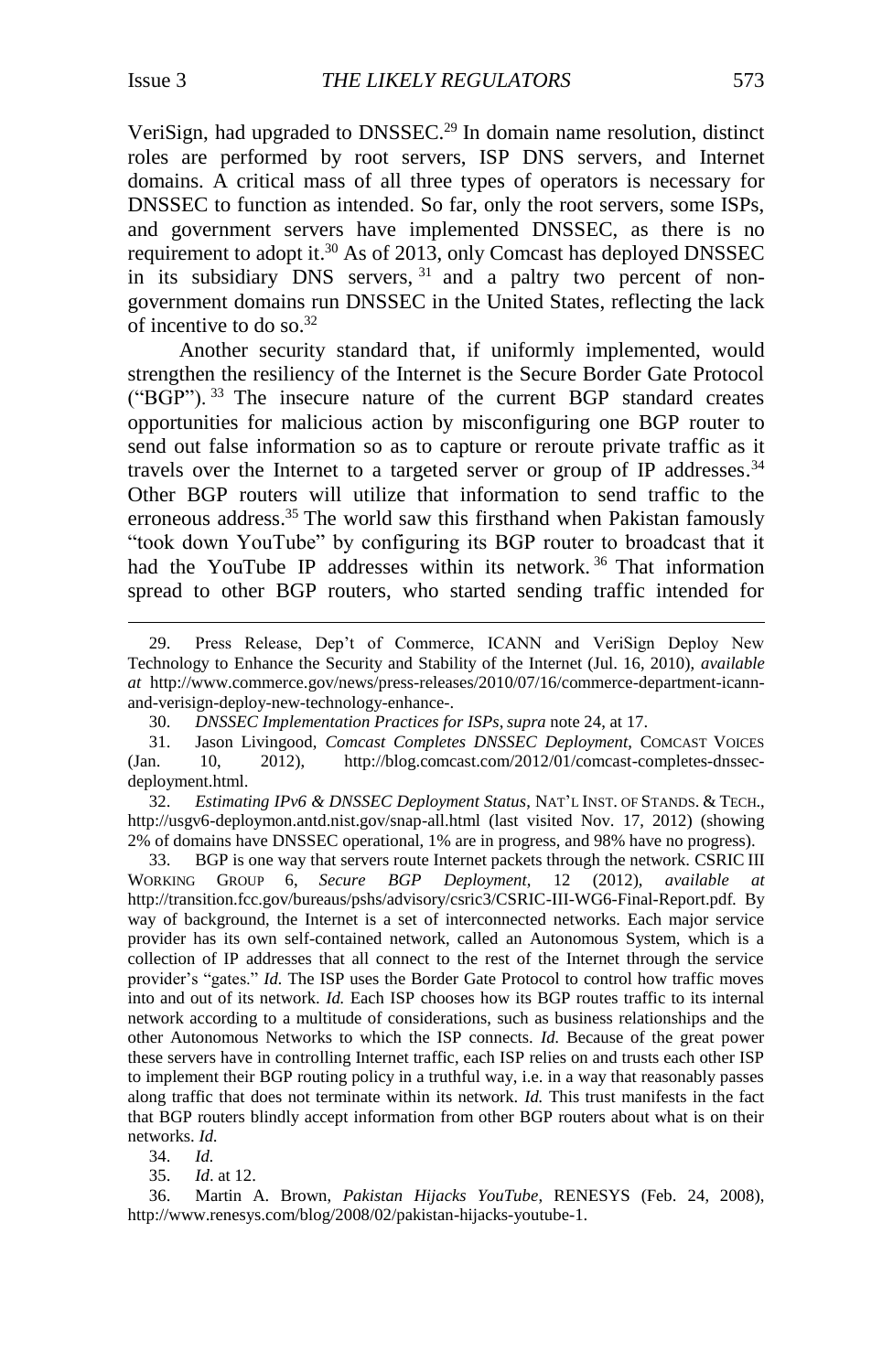<span id="page-6-0"></span> $\overline{a}$ 

VeriSign, had upgraded to DNSSEC. <sup>29</sup> In domain name resolution, distinct roles are performed by root servers, ISP DNS servers, and Internet domains. A critical mass of all three types of operators is necessary for DNSSEC to function as intended. So far, only the root servers, some ISPs, and government servers have implemented DNSSEC, as there is no requirement to adopt it.<sup>30</sup> As of 2013, only Comcast has deployed DNSSEC in its subsidiary DNS servers,  $31$  and a paltry two percent of nongovernment domains run DNSSEC in the United States, reflecting the lack of incentive to do so. 32

Another security standard that, if uniformly implemented, would strengthen the resiliency of the Internet is the Secure Border Gate Protocol ("BGP"). <sup>33</sup> The insecure nature of the current BGP standard creates opportunities for malicious action by misconfiguring one BGP router to send out false information so as to capture or reroute private traffic as it travels over the Internet to a targeted server or group of IP addresses.<sup>34</sup> Other BGP routers will utilize that information to send traffic to the erroneous address.<sup>35</sup> The world saw this firsthand when Pakistan famously "took down YouTube" by configuring its BGP router to broadcast that it had the YouTube IP addresses within its network.<sup>36</sup> That information spread to other BGP routers, who started sending traffic intended for

32. *Estimating IPv6 & DNSSEC Deployment Status*, NAT'L INST. OF STANDS. & TECH., http://usgv6-deploymon.antd.nist.gov/snap-all.html (last visited Nov. 17, 2012) (showing 2% of domains have DNSSEC operational, 1% are in progress, and 98% have no progress).

33. BGP is one way that servers route Internet packets through the network. CSRIC III WORKING GROUP 6, *Secure BGP Deployment*, 12 (2012), *available at* http://transition.fcc.gov/bureaus/pshs/advisory/csric3/CSRIC-III-WG6-Final-Report.pdf*.* By way of background, the Internet is a set of interconnected networks. Each major service provider has its own self-contained network, called an Autonomous System, which is a collection of IP addresses that all connect to the rest of the Internet through the service provider's "gates." *Id.* The ISP uses the Border Gate Protocol to control how traffic moves into and out of its network. *Id.* Each ISP chooses how its BGP routes traffic to its internal network according to a multitude of considerations, such as business relationships and the other Autonomous Networks to which the ISP connects. *Id.* Because of the great power these servers have in controlling Internet traffic, each ISP relies on and trusts each other ISP to implement their BGP routing policy in a truthful way, i.e. in a way that reasonably passes along traffic that does not terminate within its network. *Id.* This trust manifests in the fact that BGP routers blindly accept information from other BGP routers about what is on their networks. *Id.*

34. *Id.*

35. *Id*. at 12.

36. Martin A. Brown, *Pakistan Hijacks YouTube*, RENESYS (Feb. 24, 2008), http://www.renesys.com/blog/2008/02/pakistan-hijacks-youtube-1.

<sup>29.</sup> Press Release, Dep't of Commerce, ICANN and VeriSign Deploy New Technology to Enhance the Security and Stability of the Internet (Jul. 16, 2010), *available at* [http://www.commerce.gov/news/press-releases/2010/07/16/commerce-](http://www.commerce.gov/news/press-releases/2010/07/16/commerce)department-icannand-verisign-deploy-new-technology-enhance-.

<sup>30.</sup> *DNSSEC Implementation Practices for ISPs*,*supra* note 24, at 17.

<sup>31.</sup> Jason Livingood, *Comcast Completes DNSSEC Deployment*, COMCAST VOICES (Jan. 10, 2012), http://blog.comcast.com/2012/01/comcast-completes-dnssecdeployment.html.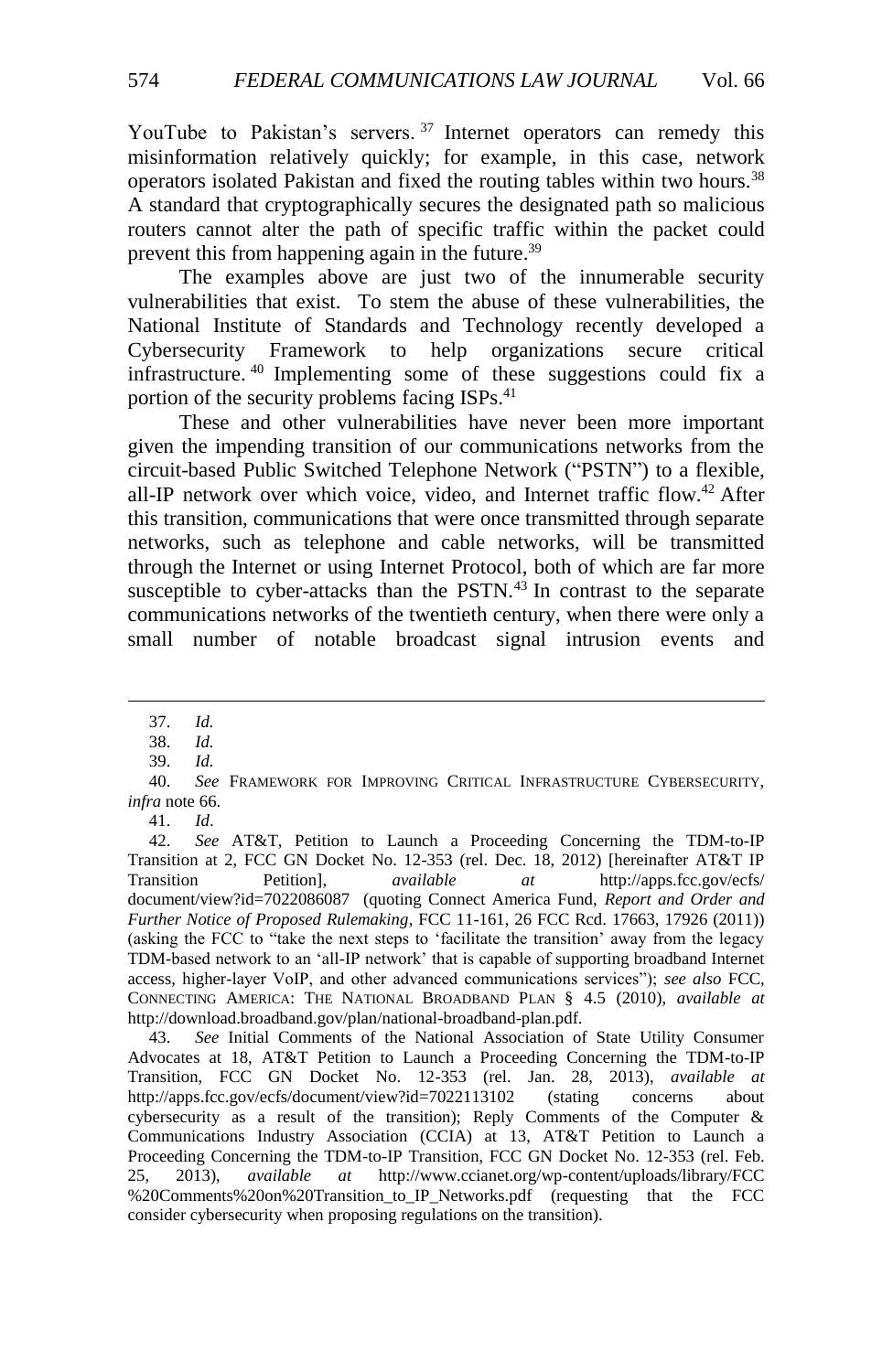YouTube to Pakistan's servers.<sup>37</sup> Internet operators can remedy this misinformation relatively quickly; for example, in this case, network operators isolated Pakistan and fixed the routing tables within two hours.<sup>38</sup> A standard that cryptographically secures the designated path so malicious routers cannot alter the path of specific traffic within the packet could prevent this from happening again in the future.<sup>39</sup>

The examples above are just two of the innumerable security vulnerabilities that exist. To stem the abuse of these vulnerabilities, the National Institute of Standards and Technology recently developed a Cybersecurity Framework to help organizations secure critical infrastructure. <sup>40</sup> Implementing some of these suggestions could fix a portion of the security problems facing ISPs.<sup>41</sup>

<span id="page-7-0"></span>These and other vulnerabilities have never been more important given the impending transition of our communications networks from the circuit-based Public Switched Telephone Network ("PSTN") to a flexible, all-IP network over which voice, video, and Internet traffic flow.<sup>42</sup> After this transition, communications that were once transmitted through separate networks, such as telephone and cable networks, will be transmitted through the Internet or using Internet Protocol, both of which are far more susceptible to cyber-attacks than the PSTN.<sup>43</sup> In contrast to the separate communications networks of the twentieth century, when there were only a small number of notable broadcast signal intrusion events and

 $\overline{a}$ 

38. *Id.*

41. *Id*.

43. *See* Initial Comments of the National Association of State Utility Consumer Advocates at 18, AT&T Petition to Launch a Proceeding Concerning the TDM-to-IP Transition, FCC GN Docket No. 12-353 (rel. Jan. 28, 2013), *available at*  http://apps.fcc.gov/ecfs/document/view?id=7022113102 (stating concerns about cybersecurity as a result of the transition); Reply Comments of the Computer & Communications Industry Association (CCIA) at 13, AT&T Petition to Launch a Proceeding Concerning the TDM-to-IP Transition, FCC GN Docket No. 12-353 (rel. Feb. 25, 2013), *available at* http://www.ccianet.org/wp-content/uploads/library/FCC %20Comments%20on%20Transition\_to\_IP\_Networks.pdf (requesting that the FCC consider cybersecurity when proposing regulations on the transition).

<span id="page-7-1"></span><sup>37.</sup> *Id.*

<sup>39.</sup> *Id.*

<sup>40.</sup> *See* FRAMEWORK FOR IMPROVING CRITICAL INFRASTRUCTURE CYBERSECURITY, *infra* not[e 66.](#page-10-0)

<sup>42.</sup> *See* AT&T, Petition to Launch a Proceeding Concerning the TDM-to-IP Transition at 2, FCC GN Docket No. 12-353 (rel. Dec. 18, 2012) [hereinafter AT&T IP Transition Petition], *available at* http://apps.fcc.gov/ecfs/ document/view?id=7022086087 (quoting Connect America Fund, *Report and Order and Further Notice of Proposed Rulemaking*, FCC 11-161, 26 FCC Rcd. 17663, 17926 (2011)) (asking the FCC to "take the next steps to 'facilitate the transition' away from the legacy TDM-based network to an 'all-IP network' that is capable of supporting broadband Internet access, higher-layer VoIP, and other advanced communications services"); *see also* FCC, CONNECTING AMERICA: THE NATIONAL BROADBAND PLAN § 4.5 (2010), *available at* http://download.broadband.gov/plan/national-broadband-plan.pdf.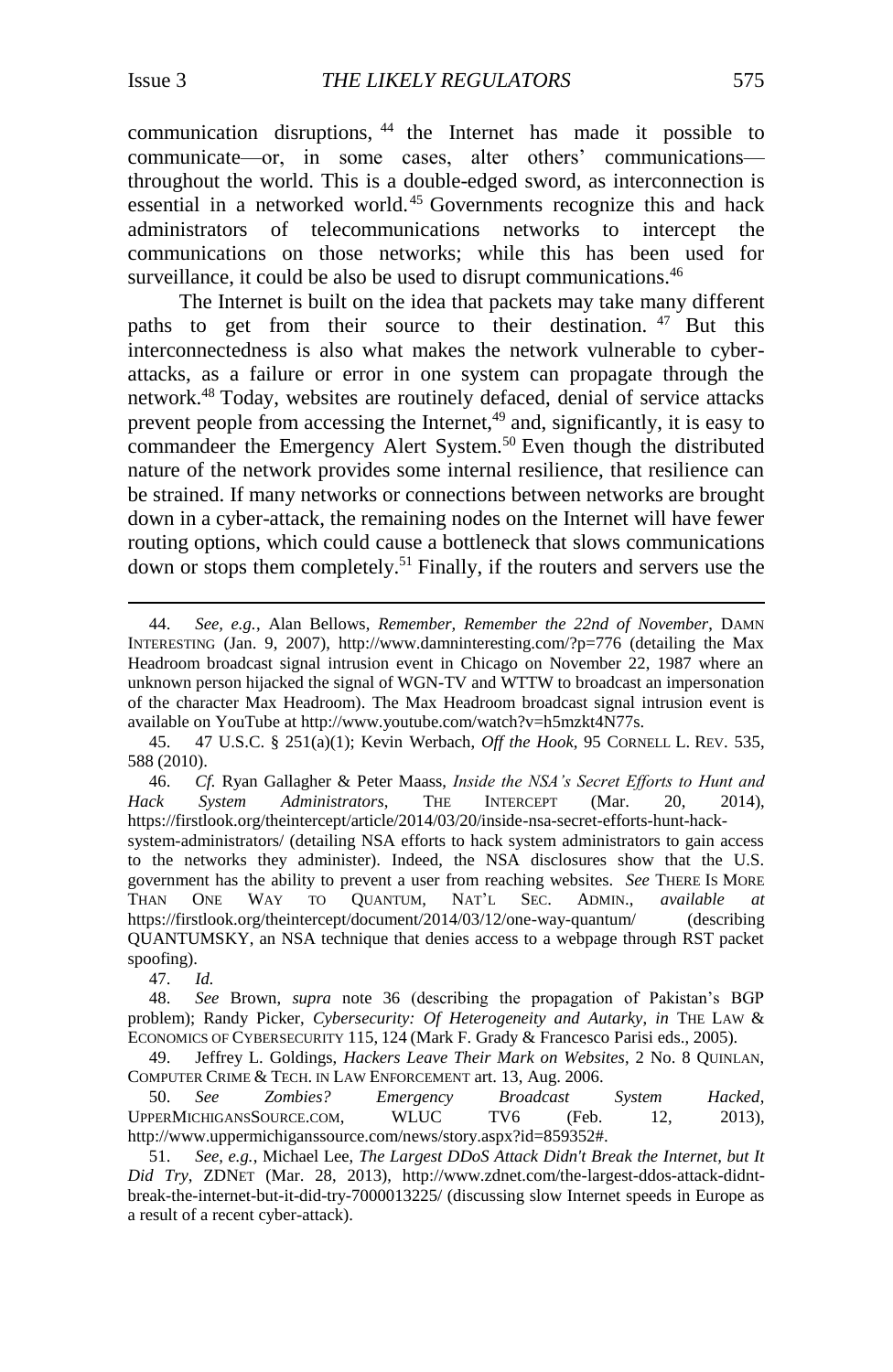<span id="page-8-0"></span>communication disruptions, <sup>44</sup> the Internet has made it possible to communicate—or, in some cases, alter others' communications throughout the world. This is a double-edged sword, as interconnection is essential in a networked world. <sup>45</sup> Governments recognize this and hack administrators of telecommunications networks to intercept the communications on those networks; while this has been used for surveillance, it could be also be used to disrupt communications.<sup>46</sup>

<span id="page-8-1"></span>The Internet is built on the idea that packets may take many different paths to get from their source to their destination. <sup>47</sup> But this interconnectedness is also what makes the network vulnerable to cyberattacks, as a failure or error in one system can propagate through the network.<sup>48</sup> Today, websites are routinely defaced, denial of service attacks prevent people from accessing the Internet,<sup>49</sup> and, significantly, it is easy to commandeer the Emergency Alert System.<sup>50</sup> Even though the distributed nature of the network provides some internal resilience, that resilience can be strained. If many networks or connections between networks are brought down in a cyber-attack, the remaining nodes on the Internet will have fewer routing options, which could cause a bottleneck that slows communications down or stops them completely.<sup>51</sup> Finally, if the routers and servers use the

47. *Id.*

<span id="page-8-2"></span><sup>44.</sup> *See, e.g.*, Alan Bellows, *Remember, Remember the 22nd of November*, DAMN INTERESTING (Jan. 9, 2007), http://www.damninteresting.com/?p=776 (detailing the Max Headroom broadcast signal intrusion event in Chicago on November 22, 1987 where an unknown person hijacked the signal of WGN-TV and WTTW to broadcast an impersonation of the character Max Headroom). The Max Headroom broadcast signal intrusion event is available on YouTube at http://www.youtube.com/watch?v=h5mzkt4N77s.

<sup>45. 47</sup> U.S.C. § 251(a)(1); Kevin Werbach, *Off the Hook*, 95 CORNELL L. REV. 535, 588 (2010).

<sup>46.</sup> *Cf.* Ryan Gallagher & Peter Maass, *Inside the NSA's Secret Efforts to Hunt and Hack System Administrators*, THE INTERCEPT (Mar. 20, 2014), [https://firstlook.org/theintercept/article/2014/03/20/inside-nsa-secret-efforts-hunt-hack-](https://firstlook.org/theintercept/article/2014/03/20/inside-nsa-secret-efforts-hunt-hack-system-administrators/)

[system-administrators/](https://firstlook.org/theintercept/article/2014/03/20/inside-nsa-secret-efforts-hunt-hack-system-administrators/) (detailing NSA efforts to hack system administrators to gain access to the networks they administer). Indeed, the NSA disclosures show that the U.S. government has the ability to prevent a user from reaching websites. *See* THERE IS MORE THAN ONE WAY TO QUANTUM, NAT'L SEC. ADMIN., *available at* <https://firstlook.org/theintercept/document/2014/03/12/one-way-quantum/> (describing QUANTUMSKY, an NSA technique that denies access to a webpage through RST packet spoofing).

<sup>48.</sup> *See* Brown, *supra* note [36](#page-6-0) (describing the propagation of Pakistan's BGP problem); Randy Picker, *Cybersecurity: Of Heterogeneity and Autarky*, *in* THE LAW & ECONOMICS OF CYBERSECURITY 115, 124 (Mark F. Grady & Francesco Parisi eds., 2005).

<sup>49.</sup> Jeffrey L. Goldings, *Hackers Leave Their Mark on Websites*, 2 No. 8 QUINLAN, COMPUTER CRIME & TECH. IN LAW ENFORCEMENT art. 13, Aug. 2006.

<sup>50.</sup> *See Zombies? Emergency Broadcast System Hacked*, UPPERMICHIGANSSOURCE.COM, WLUC TV6 (Feb. 12, 2013), [http://www.uppermichigans](http://www.uppermichigan/)source.com/news/story.aspx?id=859352#.

<sup>51.</sup> *See, e.g.*, Michael Lee, *The Largest DDoS Attack Didn't Break the Internet, but It Did Try*, ZDNET (Mar. 28, 2013), http://www.zdnet.com/the-largest-ddos-attack-didntbreak-the-internet-but-it-did-try-7000013225/ (discussing slow Internet speeds in Europe as a result of a recent cyber-attack).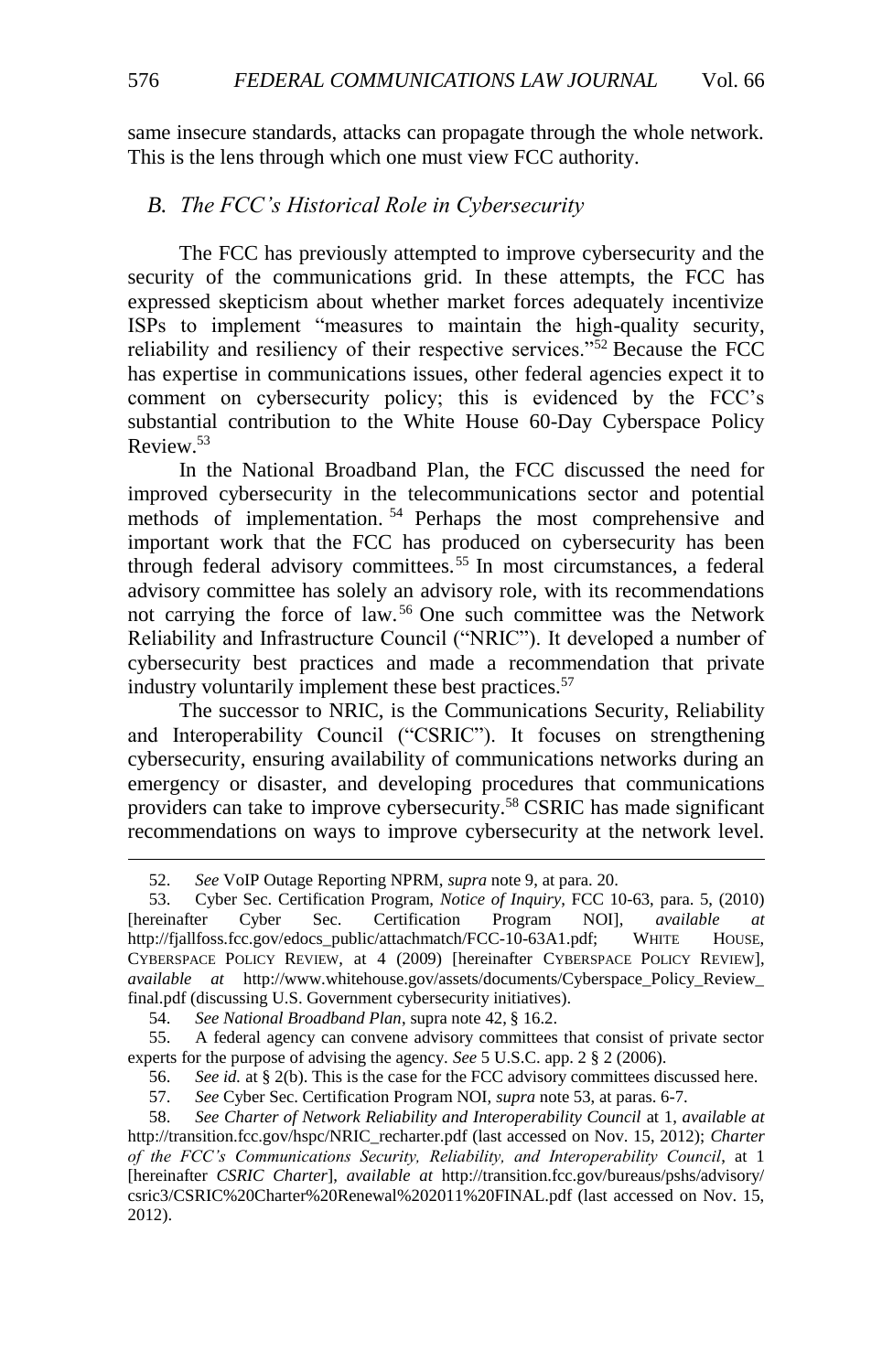same insecure standards, attacks can propagate through the whole network. This is the lens through which one must view FCC authority.

## <span id="page-9-0"></span>*B. The FCC's Historical Role in Cybersecurity*

The FCC has previously attempted to improve cybersecurity and the security of the communications grid. In these attempts, the FCC has expressed skepticism about whether market forces adequately incentivize ISPs to implement "measures to maintain the high-quality security, reliability and resiliency of their respective services."<sup>52</sup> Because the FCC has expertise in communications issues, other federal agencies expect it to comment on cybersecurity policy; this is evidenced by the FCC's substantial contribution to the White House 60-Day Cyberspace Policy Review.<sup>53</sup>

<span id="page-9-2"></span>In the National Broadband Plan, the FCC discussed the need for improved cybersecurity in the telecommunications sector and potential methods of implementation.<sup>54</sup> Perhaps the most comprehensive and important work that the FCC has produced on cybersecurity has been through federal advisory committees.<sup>55</sup> In most circumstances, a federal advisory committee has solely an advisory role, with its recommendations not carrying the force of law. <sup>56</sup> One such committee was the Network Reliability and Infrastructure Council ("NRIC"). It developed a number of cybersecurity best practices and made a recommendation that private industry voluntarily implement these best practices.<sup>57</sup>

The successor to NRIC, is the Communications Security, Reliability and Interoperability Council ("CSRIC"). It focuses on strengthening cybersecurity, ensuring availability of communications networks during an emergency or disaster, and developing procedures that communications providers can take to improve cybersecurity.<sup>58</sup> CSRIC has made significant recommendations on ways to improve cybersecurity at the network level.

54. *See National Broadband Plan*, supra not[e 42,](#page-7-0) § 16.2.

55. A federal agency can convene advisory committees that consist of private sector experts for the purpose of advising the agency. *See* 5 U.S.C. app. 2 § 2 (2006).

57. *See* Cyber Sec. Certification Program NOI, *supra* note 53, at paras. 6-7.

<span id="page-9-1"></span><sup>52.</sup> *See* VoIP Outage Reporting NPRM, *supra* not[e 9,](#page-3-0) at para. 20.

<sup>53.</sup> Cyber Sec. Certification Program, *Notice of Inquiry*, FCC 10-63, para. 5, (2010) [hereinafter Cyber Sec. Certification Program NOI], *available at* http://fjallfoss.fcc.gov/edocs\_public/attachmatch/FCC-10-63A1.pdf; WHITE HOUSE, CYBERSPACE POLICY REVIEW, at 4 (2009) [hereinafter CYBERSPACE POLICY REVIEW], *available at* http://www.whitehouse.gov/assets/documents/Cyberspace\_Policy\_Review\_ final.pdf (discussing U.S. Government cybersecurity initiatives).

<sup>56.</sup> *See id.* at § 2(b). This is the case for the FCC advisory committees discussed here.

<sup>58.</sup> *See Charter of Network Reliability and Interoperability Council* at 1, *available at* http://transition.fcc.gov/hspc/NRIC\_recharter.pdf (last accessed on Nov. 15, 2012); *Charter of the FCC's Communications Security, Reliability, and Interoperability Council*, at 1 [hereinafter *CSRIC Charter*], *available at* http://transition.fcc.gov/bureaus/pshs/advisory/ csric3/CSRIC%20Charter%20Renewal%202011%20FINAL.pdf (last accessed on Nov. 15, 2012).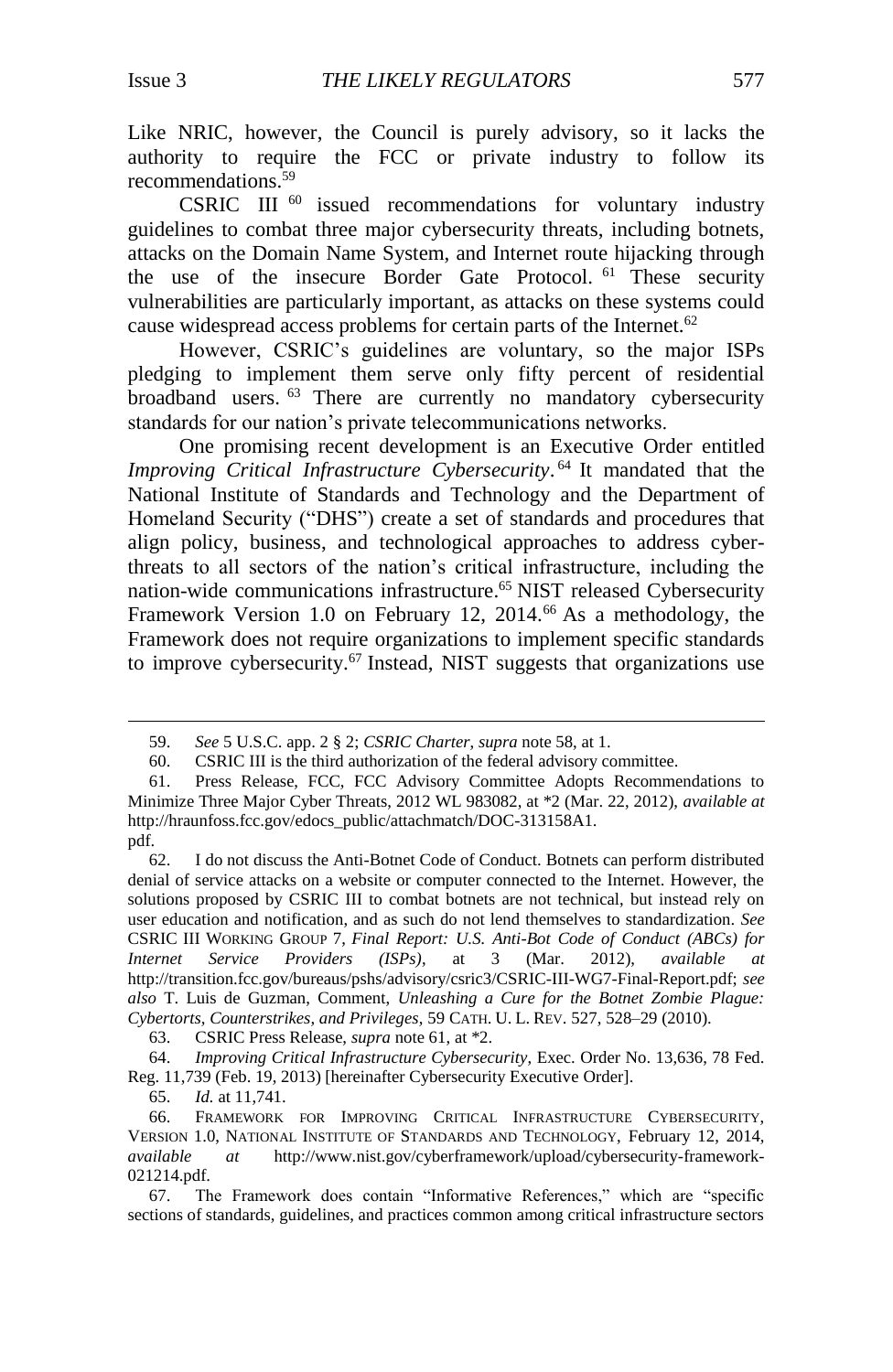Like NRIC, however, the Council is purely advisory, so it lacks the authority to require the FCC or private industry to follow its recommendations.<sup>59</sup>

CSRIC III<sup>60</sup> issued recommendations for voluntary industry guidelines to combat three major cybersecurity threats, including botnets, attacks on the Domain Name System, and Internet route hijacking through the use of the insecure Border Gate Protocol. <sup>61</sup> These security vulnerabilities are particularly important, as attacks on these systems could cause widespread access problems for certain parts of the Internet.<sup>62</sup>

<span id="page-10-2"></span>However, CSRIC's guidelines are voluntary, so the major ISPs pledging to implement them serve only fifty percent of residential broadband users. <sup>63</sup> There are currently no mandatory cybersecurity standards for our nation's private telecommunications networks.

<span id="page-10-1"></span>One promising recent development is an Executive Order entitled *Improving Critical Infrastructure Cybersecurity*. <sup>64</sup> It mandated that the National Institute of Standards and Technology and the Department of Homeland Security ("DHS") create a set of standards and procedures that align policy, business, and technological approaches to address cyberthreats to all sectors of the nation's critical infrastructure, including the nation-wide communications infrastructure. <sup>65</sup> NIST released Cybersecurity Framework Version 1.0 on February 12, 2014.<sup>66</sup> As a methodology, the Framework does not require organizations to implement specific standards to improve cybersecurity.<sup>67</sup> Instead, NIST suggests that organizations use

<span id="page-10-0"></span><sup>59.</sup> *See* 5 U.S.C. app. 2 § 2; *CSRIC Charter*, *supra* not[e 58,](#page-9-1) at 1.

<sup>60.</sup> CSRIC III is the third authorization of the federal advisory committee.

<sup>61.</sup> Press Release, FCC, FCC Advisory Committee Adopts Recommendations to Minimize Three Major Cyber Threats, 2012 WL 983082, at \*2 (Mar. 22, 2012), *available at* http://hraunfoss.fcc.gov/edocs\_public/attachmatch/DOC-313158A1. pdf.

<sup>62.</sup> I do not discuss the Anti-Botnet Code of Conduct. Botnets can perform distributed denial of service attacks on a website or computer connected to the Internet. However, the solutions proposed by CSRIC III to combat botnets are not technical, but instead rely on user education and notification, and as such do not lend themselves to standardization. *See* CSRIC III WORKING GROUP 7, *Final Report: U.S. Anti-Bot Code of Conduct (ABCs) for Internet Service Providers (ISPs)*, at 3 (Mar. 2012), *available at*  [http://transition.fcc.gov/bureaus/pshs/](http://transition.fcc.gov/bureaus/pshs)advisory/csric3/CSRIC-III-WG7-Final-Report.pdf; *see also* T. Luis de Guzman, Comment, *Unleashing a Cure for the Botnet Zombie Plague: Cybertorts, Counterstrikes, and Privileges*, 59 CATH. U. L. REV. 527, 528–29 (2010).

<sup>63.</sup> CSRIC Press Release, *supra* note 61, at \*2.

<sup>64.</sup> *Improving Critical Infrastructure Cybersecurity*, Exec. Order No. 13,636, 78 Fed. Reg. 11,739 (Feb. 19, 2013) [hereinafter Cybersecurity Executive Order].

<sup>65.</sup> *Id.* at 11,741.

<sup>66.</sup> FRAMEWORK FOR IMPROVING CRITICAL INFRASTRUCTURE CYBERSECURITY, VERSION 1.0, NATIONAL INSTITUTE OF STANDARDS AND TECHNOLOGY, February 12, 2014, *available at* [http://www.nist.gov/cyberf](http://www.nist.gov/cyber)ramework/upload/cybersecurity-framework-021214.pdf.

<sup>67.</sup> The Framework does contain "Informative References," which are "specific sections of standards, guidelines, and practices common among critical infrastructure sectors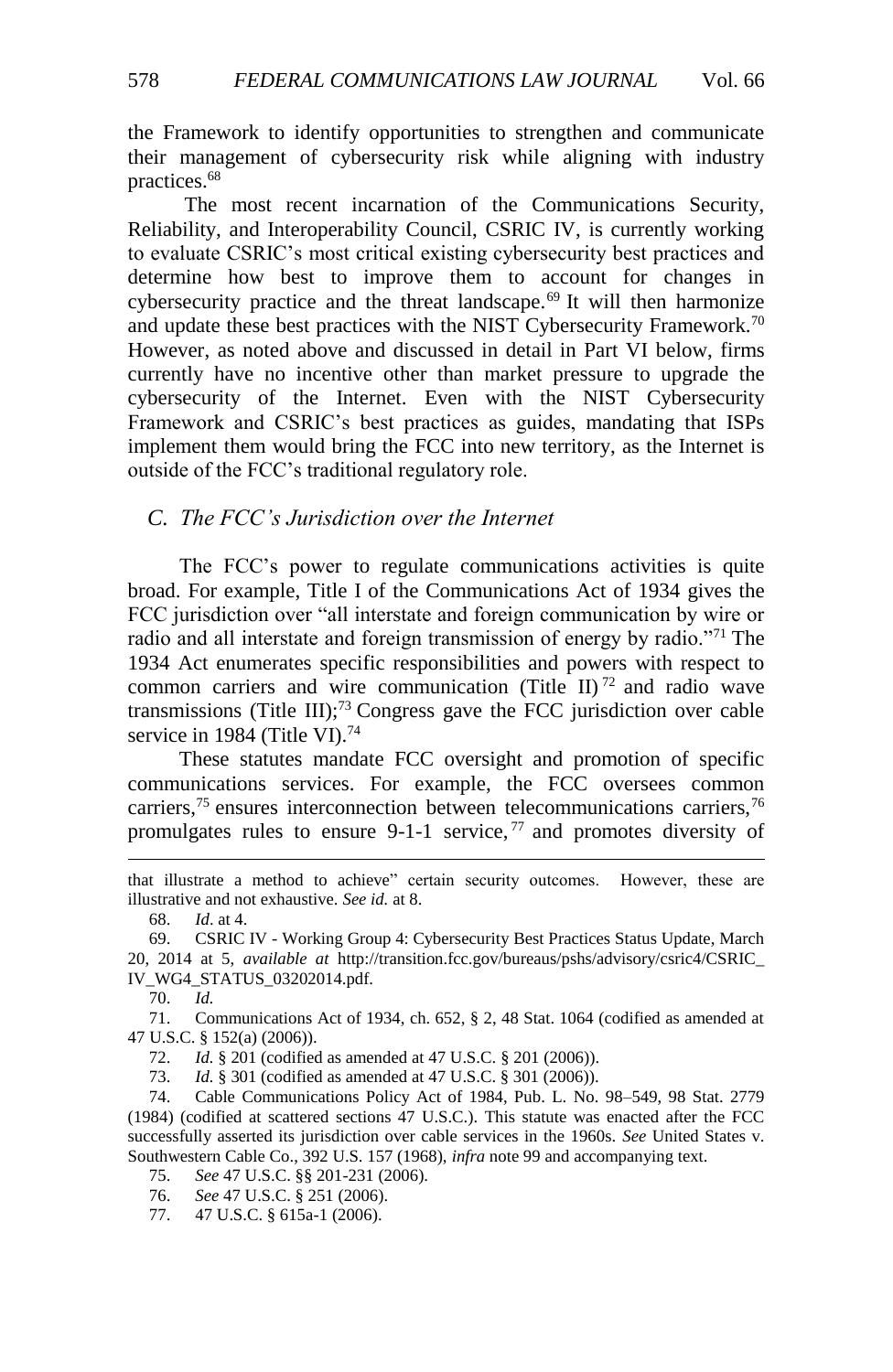the Framework to identify opportunities to strengthen and communicate their management of cybersecurity risk while aligning with industry practices.<sup>68</sup>

<span id="page-11-2"></span>The most recent incarnation of the Communications Security, Reliability, and Interoperability Council, CSRIC IV, is currently working to evaluate CSRIC's most critical existing cybersecurity best practices and determine how best to improve them to account for changes in cybersecurity practice and the threat landscape.<sup>69</sup> It will then harmonize and update these best practices with the NIST Cybersecurity Framework.<sup>70</sup> However, as noted above and discussed in detail in Part VI below, firms currently have no incentive other than market pressure to upgrade the cybersecurity of the Internet. Even with the NIST Cybersecurity Framework and CSRIC's best practices as guides, mandating that ISPs implement them would bring the FCC into new territory, as the Internet is outside of the FCC's traditional regulatory role.

## <span id="page-11-0"></span>*C. The FCC's Jurisdiction over the Internet*

The FCC's power to regulate communications activities is quite broad. For example, Title I of the Communications Act of 1934 gives the FCC jurisdiction over "all interstate and foreign communication by wire or radio and all interstate and foreign transmission of energy by radio."<sup>71</sup> The 1934 Act enumerates specific responsibilities and powers with respect to common carriers and wire communication (Title II)<sup>72</sup> and radio wave transmissions (Title III);<sup>73</sup> Congress gave the FCC jurisdiction over cable service in 1984 (Title VI).<sup>74</sup>

<span id="page-11-1"></span>These statutes mandate FCC oversight and promotion of specific communications services. For example, the FCC oversees common carriers,  $75$  ensures interconnection between telecommunications carriers,  $76$ promulgates rules to ensure 9-1-1 service,  $77$  and promotes diversity of

68. *Id*. at 4.

70. *Id.*

 $\overline{a}$ 

72. *Id.* § 201 (codified as amended at 47 U.S.C. § 201 (2006)).

73. *Id.* § 301 (codified as amended at 47 U.S.C. § 301 (2006)).<br>74. Cable Communications Policy Act of 1984. Pub. L. No.

Cable Communications Policy Act of 1984, Pub. L. No. 98–549, 98 Stat. 2779 (1984) (codified at scattered sections 47 U.S.C.). This statute was enacted after the FCC successfully asserted its jurisdiction over cable services in the 1960s. *See* United States v. Southwestern Cable Co., 392 U.S. 157 (1968), *infra* not[e 99](#page-14-0) and accompanying text.

- 75. *See* 47 U.S.C. §§ 201-231 (2006).
- 76. *See* 47 U.S.C. § 251 (2006).
- 77. 47 U.S.C. § 615a-1 (2006).

that illustrate a method to achieve" certain security outcomes. However, these are illustrative and not exhaustive. *See id.* at 8.

<sup>69.</sup> CSRIC IV - Working Group 4: Cybersecurity Best Practices Status Update, March 20, 2014 at 5, *available at* http://transition.fcc.gov/bureaus/pshs/advisory/csric4/CSRIC\_ IV\_WG4\_STATUS\_03202014.pdf.

<sup>71.</sup> Communications Act of 1934, ch. 652, § 2, 48 Stat. 1064 (codified as amended at 47 U.S.C. § 152(a) (2006)).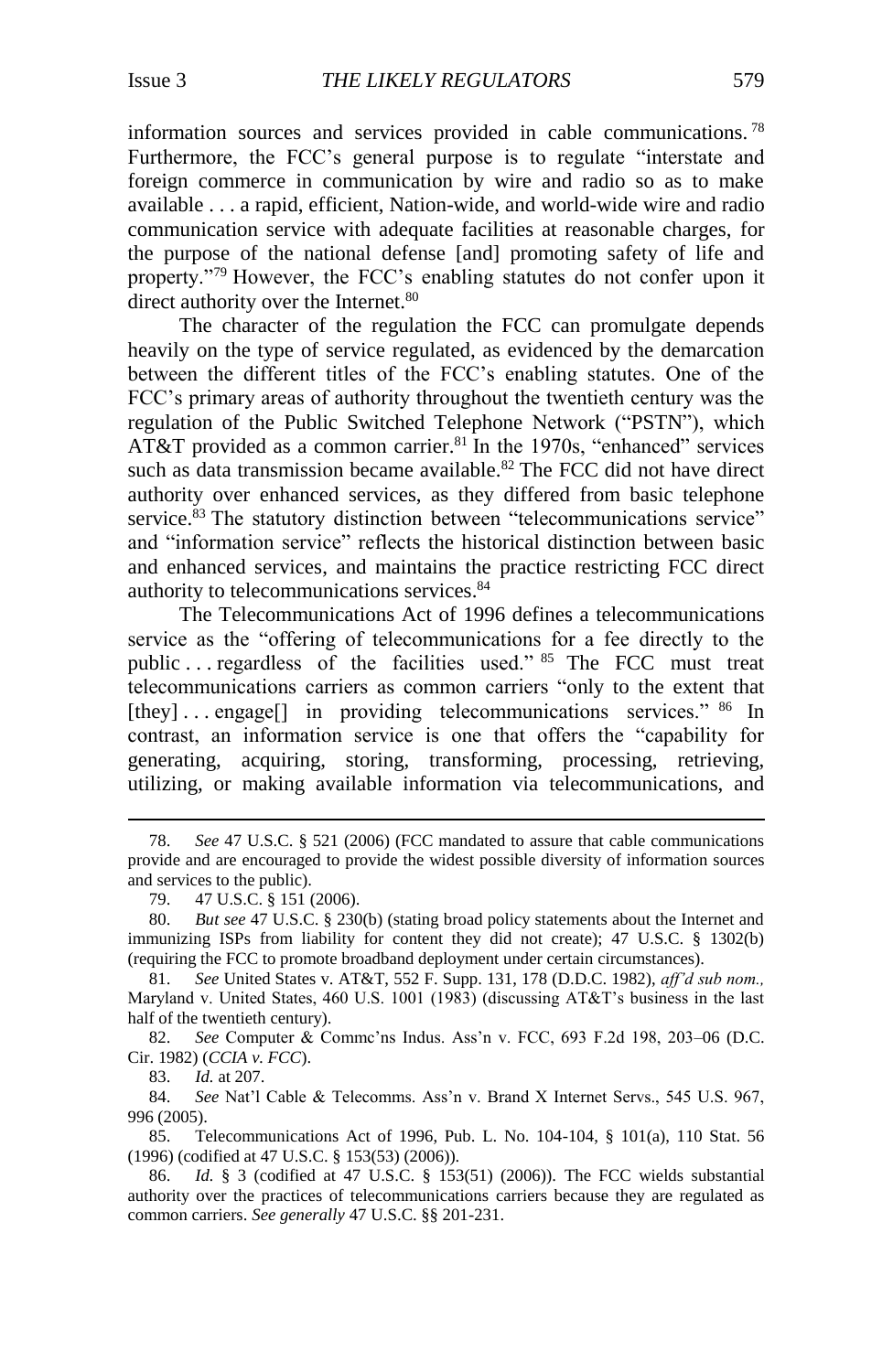information sources and services provided in cable communications. <sup>78</sup> Furthermore, the FCC's general purpose is to regulate "interstate and foreign commerce in communication by wire and radio so as to make available . . . a rapid, efficient, Nation-wide, and world-wide wire and radio communication service with adequate facilities at reasonable charges, for the purpose of the national defense [and] promoting safety of life and property."<sup>79</sup> However, the FCC's enabling statutes do not confer upon it direct authority over the Internet.<sup>80</sup>

<span id="page-12-0"></span>The character of the regulation the FCC can promulgate depends heavily on the type of service regulated, as evidenced by the demarcation between the different titles of the FCC's enabling statutes. One of the FCC's primary areas of authority throughout the twentieth century was the regulation of the Public Switched Telephone Network ("PSTN"), which AT&T provided as a common carrier.<sup>81</sup> In the 1970s, "enhanced" services such as data transmission became available.<sup>82</sup> The FCC did not have direct authority over enhanced services, as they differed from basic telephone service.<sup>83</sup> The statutory distinction between "telecommunications service" and "information service" reflects the historical distinction between basic and enhanced services, and maintains the practice restricting FCC direct authority to telecommunications services. 84

The Telecommunications Act of 1996 defines a telecommunications service as the "offering of telecommunications for a fee directly to the public . . . regardless of the facilities used." <sup>85</sup> The FCC must treat telecommunications carriers as common carriers "only to the extent that [they]... engage[] in providing telecommunications services." <sup>86</sup> In contrast, an information service is one that offers the "capability for generating, acquiring, storing, transforming, processing, retrieving, utilizing, or making available information via telecommunications, and

82. *See* Computer & Commc'ns Indus. Ass'n v. FCC, 693 F.2d 198, 203–06 (D.C. Cir. 1982) (*CCIA v. FCC*).

83. *Id.* at 207.

 $\overline{a}$ 

84. *See* Nat'l Cable & Telecomms. Ass'n v. Brand X Internet Servs., 545 U.S. 967, 996 (2005).

85. Telecommunications Act of 1996, Pub. L. No. 104-104, § 101(a), 110 Stat. 56 (1996) (codified at 47 U.S.C. § 153(53) (2006)).

86. *Id.* § 3 (codified at 47 U.S.C. § 153(51) (2006)). The FCC wields substantial authority over the practices of telecommunications carriers because they are regulated as common carriers. *See generally* 47 U.S.C. §§ 201-231.

<sup>78.</sup> *See* 47 U.S.C. § 521 (2006) (FCC mandated to assure that cable communications provide and are encouraged to provide the widest possible diversity of information sources and services to the public).

<sup>79.</sup> 47 U.S.C. § 151 (2006).

<sup>80.</sup> *But see* 47 U.S.C. § 230(b) (stating broad policy statements about the Internet and immunizing ISPs from liability for content they did not create); 47 U.S.C. § 1302(b) (requiring the FCC to promote broadband deployment under certain circumstances).

<sup>81.</sup> *See* United States v. AT&T, 552 F. Supp. 131, 178 (D.D.C. 1982), *aff'd sub nom.,* Maryland v. United States, 460 U.S. 1001 (1983) (discussing AT&T's business in the last half of the twentieth century).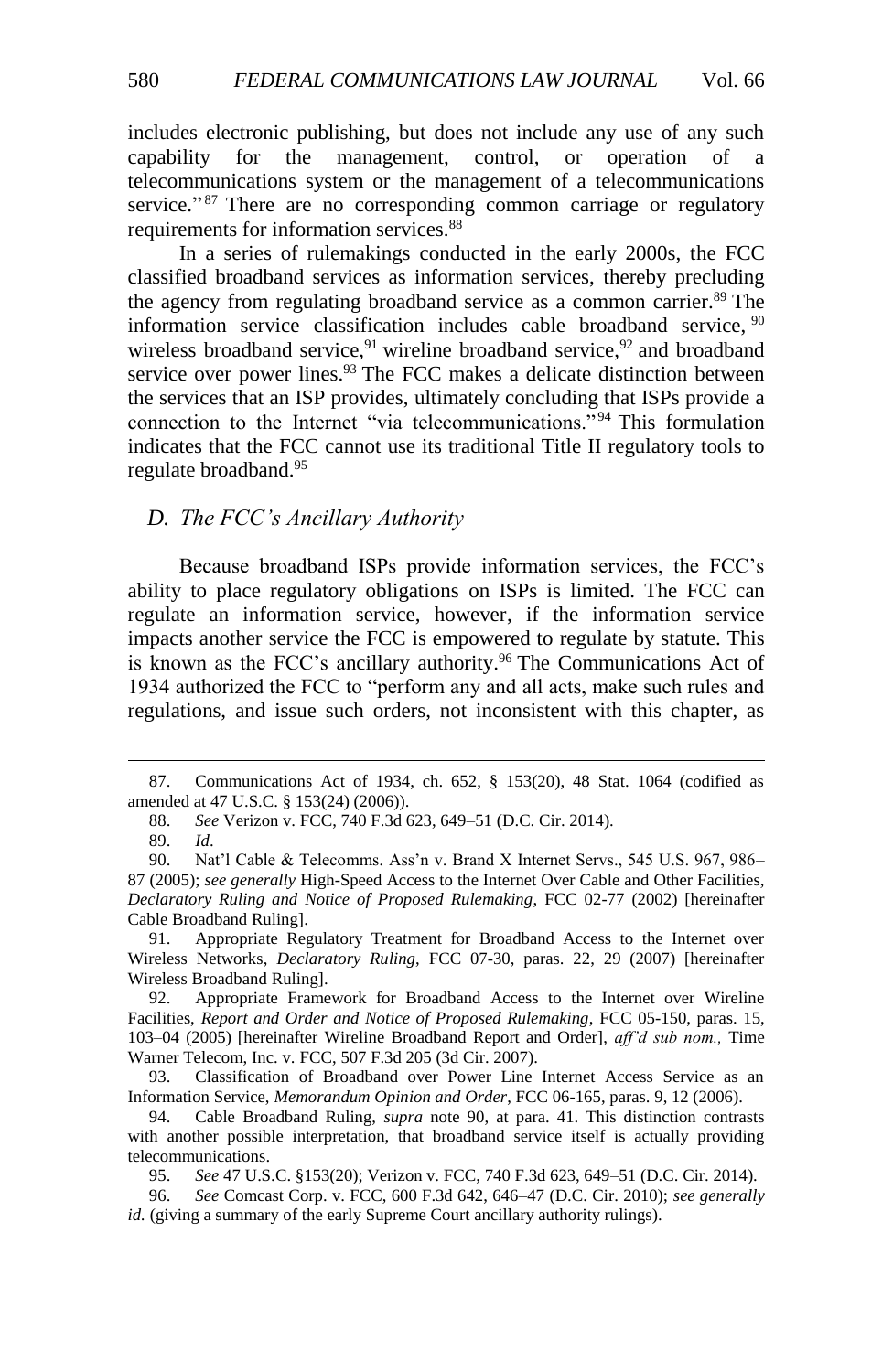includes electronic publishing, but does not include any use of any such capability for the management, control, or operation of a telecommunications system or the management of a telecommunications service."<sup>87</sup> There are no corresponding common carriage or regulatory requirements for information services.<sup>88</sup>

<span id="page-13-1"></span>In a series of rulemakings conducted in the early 2000s, the FCC classified broadband services as information services, thereby precluding the agency from regulating broadband service as a common carrier.<sup>89</sup> The information service classification includes cable broadband service, <sup>90</sup> wireless broadband service,  $91$  wireline broadband service,  $92$  and broadband service over power lines.<sup>93</sup> The FCC makes a delicate distinction between the services that an ISP provides, ultimately concluding that ISPs provide a connection to the Internet "via telecommunications." <sup>94</sup> This formulation indicates that the FCC cannot use its traditional Title II regulatory tools to regulate broadband.<sup>95</sup>

## <span id="page-13-0"></span>*D. The FCC's Ancillary Authority*

Because broadband ISPs provide information services, the FCC's ability to place regulatory obligations on ISPs is limited. The FCC can regulate an information service, however, if the information service impacts another service the FCC is empowered to regulate by statute. This is known as the FCC's ancillary authority. <sup>96</sup> The Communications Act of 1934 authorized the FCC to "perform any and all acts, make such rules and regulations, and issue such orders, not inconsistent with this chapter, as

 $\overline{a}$ 

91. Appropriate Regulatory Treatment for Broadband Access to the Internet over Wireless Networks, *Declaratory Ruling*, FCC 07-30, paras. 22, 29 (2007) [hereinafter Wireless Broadband Ruling].

<sup>87.</sup> Communications Act of 1934, ch. 652, § 153(20), 48 Stat. 1064 (codified as amended at 47 U.S.C. § 153(24) (2006)).

<sup>88.</sup> *See* Verizon v. FCC, 740 F.3d 623, 649–51 (D.C. Cir. 2014).

<sup>89.</sup> *Id*.

<sup>90.</sup> Nat'l Cable & Telecomms. Ass'n v. Brand X Internet Servs., 545 U.S. 967, 986– 87 (2005); *see generally* High-Speed Access to the Internet Over Cable and Other Facilities, *Declaratory Ruling and Notice of Proposed Rulemaking*, FCC 02-77 (2002) [hereinafter Cable Broadband Ruling].

<sup>92.</sup> Appropriate Framework for Broadband Access to the Internet over Wireline Facilities, *Report and Order and Notice of Proposed Rulemaking*, FCC 05-150, paras. 15, 103–04 (2005) [hereinafter Wireline Broadband Report and Order], *aff'd sub nom.,* Time Warner Telecom, Inc. v. FCC, 507 F.3d 205 (3d Cir. 2007).

<sup>93.</sup> Classification of Broadband over Power Line Internet Access Service as an Information Service, *Memorandum Opinion and Order*, FCC 06-165, paras. 9, 12 (2006).

<sup>94.</sup> Cable Broadband Ruling, *supra* note [90,](#page-13-1) at para. 41. This distinction contrasts with another possible interpretation, that broadband service itself is actually providing telecommunications.

<sup>95.</sup> *See* 47 U.S.C. §153(20); Verizon v. FCC, 740 F.3d 623, 649–51 (D.C. Cir. 2014).

<sup>96.</sup> *See* Comcast Corp. v. FCC, 600 F.3d 642, 646–47 (D.C. Cir. 2010); *see generally id.* (giving a summary of the early Supreme Court ancillary authority rulings).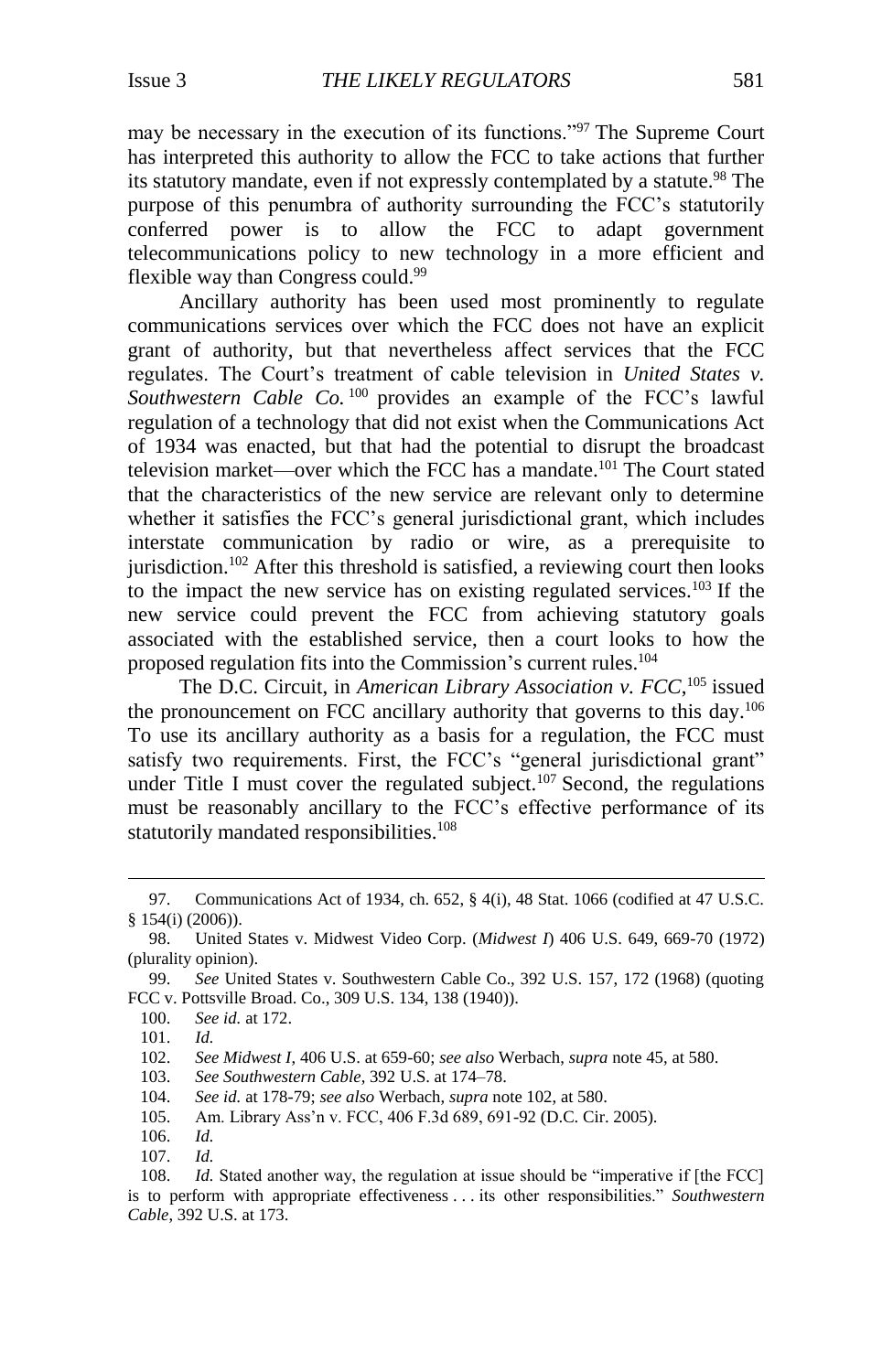may be necessary in the execution of its functions."<sup>97</sup> The Supreme Court has interpreted this authority to allow the FCC to take actions that further its statutory mandate, even if not expressly contemplated by a statute.<sup>98</sup> The purpose of this penumbra of authority surrounding the FCC's statutorily conferred power is to allow the FCC to adapt government telecommunications policy to new technology in a more efficient and flexible way than Congress could.<sup>99</sup>

<span id="page-14-0"></span>Ancillary authority has been used most prominently to regulate communications services over which the FCC does not have an explicit grant of authority, but that nevertheless affect services that the FCC regulates. The Court's treatment of cable television in *United States v. Southwestern Cable Co.* <sup>100</sup> provides an example of the FCC's lawful regulation of a technology that did not exist when the Communications Act of 1934 was enacted, but that had the potential to disrupt the broadcast television market—over which the FCC has a mandate.<sup>101</sup> The Court stated that the characteristics of the new service are relevant only to determine whether it satisfies the FCC's general jurisdictional grant, which includes interstate communication by radio or wire, as a prerequisite to jurisdiction.<sup>102</sup> After this threshold is satisfied, a reviewing court then looks to the impact the new service has on existing regulated services.<sup>103</sup> If the new service could prevent the FCC from achieving statutory goals associated with the established service, then a court looks to how the proposed regulation fits into the Commission's current rules.<sup>104</sup>

<span id="page-14-1"></span>The D.C. Circuit, in *American Library Association v. FCC*, <sup>105</sup> issued the pronouncement on FCC ancillary authority that governs to this day.<sup>106</sup> To use its ancillary authority as a basis for a regulation, the FCC must satisfy two requirements. First, the FCC's "general jurisdictional grant" under Title I must cover the regulated subject.<sup>107</sup> Second, the regulations must be reasonably ancillary to the FCC's effective performance of its statutorily mandated responsibilities.<sup>108</sup>

<sup>97.</sup> Communications Act of 1934, ch. 652, § 4(i), 48 Stat. 1066 (codified at 47 U.S.C. § 154(i) (2006)).

<sup>98.</sup> United States v. Midwest Video Corp. (*Midwest I*) 406 U.S. 649, 669-70 (1972) (plurality opinion).

<sup>99.</sup> *See* United States v. Southwestern Cable Co., 392 U.S. 157, 172 (1968) (quoting FCC v. Pottsville Broad. Co., 309 U.S. 134, 138 (1940)).

<sup>100.</sup> *See id.* at 172.

<sup>101.</sup> *Id.*

<sup>102.</sup> *See Midwest I*, 406 U.S. at 659-60; *see also* Werbach, *supra* note [45,](#page-8-0) at 580.

<sup>103.</sup> *See Southwestern Cable*, 392 U.S. at 174–78.

<sup>104.</sup> *See id.* at 178-79; *see also* Werbach, *supra* not[e 102,](#page-14-1) at 580.

<sup>105.</sup> Am. Library Ass'n v. FCC, 406 F.3d 689, 691-92 (D.C. Cir. 2005).

<sup>106.</sup> *Id.*

<sup>107.</sup> *Id.*

<sup>108.</sup> *Id.* Stated another way, the regulation at issue should be "imperative if [the FCC] is to perform with appropriate effectiveness . . . its other responsibilities." *Southwestern Cable*, 392 U.S. at 173.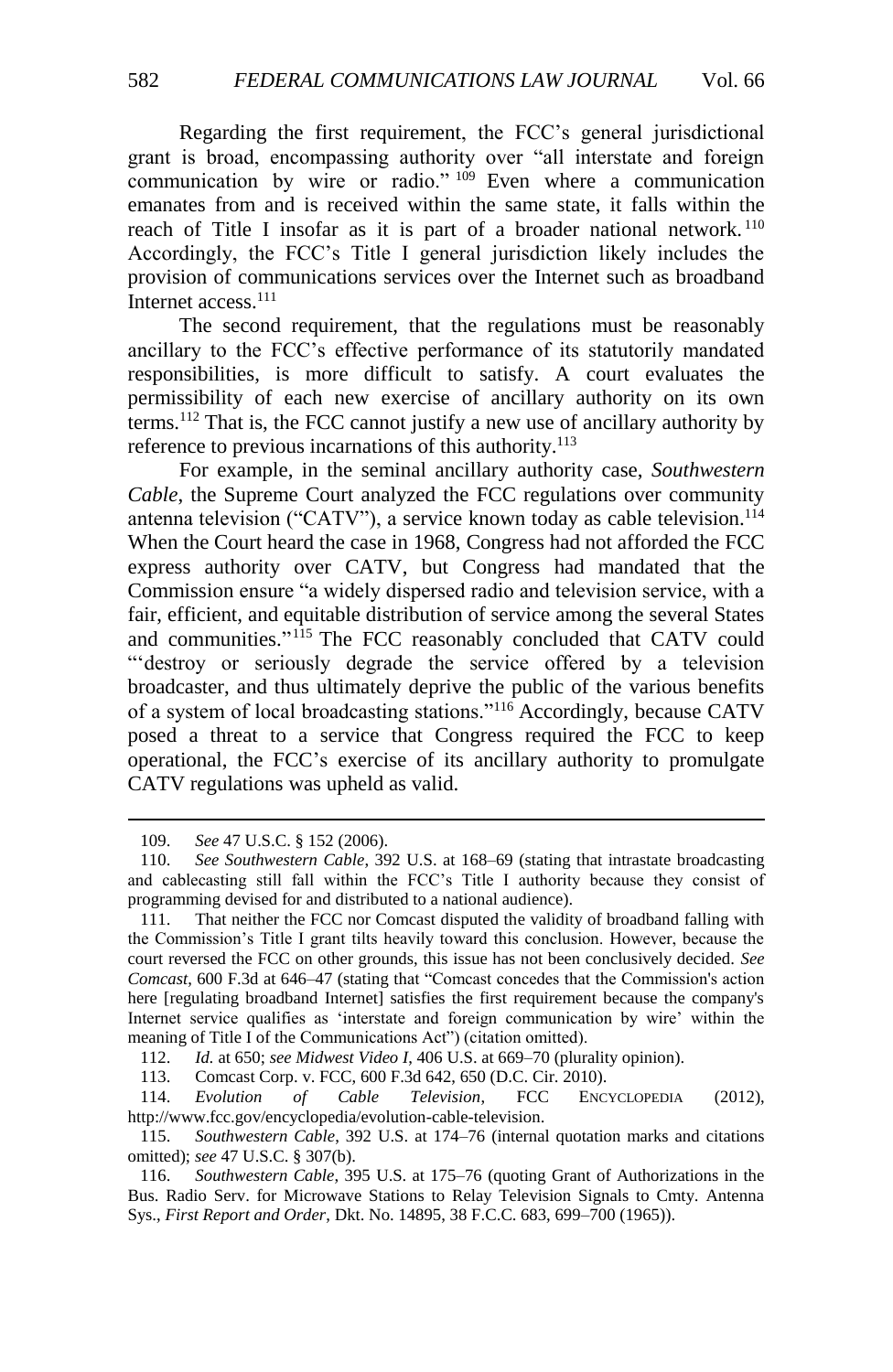Regarding the first requirement, the FCC's general jurisdictional grant is broad, encompassing authority over "all interstate and foreign communication by wire or radio." <sup>109</sup> Even where a communication emanates from and is received within the same state, it falls within the reach of Title I insofar as it is part of a broader national network.<sup>110</sup> Accordingly, the FCC's Title I general jurisdiction likely includes the provision of communications services over the Internet such as broadband Internet access.<sup>111</sup>

The second requirement, that the regulations must be reasonably ancillary to the FCC's effective performance of its statutorily mandated responsibilities, is more difficult to satisfy. A court evaluates the permissibility of each new exercise of ancillary authority on its own terms.<sup>112</sup> That is, the FCC cannot justify a new use of ancillary authority by reference to previous incarnations of this authority.<sup>113</sup>

For example, in the seminal ancillary authority case, *Southwestern Cable*, the Supreme Court analyzed the FCC regulations over community antenna television ("CATV"), a service known today as cable television.<sup>114</sup> When the Court heard the case in 1968, Congress had not afforded the FCC express authority over CATV, but Congress had mandated that the Commission ensure "a widely dispersed radio and television service, with a fair, efficient, and equitable distribution of service among the several States and communities." <sup>115</sup> The FCC reasonably concluded that CATV could "'destroy or seriously degrade the service offered by a television broadcaster, and thus ultimately deprive the public of the various benefits of a system of local broadcasting stations."<sup>116</sup> Accordingly, because CATV posed a threat to a service that Congress required the FCC to keep operational, the FCC's exercise of its ancillary authority to promulgate CATV regulations was upheld as valid.

 $\overline{a}$ 

Comcast Corp. v. FCC, 600 F.3d 642, 650 (D.C. Cir. 2010).

114. *Evolution of Cable Television*, FCC ENCYCLOPEDIA (2012), http://www.fcc.gov/encyclopedia/evolution-cable-television.

115. *Southwestern Cable*, 392 U.S. at 174–76 (internal quotation marks and citations omitted); *see* 47 U.S.C. § 307(b).

116. *Southwestern Cable*, 395 U.S. at 175–76 (quoting Grant of Authorizations in the Bus. Radio Serv. for Microwave Stations to Relay Television Signals to Cmty. Antenna Sys., *First Report and Order*, Dkt. No. 14895, 38 F.C.C. 683, 699–700 (1965)).

<sup>109.</sup> *See* 47 U.S.C. § 152 (2006).

<sup>110.</sup> *See Southwestern Cable*, 392 U.S. at 168–69 (stating that intrastate broadcasting and cablecasting still fall within the FCC's Title I authority because they consist of programming devised for and distributed to a national audience).

<sup>111.</sup> That neither the FCC nor Comcast disputed the validity of broadband falling with the Commission's Title I grant tilts heavily toward this conclusion. However, because the court reversed the FCC on other grounds, this issue has not been conclusively decided. *See Comcast*, 600 F.3d at 646–47 (stating that "Comcast concedes that the Commission's action here [regulating broadband Internet] satisfies the first requirement because the company's Internet service qualifies as 'interstate and foreign communication by wire' within the meaning of Title I of the Communications Act") (citation omitted).

<sup>112.</sup> *Id.* at 650; *see Midwest Video I*, 406 U.S. at 669–70 (plurality opinion).<br>113. Comcast Corp. v. FCC, 600 F.3d 642, 650 (D.C. Cir. 2010).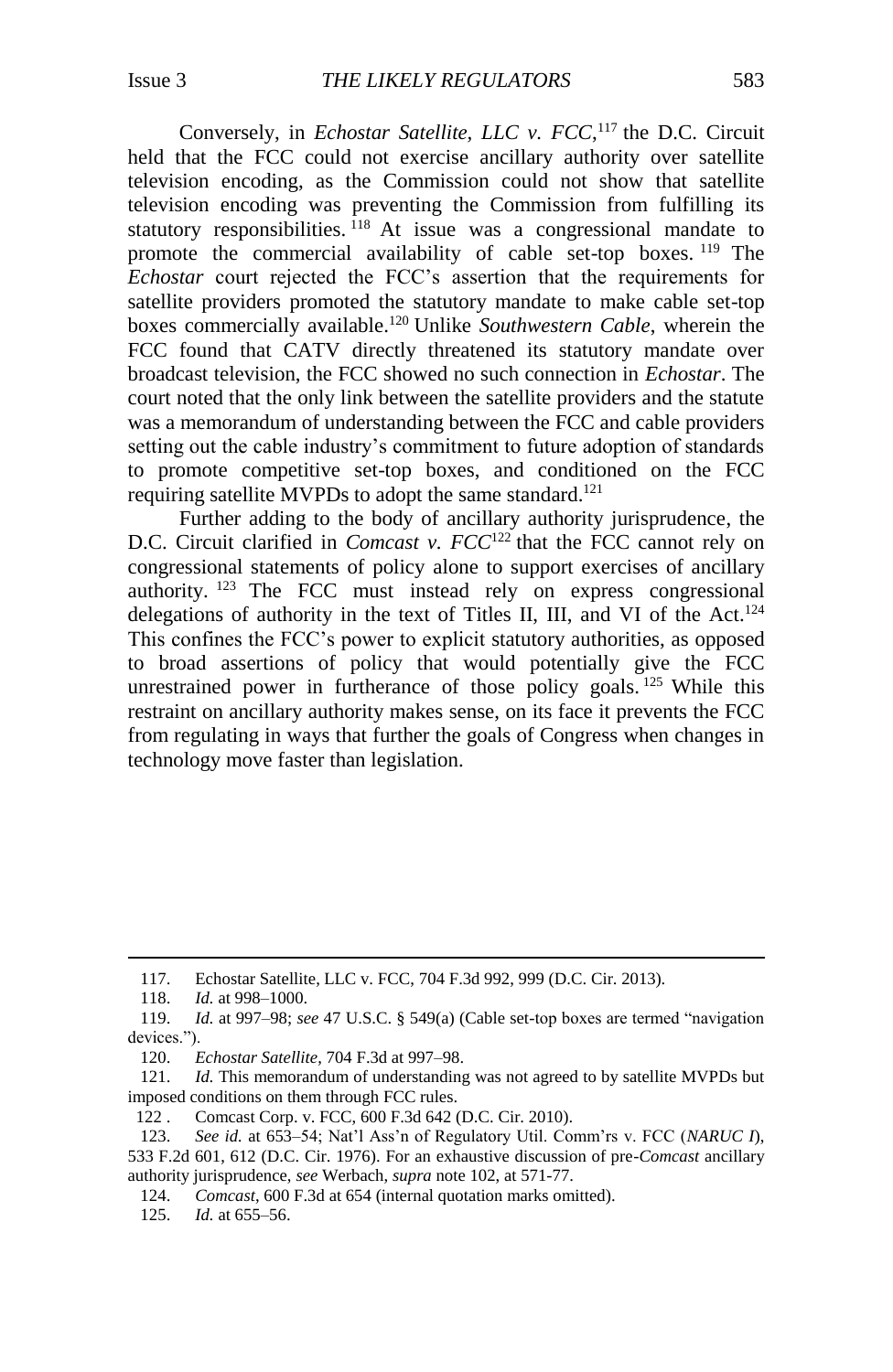Conversely, in *Echostar Satellite, LLC v. FCC*,<sup>117</sup> the D.C. Circuit held that the FCC could not exercise ancillary authority over satellite television encoding, as the Commission could not show that satellite television encoding was preventing the Commission from fulfilling its statutory responsibilities. <sup>118</sup> At issue was a congressional mandate to promote the commercial availability of cable set-top boxes. <sup>119</sup> The *Echostar* court rejected the FCC's assertion that the requirements for satellite providers promoted the statutory mandate to make cable set-top boxes commercially available.<sup>120</sup> Unlike *Southwestern Cable*, wherein the FCC found that CATV directly threatened its statutory mandate over broadcast television, the FCC showed no such connection in *Echostar*. The court noted that the only link between the satellite providers and the statute was a memorandum of understanding between the FCC and cable providers setting out the cable industry's commitment to future adoption of standards to promote competitive set-top boxes, and conditioned on the FCC requiring satellite MVPDs to adopt the same standard.<sup>121</sup>

Further adding to the body of ancillary authority jurisprudence, the D.C. Circuit clarified in *Comcast v. FCC*<sup>122</sup> that the FCC cannot rely on congressional statements of policy alone to support exercises of ancillary authority. <sup>123</sup> The FCC must instead rely on express congressional delegations of authority in the text of Titles II, III, and VI of the Act.<sup>124</sup> This confines the FCC's power to explicit statutory authorities, as opposed to broad assertions of policy that would potentially give the FCC unrestrained power in furtherance of those policy goals. <sup>125</sup> While this restraint on ancillary authority makes sense, on its face it prevents the FCC from regulating in ways that further the goals of Congress when changes in technology move faster than legislation.

<sup>117.</sup> Echostar Satellite, LLC v. FCC, 704 F.3d 992, 999 (D.C. Cir. 2013).

<sup>118.</sup> *Id.* at 998–1000.

<sup>119.</sup> *Id.* at 997–98; *see* 47 U.S.C. § 549(a) (Cable set-top boxes are termed "navigation devices.").

<sup>120.</sup> *Echostar Satellite*, 704 F.3d at 997–98.

<sup>121.</sup> *Id.* This memorandum of understanding was not agreed to by satellite MVPDs but imposed conditions on them through FCC rules.

<sup>122</sup> . Comcast Corp. v. FCC, 600 F.3d 642 (D.C. Cir. 2010).

<sup>123.</sup> *See id.* at 653–54; Nat'l Ass'n of Regulatory Util. Comm'rs v. FCC (*NARUC I*), 533 F.2d 601, 612 (D.C. Cir. 1976). For an exhaustive discussion of pre-*Comcast* ancillary authority jurisprudence, *see* Werbach, *supra* not[e 102,](#page-14-1) at 571-77.

<sup>124.</sup> *Comcast*, 600 F.3d at 654 (internal quotation marks omitted).

<sup>125.</sup> *Id.* at 655–56.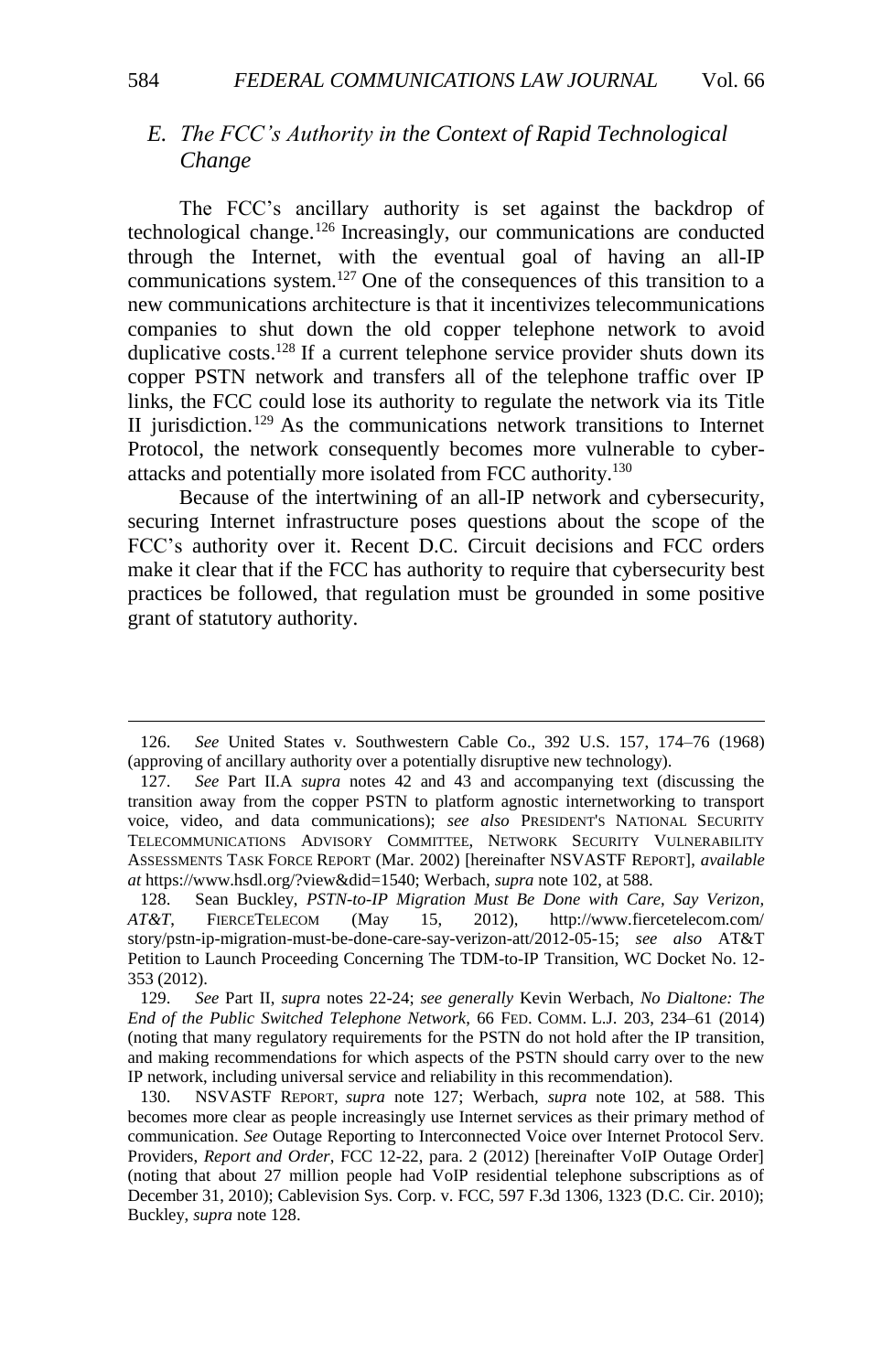## <span id="page-17-0"></span>*E. The FCC's Authority in the Context of Rapid Technological Change*

<span id="page-17-1"></span>The FCC's ancillary authority is set against the backdrop of technological change.<sup>126</sup> Increasingly, our communications are conducted through the Internet, with the eventual goal of having an all-IP communications system.<sup>127</sup> One of the consequences of this transition to a new communications architecture is that it incentivizes telecommunications companies to shut down the old copper telephone network to avoid duplicative costs.<sup>128</sup> If a current telephone service provider shuts down its copper PSTN network and transfers all of the telephone traffic over IP links, the FCC could lose its authority to regulate the network via its Title II jurisdiction.<sup>129</sup> As the communications network transitions to Internet Protocol, the network consequently becomes more vulnerable to cyberattacks and potentially more isolated from FCC authority.<sup>130</sup>

Because of the intertwining of an all-IP network and cybersecurity, securing Internet infrastructure poses questions about the scope of the FCC's authority over it. Recent D.C. Circuit decisions and FCC orders make it clear that if the FCC has authority to require that cybersecurity best practices be followed, that regulation must be grounded in some positive grant of statutory authority.

<sup>126.</sup> *See* United States v. Southwestern Cable Co., 392 U.S. 157, 174–76 (1968) (approving of ancillary authority over a potentially disruptive new technology).

<sup>127.</sup> *See* Part II.A *supra* notes [42](#page-7-0) and [43](#page-7-1) and accompanying text (discussing the transition away from the copper PSTN to platform agnostic internetworking to transport voice, video, and data communications); *see also* PRESIDENT'S NATIONAL SECURITY TELECOMMUNICATIONS ADVISORY COMMITTEE, NETWORK SECURITY VULNERABILITY ASSESSMENTS TASK FORCE REPORT (Mar. 2002) [hereinafter NSVASTF REPORT], *available at* https://www.hsdl.org/?view&did=1540; Werbach, *supra* note [102,](#page-14-1) at 588.

<sup>128.</sup> Sean Buckley, *PSTN-to-IP Migration Must Be Done with Care, Say Verizon, AT&T*, FIERCETELECOM (May 15, 2012), http://www.fiercetelecom.com/ story/pstn-ip-migration-must-be-done-care-say-verizon-att/2012-05-15; *see also* AT&T Petition to Launch Proceeding Concerning The TDM-to-IP Transition, WC Docket No. 12- 353 (2012).

<sup>129.</sup> *See* Part II, *supra* notes 22-24; *see generally* Kevin Werbach, *No Dialtone: The End of the Public Switched Telephone Network*, 66 FED. COMM. L.J. 203, 234–61 (2014) (noting that many regulatory requirements for the PSTN do not hold after the IP transition, and making recommendations for which aspects of the PSTN should carry over to the new IP network, including universal service and reliability in this recommendation).

<sup>130.</sup> NSVASTF REPORT, *supra* note 127; Werbach, *supra* note [102,](#page-14-1) at 588. This becomes more clear as people increasingly use Internet services as their primary method of communication. *See* Outage Reporting to Interconnected Voice over Internet Protocol Serv. Providers, *Report and Order*, FCC 12-22, para. 2 (2012) [hereinafter VoIP Outage Order] (noting that about 27 million people had VoIP residential telephone subscriptions as of December 31, 2010); Cablevision Sys. Corp. v. FCC, 597 F.3d 1306, 1323 (D.C. Cir. 2010); Buckley, *supra* note 128.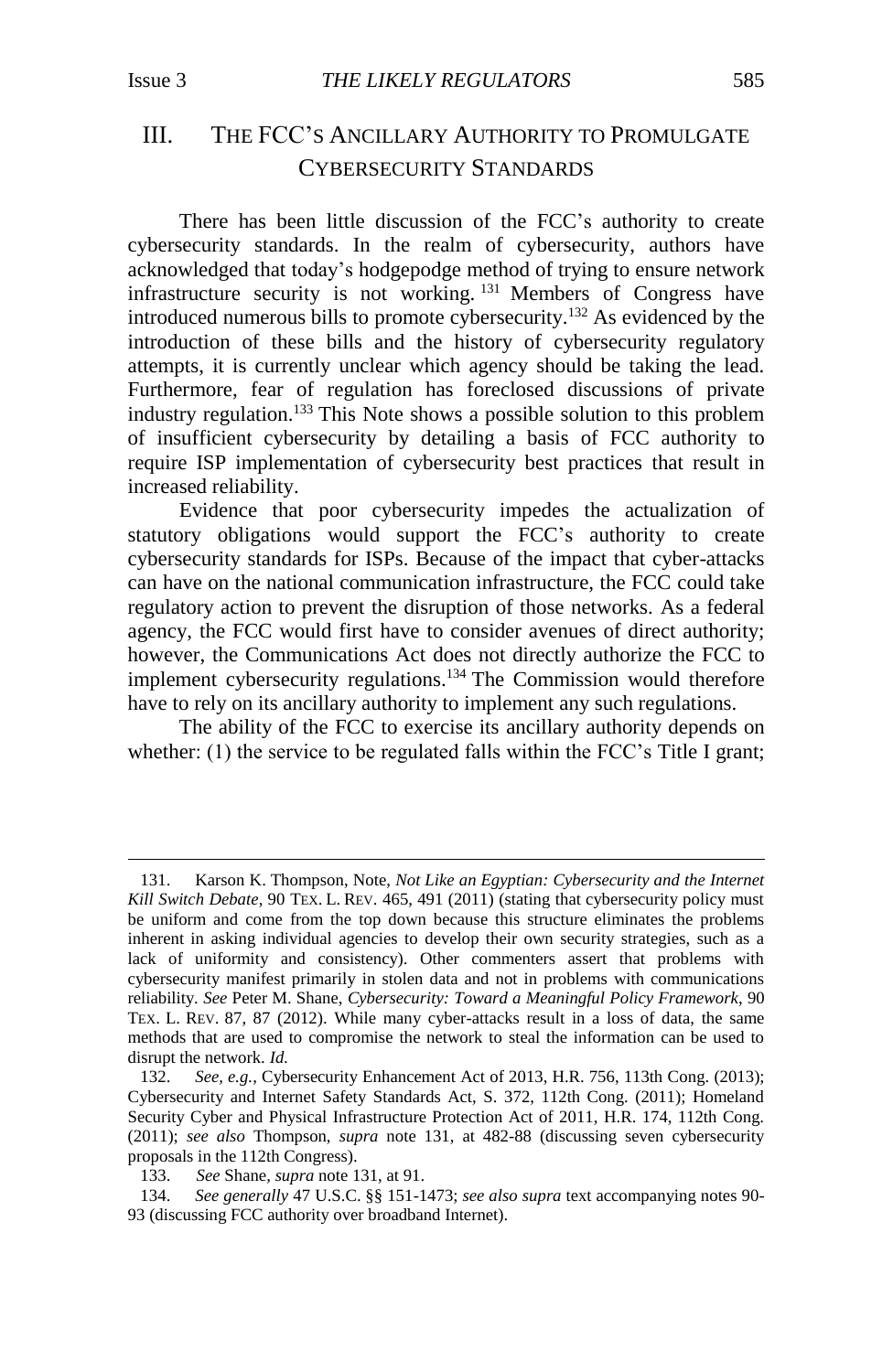$\overline{a}$ 

## <span id="page-18-0"></span>III. THE FCC'S ANCILLARY AUTHORITY TO PROMULGATE CYBERSECURITY STANDARDS

<span id="page-18-1"></span>There has been little discussion of the FCC's authority to create cybersecurity standards. In the realm of cybersecurity, authors have acknowledged that today's hodgepodge method of trying to ensure network infrastructure security is not working. <sup>131</sup> Members of Congress have introduced numerous bills to promote cybersecurity.<sup>132</sup> As evidenced by the introduction of these bills and the history of cybersecurity regulatory attempts, it is currently unclear which agency should be taking the lead. Furthermore, fear of regulation has foreclosed discussions of private industry regulation.<sup>133</sup> This Note shows a possible solution to this problem of insufficient cybersecurity by detailing a basis of FCC authority to require ISP implementation of cybersecurity best practices that result in increased reliability.

Evidence that poor cybersecurity impedes the actualization of statutory obligations would support the FCC's authority to create cybersecurity standards for ISPs. Because of the impact that cyber-attacks can have on the national communication infrastructure, the FCC could take regulatory action to prevent the disruption of those networks. As a federal agency, the FCC would first have to consider avenues of direct authority; however, the Communications Act does not directly authorize the FCC to implement cybersecurity regulations.<sup>134</sup> The Commission would therefore have to rely on its ancillary authority to implement any such regulations.

The ability of the FCC to exercise its ancillary authority depends on whether: (1) the service to be regulated falls within the FCC's Title I grant;

<sup>131.</sup> Karson K. Thompson, Note, *Not Like an Egyptian: Cybersecurity and the Internet Kill Switch Debate*, 90 TEX. L. REV. 465, 491 (2011) (stating that cybersecurity policy must be uniform and come from the top down because this structure eliminates the problems inherent in asking individual agencies to develop their own security strategies, such as a lack of uniformity and consistency). Other commenters assert that problems with cybersecurity manifest primarily in stolen data and not in problems with communications reliability. *See* Peter M. Shane, *Cybersecurity: Toward a Meaningful Policy Framework*, 90 TEX. L. REV. 87, 87 (2012). While many cyber-attacks result in a loss of data, the same methods that are used to compromise the network to steal the information can be used to disrupt the network. *Id.*

<sup>132.</sup> *See, e.g.*, Cybersecurity Enhancement Act of 2013, H.R. 756, 113th Cong. (2013); Cybersecurity and Internet Safety Standards Act, S. 372, 112th Cong. (2011); Homeland Security Cyber and Physical Infrastructure Protection Act of 2011, H.R. 174, 112th Cong. (2011); *see also* Thompson, *supra* note [131,](#page-18-1) at 482-88 (discussing seven cybersecurity proposals in the 112th Congress).

<sup>133.</sup> *See* Shane*, supra* not[e 131,](#page-18-1) at 91.

<sup>134.</sup> *See generally* 47 U.S.C. §§ 151-1473; *see also supra* text accompanying notes 90- 93 (discussing FCC authority over broadband Internet).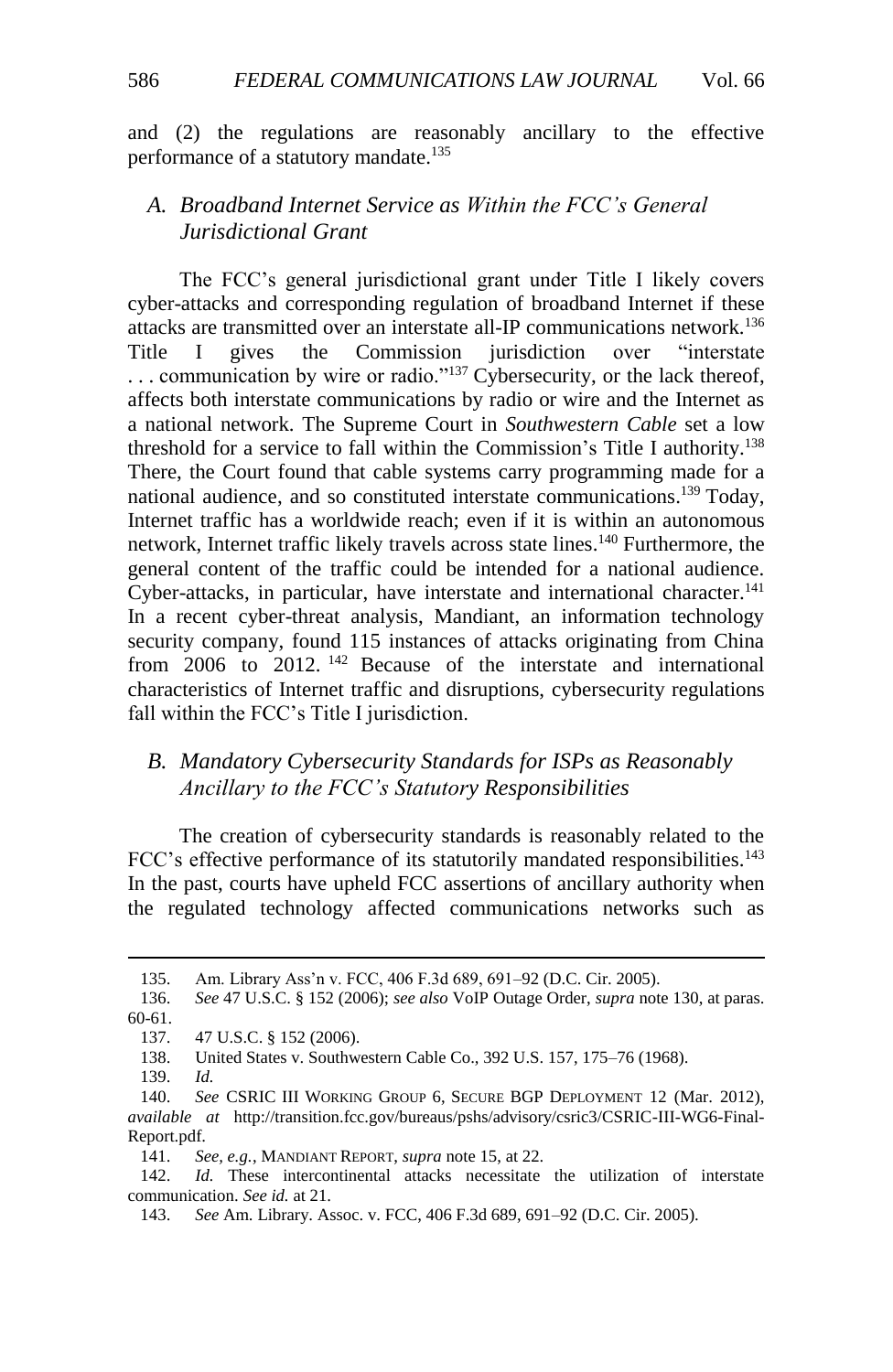and (2) the regulations are reasonably ancillary to the effective performance of a statutory mandate.<sup>135</sup>

## <span id="page-19-0"></span>*A. Broadband Internet Service as Within the FCC's General Jurisdictional Grant*

The FCC's general jurisdictional grant under Title I likely covers cyber-attacks and corresponding regulation of broadband Internet if these attacks are transmitted over an interstate all-IP communications network.<sup>136</sup> Title I gives the Commission jurisdiction over "interstate  $\ldots$  communication by wire or radio."<sup>137</sup> Cybersecurity, or the lack thereof, affects both interstate communications by radio or wire and the Internet as a national network. The Supreme Court in *Southwestern Cable* set a low threshold for a service to fall within the Commission's Title I authority. 138 There, the Court found that cable systems carry programming made for a national audience, and so constituted interstate communications. <sup>139</sup> Today, Internet traffic has a worldwide reach; even if it is within an autonomous network, Internet traffic likely travels across state lines. <sup>140</sup> Furthermore, the general content of the traffic could be intended for a national audience. Cyber-attacks, in particular, have interstate and international character.<sup>141</sup> In a recent cyber-threat analysis, Mandiant, an information technology security company, found 115 instances of attacks originating from China from 2006 to 2012. <sup>142</sup> Because of the interstate and international characteristics of Internet traffic and disruptions, cybersecurity regulations fall within the FCC's Title I jurisdiction.

## <span id="page-19-1"></span>*B. Mandatory Cybersecurity Standards for ISPs as Reasonably Ancillary to the FCC's Statutory Responsibilities*

The creation of cybersecurity standards is reasonably related to the FCC's effective performance of its statutorily mandated responsibilities.<sup>143</sup> In the past, courts have upheld FCC assertions of ancillary authority when the regulated technology affected communications networks such as

<sup>135.</sup> Am. Library Ass'n v. FCC, 406 F.3d 689, 691–92 (D.C. Cir. 2005).

<sup>136.</sup> *See* 47 U.S.C. § 152 (2006); *see also* VoIP Outage Order, *supra* note 130, at paras. 60-61.

<sup>137.</sup> 47 U.S.C. § 152 (2006).

<sup>138.</sup> United States v. Southwestern Cable Co., 392 U.S. 157, 175–76 (1968).

<sup>139.</sup> *Id.*

<sup>140.</sup> *See* CSRIC III WORKING GROUP 6, SECURE BGP DEPLOYMENT 12 (Mar. 2012), *available at* http://transition.fcc.gov/bureaus/pshs/advisory/csric3/CSRIC-III-WG6-Final-Report.pdf.

<sup>141.</sup> *See, e.g.*, MANDIANT REPORT, *supra* not[e 15,](#page-4-3) at 22.

<sup>142.</sup> *Id.* These intercontinental attacks necessitate the utilization of interstate communication. *See id.* at 21.

<sup>143.</sup> *See* Am. Library. Assoc. v. FCC, 406 F.3d 689, 691–92 (D.C. Cir. 2005).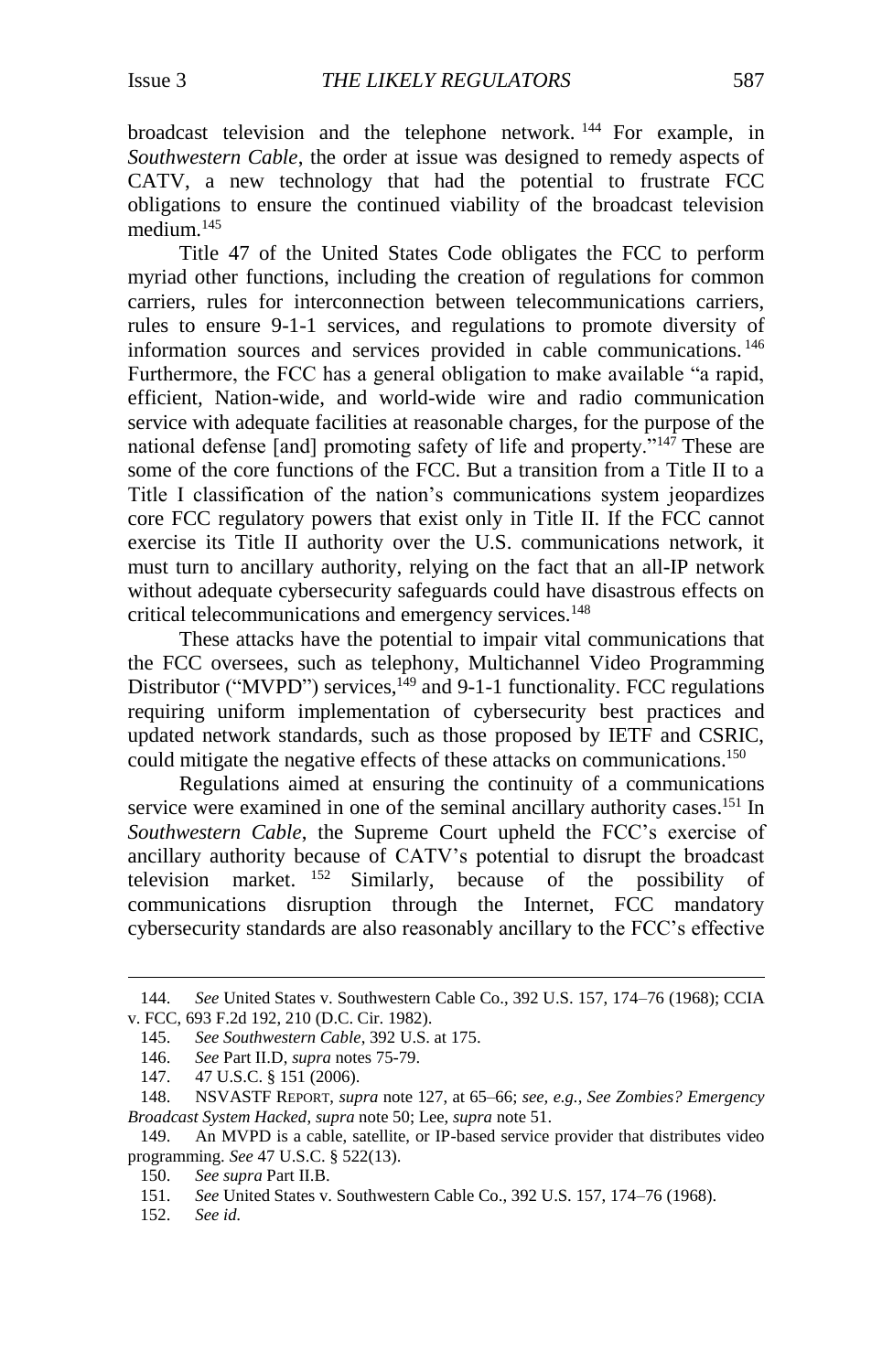broadcast television and the telephone network. <sup>144</sup> For example, in *Southwestern Cable*, the order at issue was designed to remedy aspects of CATV, a new technology that had the potential to frustrate FCC obligations to ensure the continued viability of the broadcast television medium $145$ 

Title 47 of the United States Code obligates the FCC to perform myriad other functions, including the creation of regulations for common carriers, rules for interconnection between telecommunications carriers, rules to ensure 9-1-1 services, and regulations to promote diversity of information sources and services provided in cable communications. <sup>146</sup> Furthermore, the FCC has a general obligation to make available "a rapid, efficient, Nation-wide, and world-wide wire and radio communication service with adequate facilities at reasonable charges, for the purpose of the national defense [and] promoting safety of life and property."<sup>147</sup> These are some of the core functions of the FCC. But a transition from a Title II to a Title I classification of the nation's communications system jeopardizes core FCC regulatory powers that exist only in Title II. If the FCC cannot exercise its Title II authority over the U.S. communications network, it must turn to ancillary authority, relying on the fact that an all-IP network without adequate cybersecurity safeguards could have disastrous effects on critical telecommunications and emergency services.<sup>148</sup>

<span id="page-20-0"></span>These attacks have the potential to impair vital communications that the FCC oversees, such as telephony, Multichannel Video Programming Distributor ("MVPD") services,<sup>149</sup> and 9-1-1 functionality. FCC regulations requiring uniform implementation of cybersecurity best practices and updated network standards, such as those proposed by IETF and CSRIC, could mitigate the negative effects of these attacks on communications.<sup>150</sup>

Regulations aimed at ensuring the continuity of a communications service were examined in one of the seminal ancillary authority cases.<sup>151</sup> In *Southwestern Cable*, the Supreme Court upheld the FCC's exercise of ancillary authority because of CATV's potential to disrupt the broadcast television market. <sup>152</sup> Similarly, because of the possibility of communications disruption through the Internet, FCC mandatory cybersecurity standards are also reasonably ancillary to the FCC's effective

146. *See* Part II.D, *supra* notes [75](#page-11-1)[-79.](#page-12-0)

<sup>144.</sup> *See* United States v. Southwestern Cable Co., 392 U.S. 157, 174–76 (1968); CCIA v. FCC, 693 F.2d 192, 210 (D.C. Cir. 1982).

<sup>145.</sup> *See Southwestern Cable*, 392 U.S. at 175.

<sup>147.</sup> 47 U.S.C. § 151 (2006).

<sup>148.</sup> NSVASTF REPORT, *supra* note [127,](#page-17-1) at 65–66; *see, e.g.*, *See Zombies? Emergency Broadcast System Hacked*, *supra* note [50;](#page-8-1) Lee, *supra* not[e 51.](#page-8-2)

<sup>149.</sup> An MVPD is a cable, satellite, or IP-based service provider that distributes video programming. *See* 47 U.S.C. § 522(13).

<sup>150.</sup> *See supra* Part II.B.

<sup>151.</sup> *See* United States v. Southwestern Cable Co., 392 U.S. 157, 174–76 (1968).

<sup>152.</sup> *See id.*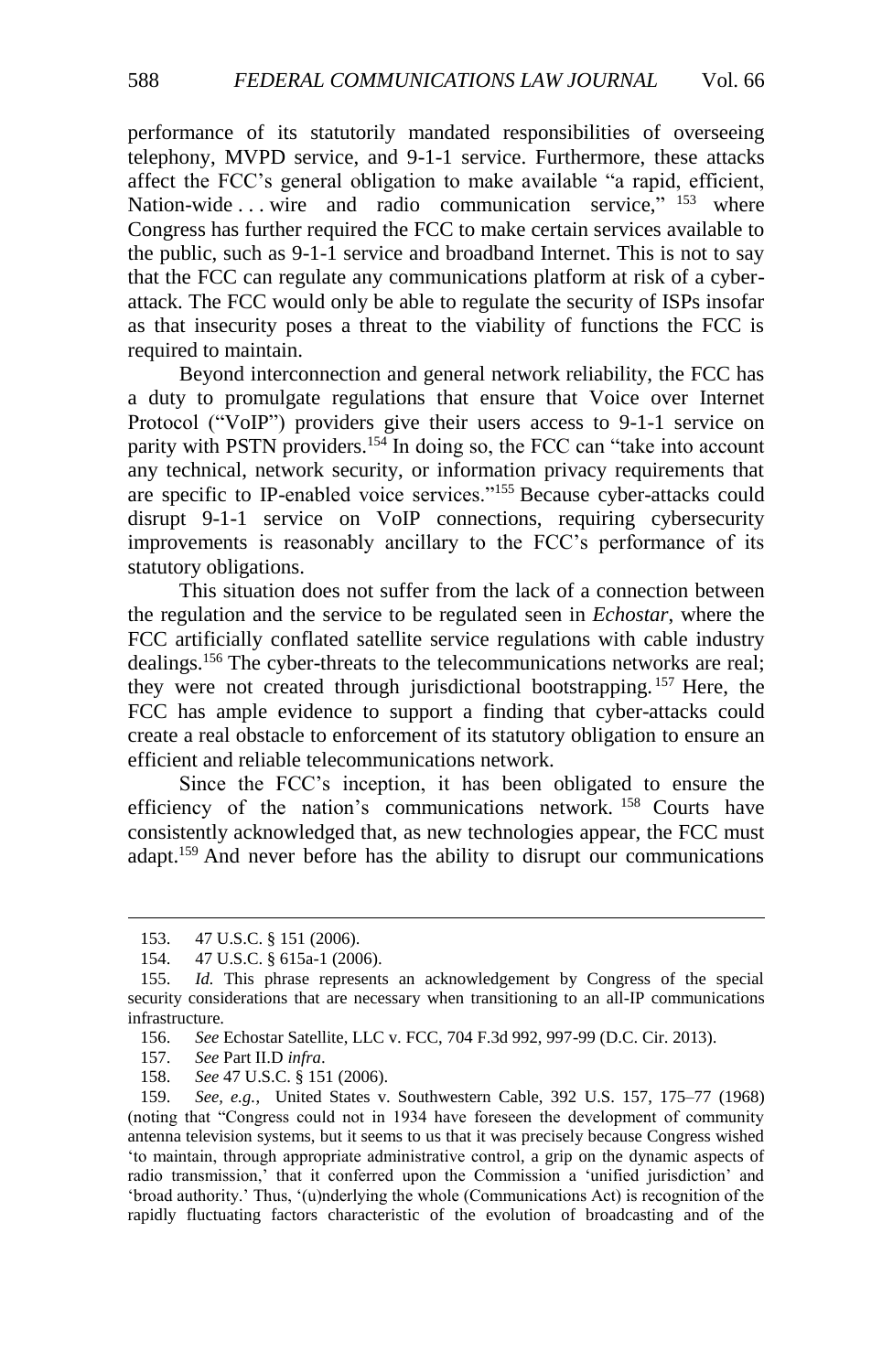performance of its statutorily mandated responsibilities of overseeing telephony, MVPD service, and 9-1-1 service. Furthermore, these attacks affect the FCC's general obligation to make available "a rapid, efficient, Nation-wide ... wire and radio communication service," <sup>153</sup> where Congress has further required the FCC to make certain services available to the public, such as 9-1-1 service and broadband Internet. This is not to say that the FCC can regulate any communications platform at risk of a cyberattack. The FCC would only be able to regulate the security of ISPs insofar as that insecurity poses a threat to the viability of functions the FCC is required to maintain.

Beyond interconnection and general network reliability, the FCC has a duty to promulgate regulations that ensure that Voice over Internet Protocol ("VoIP") providers give their users access to 9-1-1 service on parity with PSTN providers.<sup>154</sup> In doing so, the FCC can "take into account any technical, network security, or information privacy requirements that are specific to IP-enabled voice services."<sup>155</sup> Because cyber-attacks could disrupt 9-1-1 service on VoIP connections, requiring cybersecurity improvements is reasonably ancillary to the FCC's performance of its statutory obligations.

This situation does not suffer from the lack of a connection between the regulation and the service to be regulated seen in *Echostar*, where the FCC artificially conflated satellite service regulations with cable industry dealings.<sup>156</sup> The cyber-threats to the telecommunications networks are real; they were not created through jurisdictional bootstrapping.<sup>157</sup> Here, the FCC has ample evidence to support a finding that cyber-attacks could create a real obstacle to enforcement of its statutory obligation to ensure an efficient and reliable telecommunications network.

Since the FCC's inception, it has been obligated to ensure the efficiency of the nation's communications network.<sup>158</sup> Courts have consistently acknowledged that, as new technologies appear, the FCC must adapt.<sup>159</sup> And never before has the ability to disrupt our communications

<sup>153.</sup> 47 U.S.C. § 151 (2006).

<sup>154.</sup> 47 U.S.C. § 615a-1 (2006).

<sup>155.</sup> *Id.* This phrase represents an acknowledgement by Congress of the special security considerations that are necessary when transitioning to an all-IP communications infrastructure.

<sup>156.</sup> *See* Echostar Satellite, LLC v. FCC, 704 F.3d 992, 997-99 (D.C. Cir. 2013).

<sup>157.</sup> *See* Part II.D *infra*.

<sup>158.</sup> *See* 47 U.S.C. § 151 (2006).

<sup>159.</sup> *See, e.g.*, United States v. Southwestern Cable, 392 U.S. 157, 175–77 (1968) (noting that "Congress could not in 1934 have foreseen the development of community antenna television systems, but it seems to us that it was precisely because Congress wished 'to maintain, through appropriate administrative control, a grip on the dynamic aspects of radio transmission,' that it conferred upon the Commission a 'unified jurisdiction' and 'broad authority.' Thus, '(u)nderlying the whole (Communications Act) is recognition of the rapidly fluctuating factors characteristic of the evolution of broadcasting and of the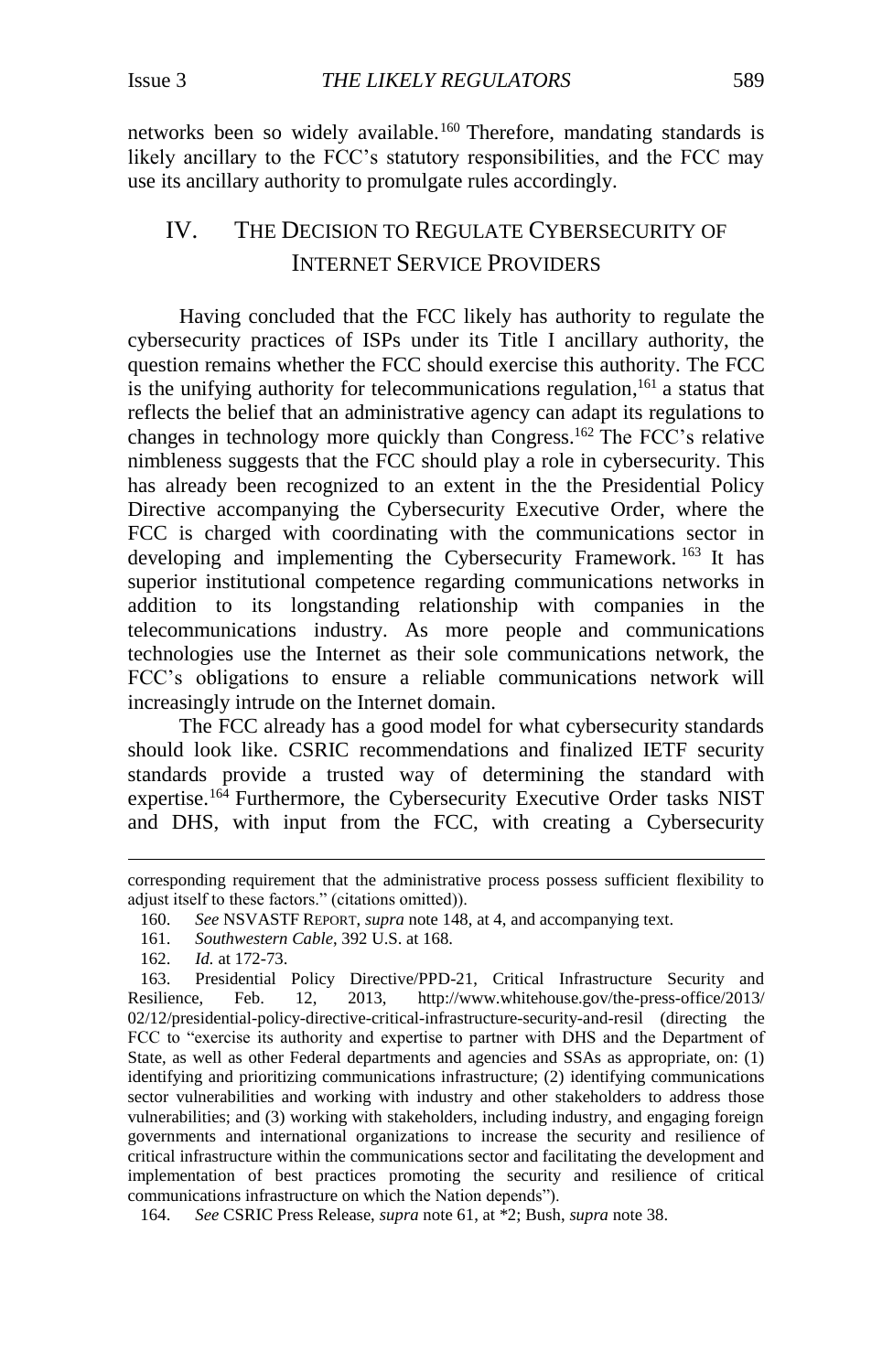networks been so widely available.<sup>160</sup> Therefore, mandating standards is likely ancillary to the FCC's statutory responsibilities, and the FCC may use its ancillary authority to promulgate rules accordingly.

## <span id="page-22-0"></span>IV. THE DECISION TO REGULATE CYBERSECURITY OF INTERNET SERVICE PROVIDERS

Having concluded that the FCC likely has authority to regulate the cybersecurity practices of ISPs under its Title I ancillary authority, the question remains whether the FCC should exercise this authority. The FCC is the unifying authority for telecommunications regulation,<sup>161</sup> a status that reflects the belief that an administrative agency can adapt its regulations to changes in technology more quickly than Congress.<sup>162</sup> The FCC's relative nimbleness suggests that the FCC should play a role in cybersecurity. This has already been recognized to an extent in the the Presidential Policy Directive accompanying the Cybersecurity Executive Order, where the FCC is charged with coordinating with the communications sector in developing and implementing the Cybersecurity Framework. <sup>163</sup> It has superior institutional competence regarding communications networks in addition to its longstanding relationship with companies in the telecommunications industry. As more people and communications technologies use the Internet as their sole communications network, the FCC's obligations to ensure a reliable communications network will increasingly intrude on the Internet domain.

The FCC already has a good model for what cybersecurity standards should look like. CSRIC recommendations and finalized IETF security standards provide a trusted way of determining the standard with expertise.<sup>164</sup> Furthermore, the Cybersecurity Executive Order tasks NIST and DHS, with input from the FCC, with creating a Cybersecurity

corresponding requirement that the administrative process possess sufficient flexibility to adjust itself to these factors." (citations omitted)).

<sup>160.</sup> *See* NSVASTF REPORT, *supra* note [148,](#page-20-0) at 4, and accompanying text.

<sup>161.</sup> *Southwestern Cable*, 392 U.S. at 168.

<sup>162.</sup> *Id.* at 172-73.

<sup>163.</sup> Presidential Policy Directive/PPD-21, Critical Infrastructure Security and Resilience, Feb. 12, 2013, [http://www.whitehouse.gov/the-press-office/2013/](http://www.whitehouse.gov/the-press-office/2013/02/12/presidential-policy-directive-critical-infrastructure-security-and-resil) [02/12/presidential-policy-directive-critical-infrastructure-security-and-resil](http://www.whitehouse.gov/the-press-office/2013/02/12/presidential-policy-directive-critical-infrastructure-security-and-resil) (directing the FCC to "exercise its authority and expertise to partner with DHS and the Department of State, as well as other Federal departments and agencies and SSAs as appropriate, on: (1) identifying and prioritizing communications infrastructure; (2) identifying communications sector vulnerabilities and working with industry and other stakeholders to address those vulnerabilities; and (3) working with stakeholders, including industry, and engaging foreign governments and international organizations to increase the security and resilience of critical infrastructure within the communications sector and facilitating the development and implementation of best practices promoting the security and resilience of critical communications infrastructure on which the Nation depends").

<sup>164.</sup> *See* CSRIC Press Release, *supra* note 61, at \*2; Bush, *supra* note 38.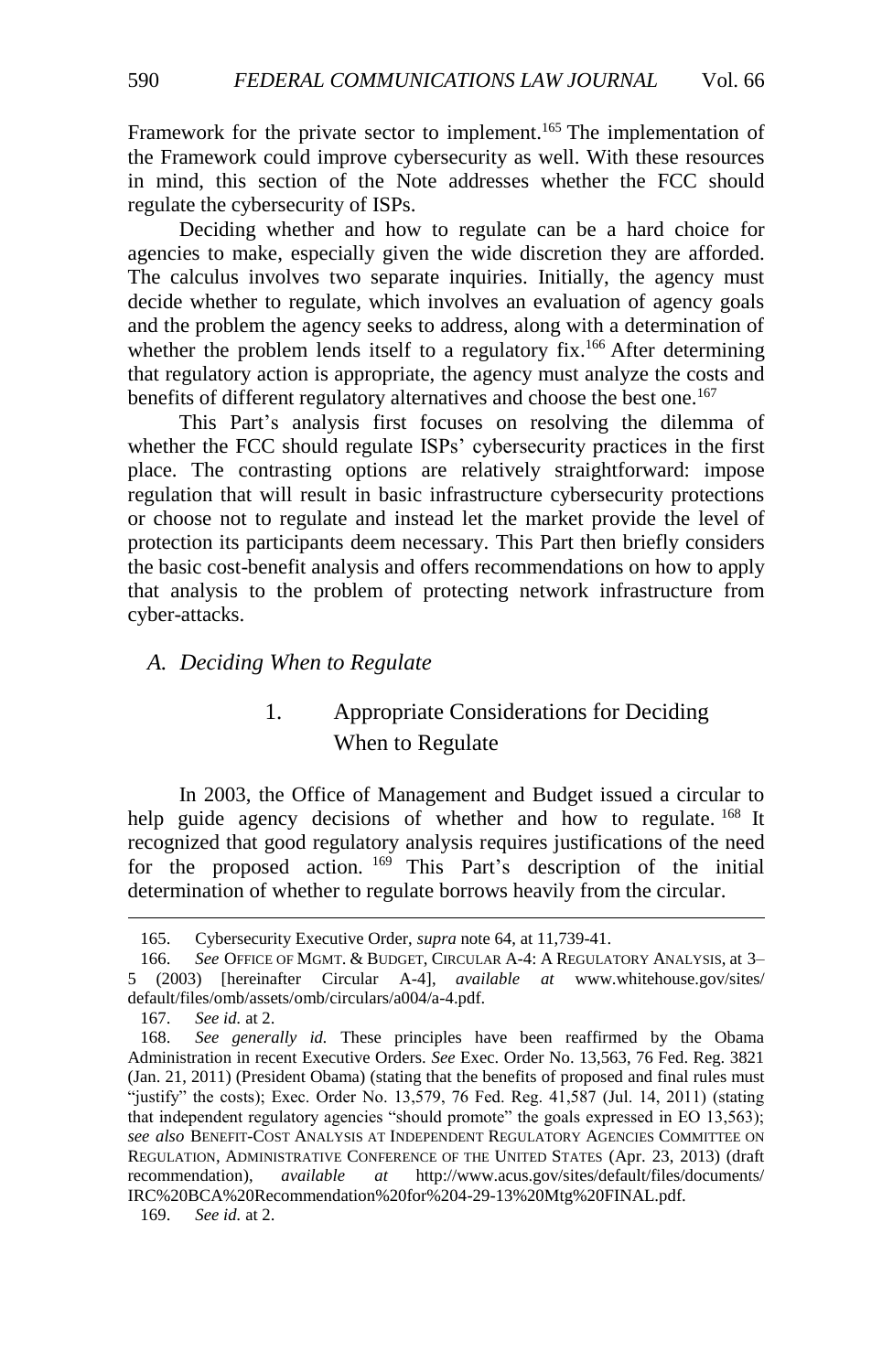Framework for the private sector to implement.<sup>165</sup> The implementation of the Framework could improve cybersecurity as well. With these resources in mind, this section of the Note addresses whether the FCC should regulate the cybersecurity of ISPs.

Deciding whether and how to regulate can be a hard choice for agencies to make, especially given the wide discretion they are afforded. The calculus involves two separate inquiries. Initially, the agency must decide whether to regulate, which involves an evaluation of agency goals and the problem the agency seeks to address, along with a determination of whether the problem lends itself to a regulatory fix.<sup>166</sup> After determining that regulatory action is appropriate, the agency must analyze the costs and benefits of different regulatory alternatives and choose the best one.<sup>167</sup>

<span id="page-23-2"></span>This Part's analysis first focuses on resolving the dilemma of whether the FCC should regulate ISPs' cybersecurity practices in the first place. The contrasting options are relatively straightforward: impose regulation that will result in basic infrastructure cybersecurity protections or choose not to regulate and instead let the market provide the level of protection its participants deem necessary. This Part then briefly considers the basic cost-benefit analysis and offers recommendations on how to apply that analysis to the problem of protecting network infrastructure from cyber-attacks.

#### <span id="page-23-1"></span><span id="page-23-0"></span>*A. Deciding When to Regulate*

## 1. Appropriate Considerations for Deciding When to Regulate

In 2003, the Office of Management and Budget issued a circular to help guide agency decisions of whether and how to regulate. <sup>168</sup> It recognized that good regulatory analysis requires justifications of the need for the proposed action. <sup>169</sup> This Part's description of the initial determination of whether to regulate borrows heavily from the circular.

 $\overline{a}$ 

169. *See id.* at 2.

<sup>165.</sup> Cybersecurity Executive Order, *supra* not[e 64,](#page-10-1) at 11,739-41.

<sup>166.</sup> *See* OFFICE OF MGMT. & BUDGET, CIRCULAR A-4: A REGULATORY ANALYSIS, at 3– 5 (2003) [hereinafter Circular A-4], *available at* www.whitehouse.gov/sites/ default/files/omb/assets/omb/circulars/a004/a-4.pdf.

<sup>167.</sup> *See id.* at 2.

<sup>168.</sup> *See generally id.* These principles have been reaffirmed by the Obama Administration in recent Executive Orders. *See* Exec. Order No. 13,563, 76 Fed. Reg. 3821 (Jan. 21, 2011) (President Obama) (stating that the benefits of proposed and final rules must "justify" the costs); Exec. Order No. 13,579, 76 Fed. Reg. 41,587 (Jul. 14, 2011) (stating that independent regulatory agencies "should promote" the goals expressed in EO 13,563); *see also* BENEFIT-COST ANALYSIS AT INDEPENDENT REGULATORY AGENCIES COMMITTEE ON REGULATION, ADMINISTRATIVE CONFERENCE OF THE UNITED STATES (Apr. 23, 2013) (draft recommendation), *available at* http://www.acus.gov/sites/default/files/documents/ IRC%20BCA%20Recommendation%20for%204-29-13%20Mtg%20FINAL.pdf.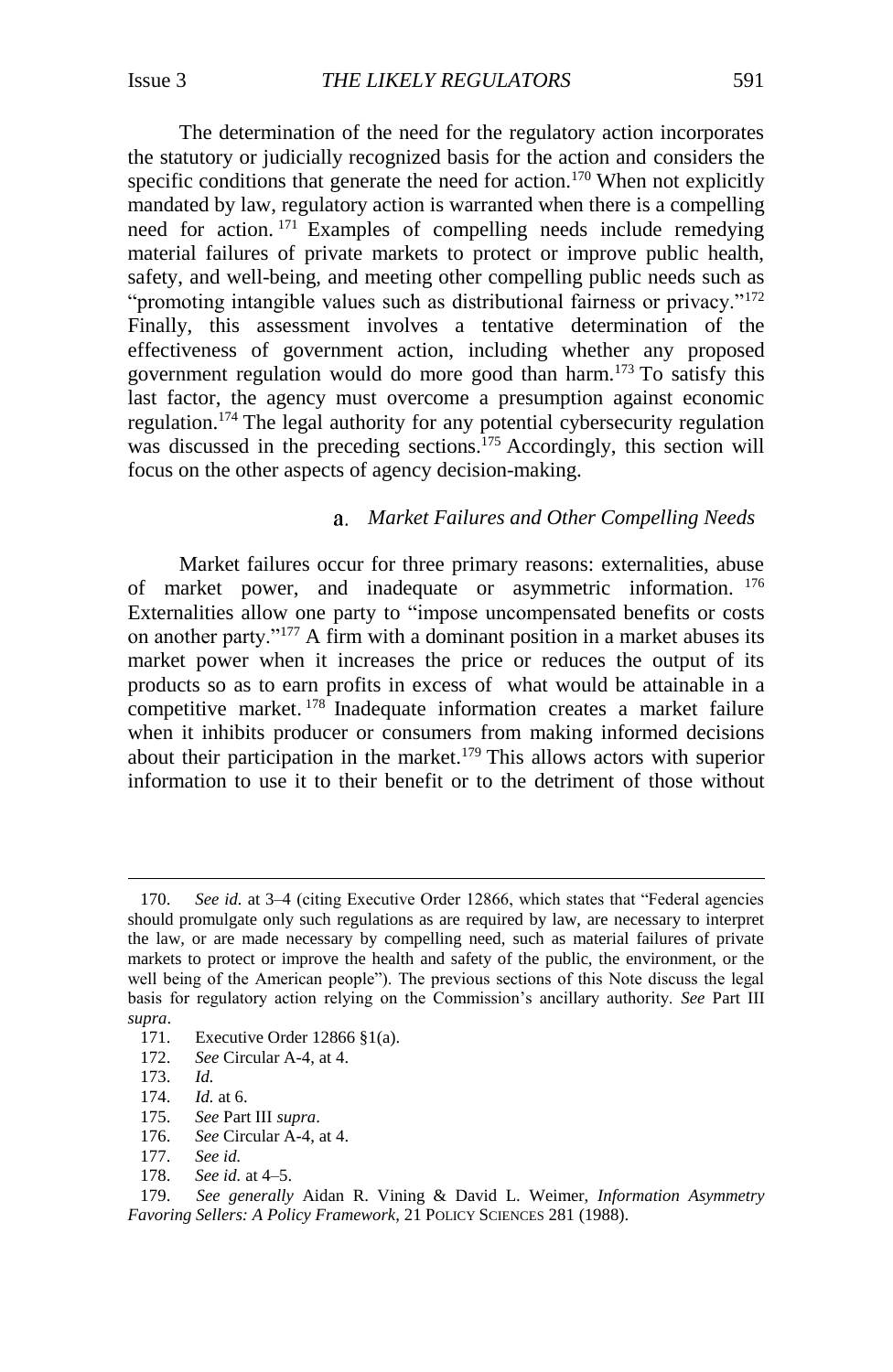The determination of the need for the regulatory action incorporates the statutory or judicially recognized basis for the action and considers the specific conditions that generate the need for action.<sup>170</sup> When not explicitly mandated by law, regulatory action is warranted when there is a compelling need for action. <sup>171</sup> Examples of compelling needs include remedying material failures of private markets to protect or improve public health, safety, and well-being, and meeting other compelling public needs such as "promoting intangible values such as distributional fairness or privacy."<sup>172</sup> Finally, this assessment involves a tentative determination of the effectiveness of government action, including whether any proposed government regulation would do more good than harm.<sup>173</sup> To satisfy this last factor, the agency must overcome a presumption against economic regulation.<sup>174</sup> The legal authority for any potential cybersecurity regulation was discussed in the preceding sections.<sup>175</sup> Accordingly, this section will focus on the other aspects of agency decision-making.

#### *Market Failures and Other Compelling Needs*

Market failures occur for three primary reasons: externalities, abuse of market power, and inadequate or asymmetric information. <sup>176</sup> Externalities allow one party to "impose uncompensated benefits or costs on another party."<sup>177</sup> A firm with a dominant position in a market abuses its market power when it increases the price or reduces the output of its products so as to earn profits in excess of what would be attainable in a competitive market. <sup>178</sup> Inadequate information creates a market failure when it inhibits producer or consumers from making informed decisions about their participation in the market.<sup>179</sup> This allows actors with superior information to use it to their benefit or to the detriment of those without

<sup>170.</sup> *See id.* at 3–4 (citing Executive Order 12866, which states that "Federal agencies should promulgate only such regulations as are required by law, are necessary to interpret the law, or are made necessary by compelling need, such as material failures of private markets to protect or improve the health and safety of the public, the environment, or the well being of the American people"). The previous sections of this Note discuss the legal basis for regulatory action relying on the Commission's ancillary authority. *See* Part III *supra*.

<sup>171.</sup> Executive Order 12866 §1(a).

<sup>172.</sup> *See* Circular A-4, at 4.

<sup>173.</sup> *Id.*

<sup>174.</sup> *Id.* at 6.

<sup>175.</sup> *See* Part III *supra*.

See Circular A-4, at 4.

<sup>177.</sup> *See id.*

<sup>178.</sup> *See id.* at 4–5.

<sup>179.</sup> *See generally* Aidan R. Vining & David L. Weimer, *Information Asymmetry Favoring Sellers: A Policy Framework*, 21 POLICY SCIENCES 281 (1988).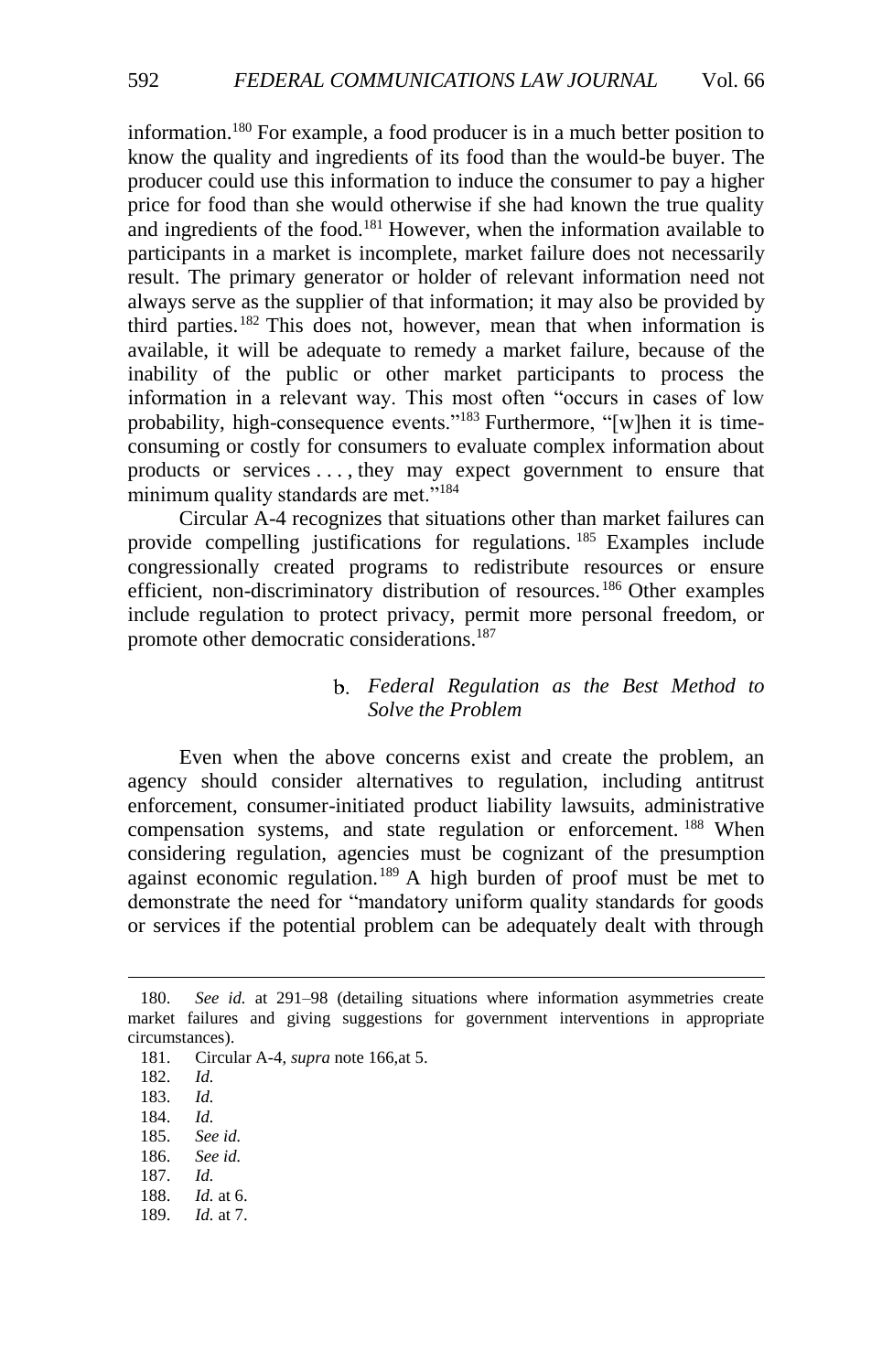information.<sup>180</sup> For example, a food producer is in a much better position to know the quality and ingredients of its food than the would-be buyer. The producer could use this information to induce the consumer to pay a higher price for food than she would otherwise if she had known the true quality and ingredients of the food.<sup>181</sup> However, when the information available to participants in a market is incomplete, market failure does not necessarily result. The primary generator or holder of relevant information need not always serve as the supplier of that information; it may also be provided by third parties.<sup>182</sup> This does not, however, mean that when information is available, it will be adequate to remedy a market failure, because of the inability of the public or other market participants to process the information in a relevant way. This most often "occurs in cases of low probability, high-consequence events."<sup>183</sup> Furthermore, "[w]hen it is timeconsuming or costly for consumers to evaluate complex information about products or services . . . , they may expect government to ensure that minimum quality standards are met."<sup>184</sup>

Circular A-4 recognizes that situations other than market failures can provide compelling justifications for regulations. <sup>185</sup> Examples include congressionally created programs to redistribute resources or ensure efficient, non-discriminatory distribution of resources.<sup>186</sup> Other examples include regulation to protect privacy, permit more personal freedom, or promote other democratic considerations.<sup>187</sup>

### *Federal Regulation as the Best Method to Solve the Problem*

Even when the above concerns exist and create the problem, an agency should consider alternatives to regulation, including antitrust enforcement, consumer-initiated product liability lawsuits, administrative compensation systems, and state regulation or enforcement. <sup>188</sup> When considering regulation, agencies must be cognizant of the presumption against economic regulation.<sup>189</sup> A high burden of proof must be met to demonstrate the need for "mandatory uniform quality standards for goods or services if the potential problem can be adequately dealt with through

- 186. *See id.*
- 187. *Id.*
- 188. *Id.* at 6. 189. *Id.* at 7.

<sup>180.</sup> *See id.* at 291–98 (detailing situations where information asymmetries create market failures and giving suggestions for government interventions in appropriate circumstances).

<sup>181.</sup> Circular A-4, *supra* note [166,a](#page-23-2)t 5.

<sup>182.</sup> *Id.*

<sup>183.</sup> *Id.*

<sup>184.</sup> *Id.*

<sup>185.</sup> *See id.*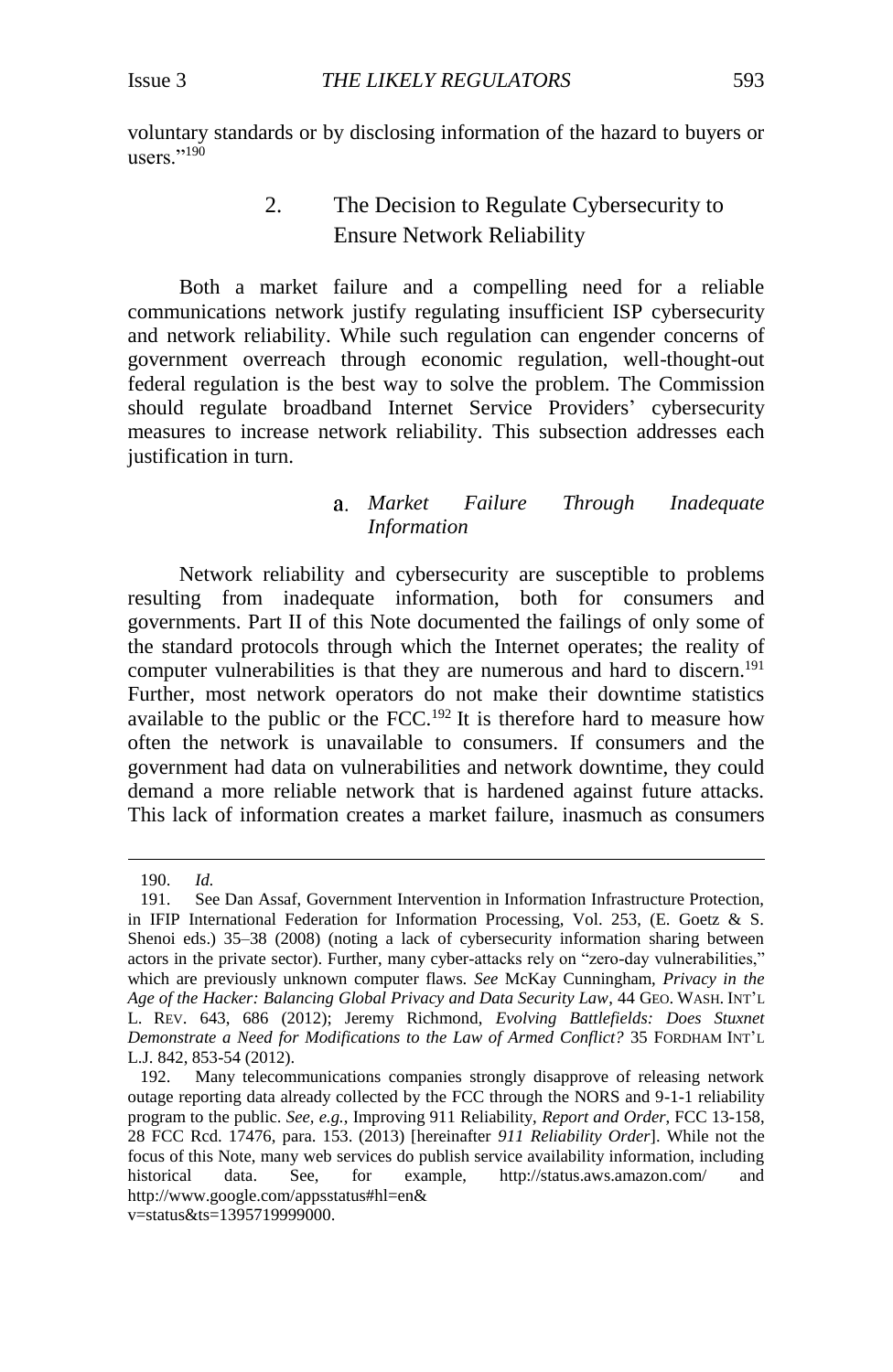<span id="page-26-0"></span>voluntary standards or by disclosing information of the hazard to buyers or users."<sup>190</sup>

## 2. The Decision to Regulate Cybersecurity to Ensure Network Reliability

Both a market failure and a compelling need for a reliable communications network justify regulating insufficient ISP cybersecurity and network reliability. While such regulation can engender concerns of government overreach through economic regulation, well-thought-out federal regulation is the best way to solve the problem. The Commission should regulate broadband Internet Service Providers' cybersecurity measures to increase network reliability. This subsection addresses each justification in turn.

## <span id="page-26-1"></span>*Market Failure Through Inadequate Information*

Network reliability and cybersecurity are susceptible to problems resulting from inadequate information, both for consumers and governments. Part II of this Note documented the failings of only some of the standard protocols through which the Internet operates; the reality of computer vulnerabilities is that they are numerous and hard to discern.<sup>191</sup> Further, most network operators do not make their downtime statistics available to the public or the FCC.<sup>192</sup> It is therefore hard to measure how often the network is unavailable to consumers. If consumers and the government had data on vulnerabilities and network downtime, they could demand a more reliable network that is hardened against future attacks. This lack of information creates a market failure, inasmuch as consumers

<sup>190.</sup> *Id.*

<sup>191.</sup> See Dan Assaf, Government Intervention in Information Infrastructure Protection, in IFIP International Federation for Information Processing, Vol. 253, (E. Goetz & S. Shenoi eds.) 35–38 (2008) (noting a lack of cybersecurity information sharing between actors in the private sector). Further, many cyber-attacks rely on "zero-day vulnerabilities," which are previously unknown computer flaws. *See* McKay Cunningham, *Privacy in the Age of the Hacker: Balancing Global Privacy and Data Security Law*, 44 GEO. WASH. INT'L L. REV. 643, 686 (2012); Jeremy Richmond, *Evolving Battlefields: Does Stuxnet Demonstrate a Need for Modifications to the Law of Armed Conflict?* 35 FORDHAM INT'L L.J. 842, 853-54 (2012).

<sup>192.</sup> Many telecommunications companies strongly disapprove of releasing network outage reporting data already collected by the FCC through the NORS and 9-1-1 reliability program to the public. *See, e.g.*, Improving 911 Reliability, *Report and Order*, FCC 13-158, 28 FCC Rcd. 17476, para. 153. (2013) [hereinafter *911 Reliability Order*]. While not the focus of this Note, many web services do publish service availability information, including historical data. See, for example, http://status.aws.amazon.com/ and [http://www.google.com/appss](http://www.google.com/apps)tatus#hl=en& v=status&ts=1395719999000.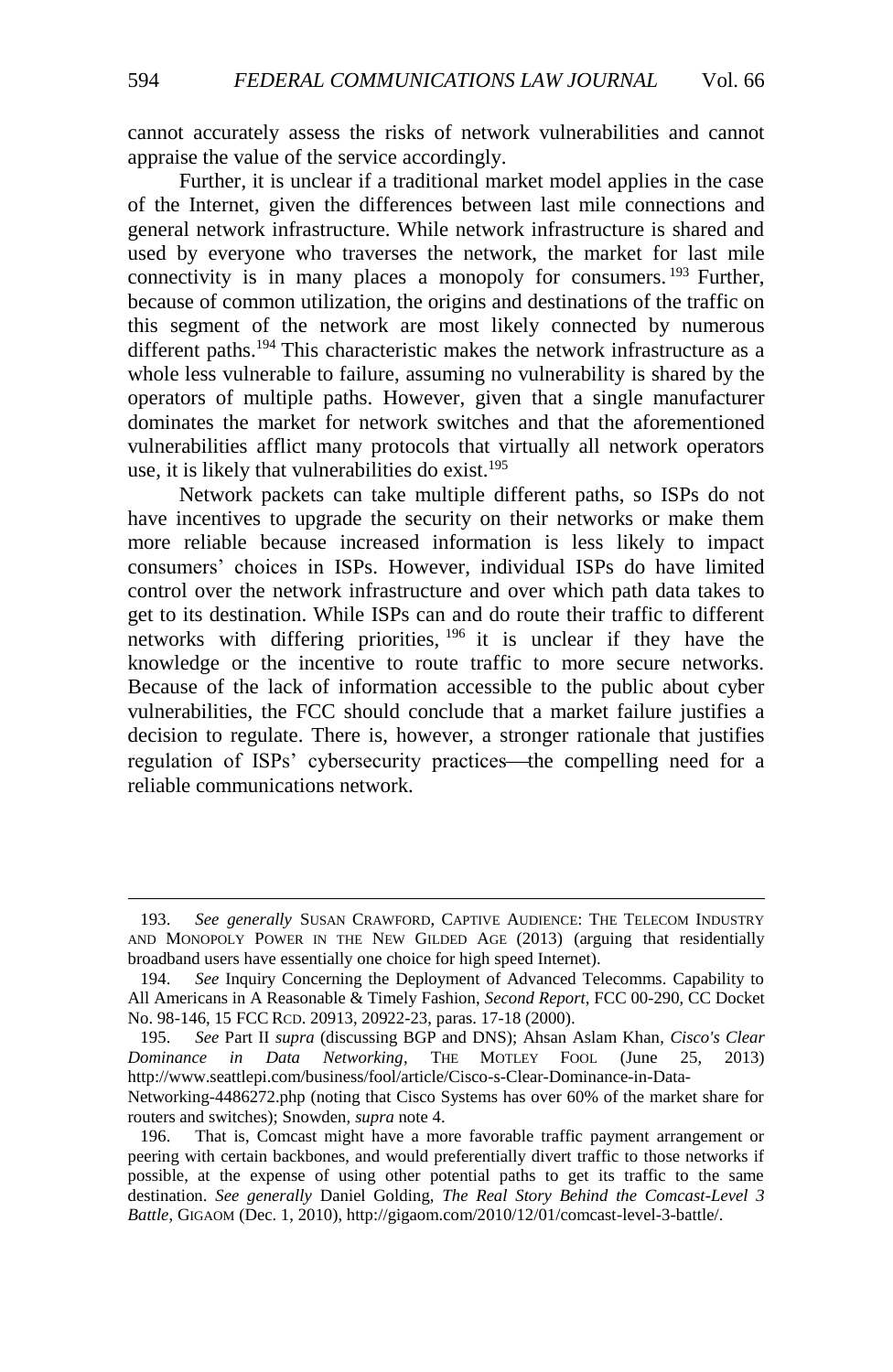cannot accurately assess the risks of network vulnerabilities and cannot appraise the value of the service accordingly.

Further, it is unclear if a traditional market model applies in the case of the Internet, given the differences between last mile connections and general network infrastructure. While network infrastructure is shared and used by everyone who traverses the network, the market for last mile connectivity is in many places a monopoly for consumers. <sup>193</sup> Further, because of common utilization, the origins and destinations of the traffic on this segment of the network are most likely connected by numerous different paths.<sup>194</sup> This characteristic makes the network infrastructure as a whole less vulnerable to failure, assuming no vulnerability is shared by the operators of multiple paths. However, given that a single manufacturer dominates the market for network switches and that the aforementioned vulnerabilities afflict many protocols that virtually all network operators use, it is likely that vulnerabilities do exist.<sup>195</sup>

Network packets can take multiple different paths, so ISPs do not have incentives to upgrade the security on their networks or make them more reliable because increased information is less likely to impact consumers' choices in ISPs. However, individual ISPs do have limited control over the network infrastructure and over which path data takes to get to its destination. While ISPs can and do route their traffic to different networks with differing priorities, <sup>196</sup> it is unclear if they have the knowledge or the incentive to route traffic to more secure networks. Because of the lack of information accessible to the public about cyber vulnerabilities, the FCC should conclude that a market failure justifies a decision to regulate. There is, however, a stronger rationale that justifies regulation of ISPs' cybersecurity practices—the compelling need for a reliable communications network.

<sup>193.</sup> *See generally* SUSAN CRAWFORD, CAPTIVE AUDIENCE: THE TELECOM INDUSTRY AND MONOPOLY POWER IN THE NEW GILDED AGE (2013) (arguing that residentially broadband users have essentially one choice for high speed Internet).

<sup>194.</sup> *See* Inquiry Concerning the Deployment of Advanced Telecomms. Capability to All Americans in A Reasonable & Timely Fashion, *Second Report*, FCC 00-290, CC Docket No. 98-146, 15 FCC RCD. 20913, 20922-23, paras. 17-18 (2000).

<sup>195.</sup> *See* Part II *supra* (discussing BGP and DNS); Ahsan Aslam Khan, *Cisco's Clear Dominance in Data Networking*, THE MOTLEY FOOL (June 25, 2013) http://www.seattlepi.com/business/fool/article/Cisco-s-Clear-Dominance-in-Data-Networking-4486272.php (noting that Cisco Systems has over 60% of the market share for routers and switches); Snowden, *supra* not[e 4.](#page-2-1)

<sup>196.</sup> That is, Comcast might have a more favorable traffic payment arrangement or peering with certain backbones, and would preferentially divert traffic to those networks if possible, at the expense of using other potential paths to get its traffic to the same destination. *See generally* Daniel Golding, *The Real Story Behind the Comcast-Level 3 Battle*, GIGAOM (Dec. 1, 2010), http://gigaom.com/2010/12/01/comcast-level-3-battle/.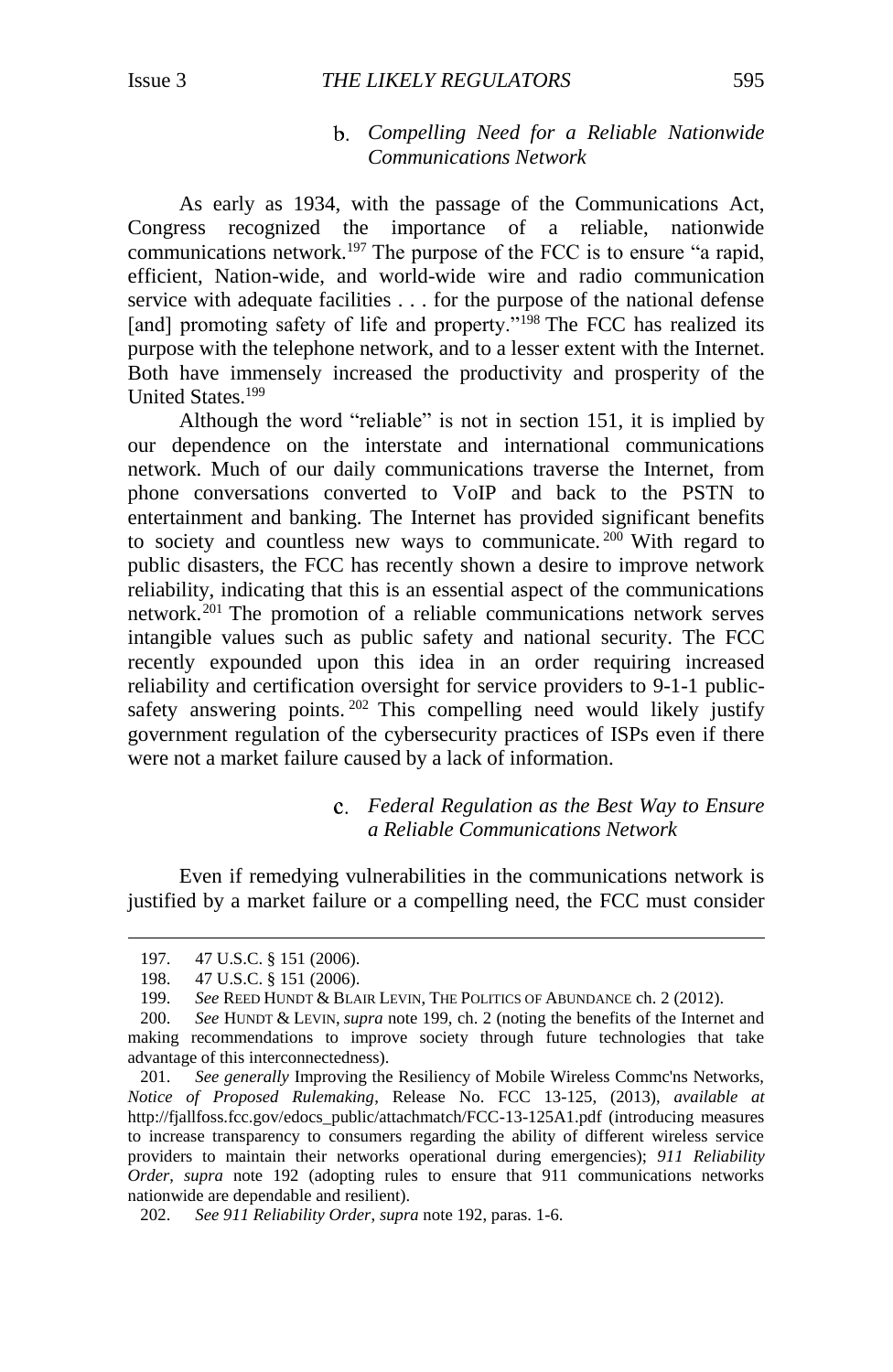## *Compelling Need for a Reliable Nationwide Communications Network*

As early as 1934, with the passage of the Communications Act, Congress recognized the importance of a reliable, nationwide communications network.<sup>197</sup> The purpose of the FCC is to ensure "a rapid, efficient, Nation-wide, and world-wide wire and radio communication service with adequate facilities . . . for the purpose of the national defense [and] promoting safety of life and property."<sup>198</sup> The FCC has realized its purpose with the telephone network, and to a lesser extent with the Internet. Both have immensely increased the productivity and prosperity of the United States.<sup>199</sup>

<span id="page-28-0"></span>Although the word "reliable" is not in section 151, it is implied by our dependence on the interstate and international communications network. Much of our daily communications traverse the Internet, from phone conversations converted to VoIP and back to the PSTN to entertainment and banking. The Internet has provided significant benefits to society and countless new ways to communicate.<sup>200</sup> With regard to public disasters, the FCC has recently shown a desire to improve network reliability, indicating that this is an essential aspect of the communications network.<sup>201</sup> The promotion of a reliable communications network serves intangible values such as public safety and national security. The FCC recently expounded upon this idea in an order requiring increased reliability and certification oversight for service providers to 9-1-1 publicsafety answering points. <sup>202</sup> This compelling need would likely justify government regulation of the cybersecurity practices of ISPs even if there were not a market failure caused by a lack of information.

## *Federal Regulation as the Best Way to Ensure a Reliable Communications Network*

Even if remedying vulnerabilities in the communications network is justified by a market failure or a compelling need, the FCC must consider

<sup>197. 47</sup> U.S.C. § 151 (2006).

<sup>198. 47</sup> U.S.C. § 151 (2006).<br>199. See REED HUNDT & BLA

See REED HUNDT & BLAIR LEVIN, THE POLITICS OF ABUNDANCE ch. 2 (2012).

<sup>200.</sup> *See* HUNDT & LEVIN, *supra* not[e 199,](#page-28-0) ch. 2 (noting the benefits of the Internet and making recommendations to improve society through future technologies that take advantage of this interconnectedness).

<sup>201.</sup> *See generally* Improving the Resiliency of Mobile Wireless Commc'ns Networks, *Notice of Proposed Rulemaking*, Release No. FCC 13-125, (2013), *available at* http://fjallfoss.fcc.gov/edocs\_public/attachmatch/FCC-13-125A1.pdf (introducing measures to increase transparency to consumers regarding the ability of different wireless service providers to maintain their networks operational during emergencies); *911 Reliability Order*, *supra* note [192](#page-26-1) (adopting rules to ensure that 911 communications networks nationwide are dependable and resilient).

<sup>202.</sup> *See 911 Reliability Order*, *supra* not[e 192,](#page-26-1) paras. 1-6.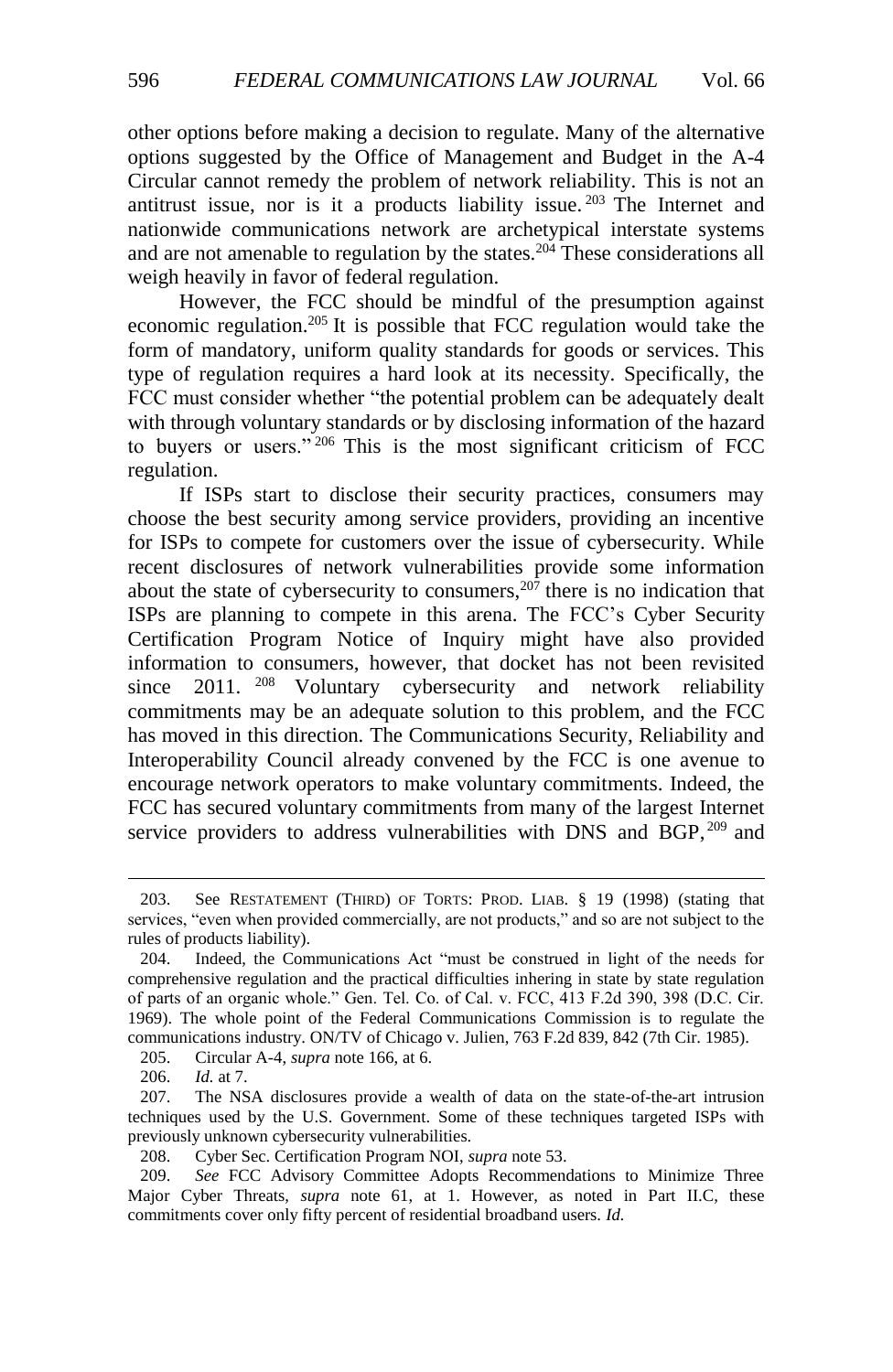other options before making a decision to regulate. Many of the alternative options suggested by the Office of Management and Budget in the A-4 Circular cannot remedy the problem of network reliability. This is not an antitrust issue, nor is it a products liability issue.  $203$  The Internet and nationwide communications network are archetypical interstate systems and are not amenable to regulation by the states.<sup>204</sup> These considerations all weigh heavily in favor of federal regulation.

However, the FCC should be mindful of the presumption against economic regulation.<sup>205</sup> It is possible that FCC regulation would take the form of mandatory, uniform quality standards for goods or services. This type of regulation requires a hard look at its necessity. Specifically, the FCC must consider whether "the potential problem can be adequately dealt with through voluntary standards or by disclosing information of the hazard to buyers or users." <sup>206</sup> This is the most significant criticism of FCC regulation.

If ISPs start to disclose their security practices, consumers may choose the best security among service providers, providing an incentive for ISPs to compete for customers over the issue of cybersecurity. While recent disclosures of network vulnerabilities provide some information about the state of cybersecurity to consumers,  $20\overline{7}$  there is no indication that ISPs are planning to compete in this arena. The FCC's Cyber Security Certification Program Notice of Inquiry might have also provided information to consumers, however, that docket has not been revisited since 2011. <sup>208</sup> Voluntary cybersecurity and network reliability since 2011. <sup>208</sup> Voluntary cybersecurity and network reliability commitments may be an adequate solution to this problem, and the FCC has moved in this direction. The Communications Security, Reliability and Interoperability Council already convened by the FCC is one avenue to encourage network operators to make voluntary commitments. Indeed, the FCC has secured voluntary commitments from many of the largest Internet service providers to address vulnerabilities with DNS and BGP, <sup>209</sup> and

205. Circular A-4, *supra* note [166,](#page-23-2) at 6.

<sup>203.</sup> See RESTATEMENT (THIRD) OF TORTS: PROD. LIAB. § 19 (1998) (stating that services, "even when provided commercially, are not products," and so are not subject to the rules of products liability).

<sup>204.</sup> Indeed, the Communications Act "must be construed in light of the needs for comprehensive regulation and the practical difficulties inhering in state by state regulation of parts of an organic whole." Gen. Tel. Co. of Cal. v. FCC, 413 F.2d 390, 398 (D.C. Cir. 1969). The whole point of the Federal Communications Commission is to regulate the communications industry. ON/TV of Chicago v. Julien, 763 F.2d 839, 842 (7th Cir. 1985).

<sup>206.</sup> *Id.* at 7.

<sup>207.</sup> The NSA disclosures provide a wealth of data on the state-of-the-art intrusion techniques used by the U.S. Government. Some of these techniques targeted ISPs with previously unknown cybersecurity vulnerabilities.

<sup>208.</sup> Cyber Sec. Certification Program NOI, *supra* note [53.](#page-9-2)

<sup>209.</sup> *See* FCC Advisory Committee Adopts Recommendations to Minimize Three Major Cyber Threats, *supra* note [61,](#page-10-2) at 1. However, as noted in Part II.C, these commitments cover only fifty percent of residential broadband users. *Id.*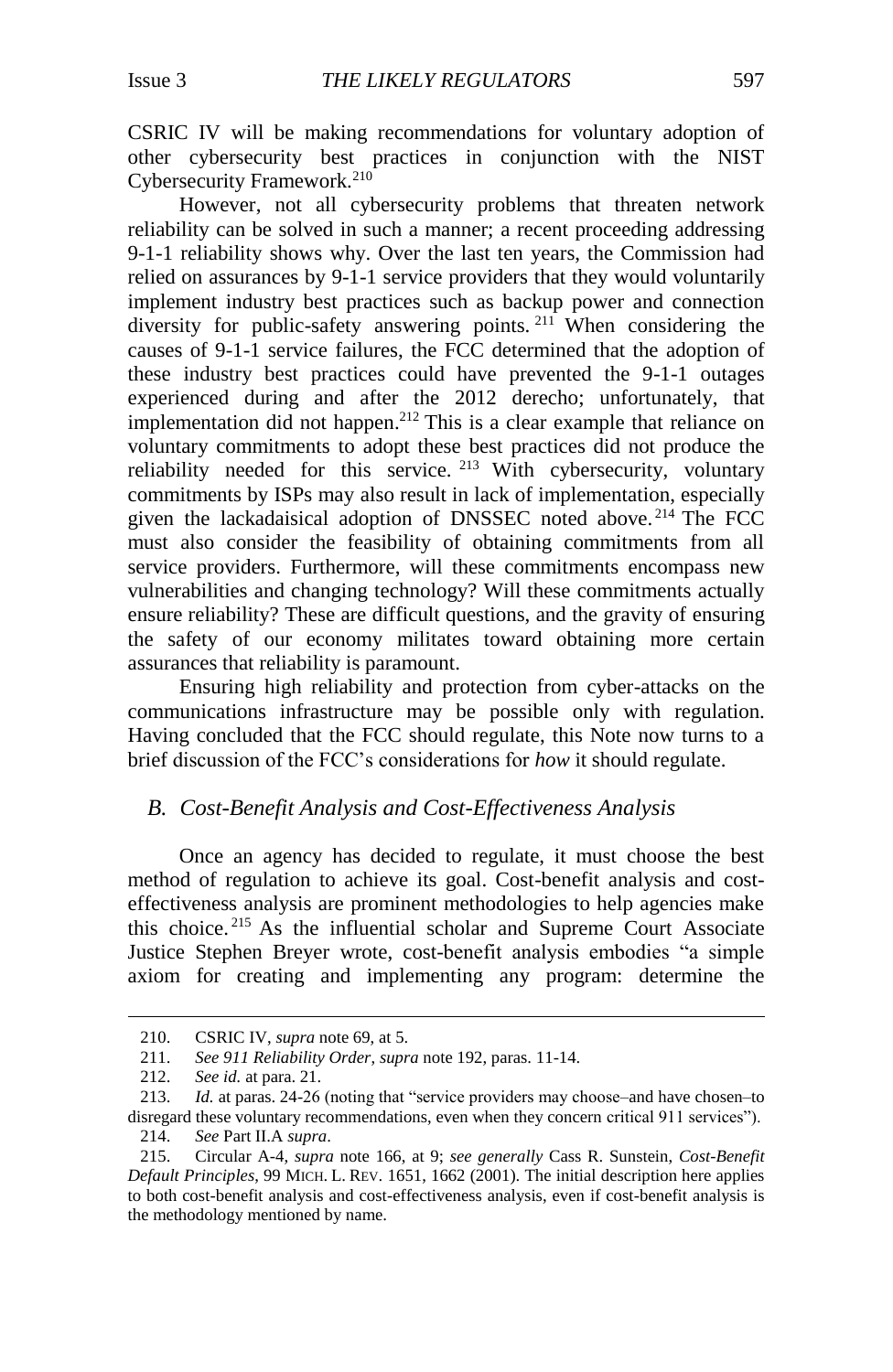CSRIC IV will be making recommendations for voluntary adoption of other cybersecurity best practices in conjunction with the NIST Cybersecurity Framework.<sup>210</sup>

However, not all cybersecurity problems that threaten network reliability can be solved in such a manner; a recent proceeding addressing 9-1-1 reliability shows why. Over the last ten years, the Commission had relied on assurances by 9-1-1 service providers that they would voluntarily implement industry best practices such as backup power and connection diversity for public-safety answering points. <sup>211</sup> When considering the causes of 9-1-1 service failures, the FCC determined that the adoption of these industry best practices could have prevented the 9-1-1 outages experienced during and after the 2012 derecho; unfortunately, that implementation did not happen.<sup>212</sup> This is a clear example that reliance on voluntary commitments to adopt these best practices did not produce the reliability needed for this service. <sup>213</sup> With cybersecurity, voluntary commitments by ISPs may also result in lack of implementation, especially given the lackadaisical adoption of DNSSEC noted above. <sup>214</sup> The FCC must also consider the feasibility of obtaining commitments from all service providers. Furthermore, will these commitments encompass new vulnerabilities and changing technology? Will these commitments actually ensure reliability? These are difficult questions, and the gravity of ensuring the safety of our economy militates toward obtaining more certain assurances that reliability is paramount.

Ensuring high reliability and protection from cyber-attacks on the communications infrastructure may be possible only with regulation. Having concluded that the FCC should regulate, this Note now turns to a brief discussion of the FCC's considerations for *how* it should regulate.

## <span id="page-30-0"></span>*B. Cost-Benefit Analysis and Cost-Effectiveness Analysis*

<span id="page-30-1"></span>Once an agency has decided to regulate, it must choose the best method of regulation to achieve its goal. Cost-benefit analysis and costeffectiveness analysis are prominent methodologies to help agencies make this choice. <sup>215</sup> As the influential scholar and Supreme Court Associate Justice Stephen Breyer wrote, cost-benefit analysis embodies "a simple axiom for creating and implementing any program: determine the

<sup>210.</sup> CSRIC IV, *supra* not[e 69,](#page-11-2) at 5.

<sup>211.</sup> *See 911 Reliability Order*, *supra* not[e 192,](#page-26-1) paras. 11-14.

<sup>212.</sup> *See id.* at para. 21.

<sup>213.</sup> *Id.* at paras. 24-26 (noting that "service providers may choose–and have chosen–to disregard these voluntary recommendations, even when they concern critical 911 services"). 214. *See* Part II.A *supra*.

<sup>215.</sup> Circular A-4, *supra* note [166,](#page-23-2) at 9; *see generally* Cass R. Sunstein, *Cost-Benefit Default Principles*, 99 MICH. L. REV. 1651, 1662 (2001). The initial description here applies to both cost-benefit analysis and cost-effectiveness analysis, even if cost-benefit analysis is the methodology mentioned by name.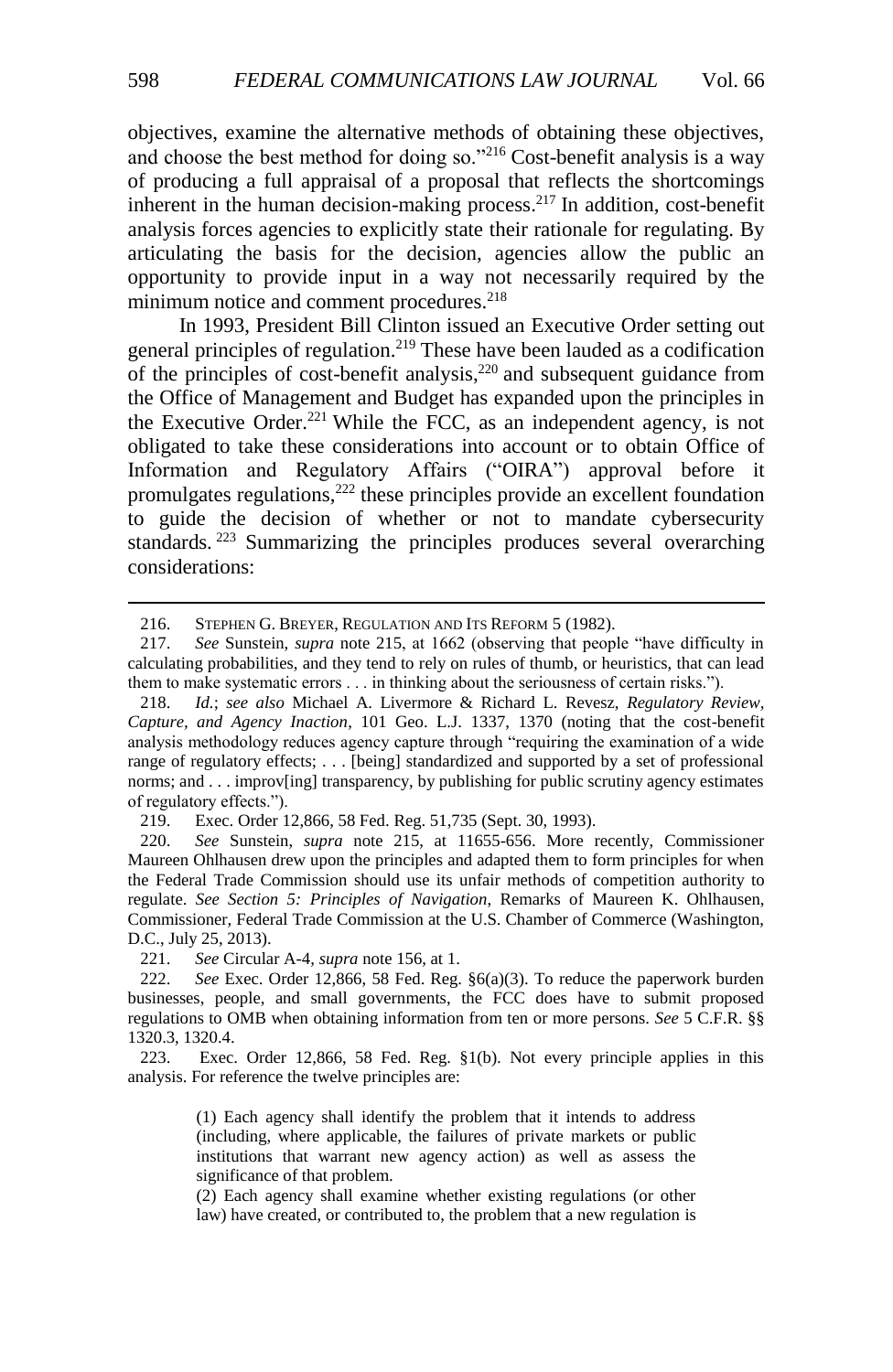objectives, examine the alternative methods of obtaining these objectives, and choose the best method for doing so."<sup>216</sup> Cost-benefit analysis is a way of producing a full appraisal of a proposal that reflects the shortcomings inherent in the human decision-making process.<sup>217</sup> In addition, cost-benefit analysis forces agencies to explicitly state their rationale for regulating. By articulating the basis for the decision, agencies allow the public an opportunity to provide input in a way not necessarily required by the minimum notice and comment procedures.<sup>218</sup>

<span id="page-31-0"></span>In 1993, President Bill Clinton issued an Executive Order setting out general principles of regulation.<sup>219</sup> These have been lauded as a codification of the principles of cost-benefit analysis, $220$  and subsequent guidance from the Office of Management and Budget has expanded upon the principles in the Executive Order.<sup>221</sup> While the FCC, as an independent agency, is not obligated to take these considerations into account or to obtain Office of Information and Regulatory Affairs ("OIRA") approval before it promulgates regulations, $^{222}$  these principles provide an excellent foundation to guide the decision of whether or not to mandate cybersecurity standards. <sup>223</sup> Summarizing the principles produces several overarching considerations:

221. *See* Circular A-4, *supra* note 156, at 1.

223. Exec. Order 12,866, 58 Fed. Reg. §1(b). Not every principle applies in this analysis. For reference the twelve principles are:

> (1) Each agency shall identify the problem that it intends to address (including, where applicable, the failures of private markets or public institutions that warrant new agency action) as well as assess the significance of that problem.

> (2) Each agency shall examine whether existing regulations (or other law) have created, or contributed to, the problem that a new regulation is

<sup>216.</sup> STEPHEN G. BREYER, REGULATION AND ITS REFORM 5 (1982).

<sup>217.</sup> *See* Sunstein, *supra* note [215,](#page-30-1) at 1662 (observing that people "have difficulty in calculating probabilities, and they tend to rely on rules of thumb, or heuristics, that can lead them to make systematic errors . . . in thinking about the seriousness of certain risks.").

<sup>218.</sup> *Id.*; *see also* Michael A. Livermore & Richard L. Revesz, *Regulatory Review, Capture, and Agency Inaction*, 101 Geo. L.J. 1337, 1370 (noting that the cost-benefit analysis methodology reduces agency capture through "requiring the examination of a wide range of regulatory effects; . . . [being] standardized and supported by a set of professional norms; and . . . improv[ing] transparency, by publishing for public scrutiny agency estimates of regulatory effects.").

<sup>219.</sup> Exec. Order 12,866, 58 Fed. Reg. 51,735 (Sept. 30, 1993).

<sup>220.</sup> *See* Sunstein, *supra* note [215,](#page-30-1) at 11655-656. More recently, Commissioner Maureen Ohlhausen drew upon the principles and adapted them to form principles for when the Federal Trade Commission should use its unfair methods of competition authority to regulate. *See Section 5: Principles of Navigation*, Remarks of Maureen K. Ohlhausen, Commissioner, Federal Trade Commission at the U.S. Chamber of Commerce (Washington, D.C., July 25, 2013).

<sup>222.</sup> *See* Exec. Order 12,866, 58 Fed. Reg. §6(a)(3). To reduce the paperwork burden businesses, people, and small governments, the FCC does have to submit proposed regulations to OMB when obtaining information from ten or more persons. *See* 5 C.F.R. §§ 1320.3, 1320.4.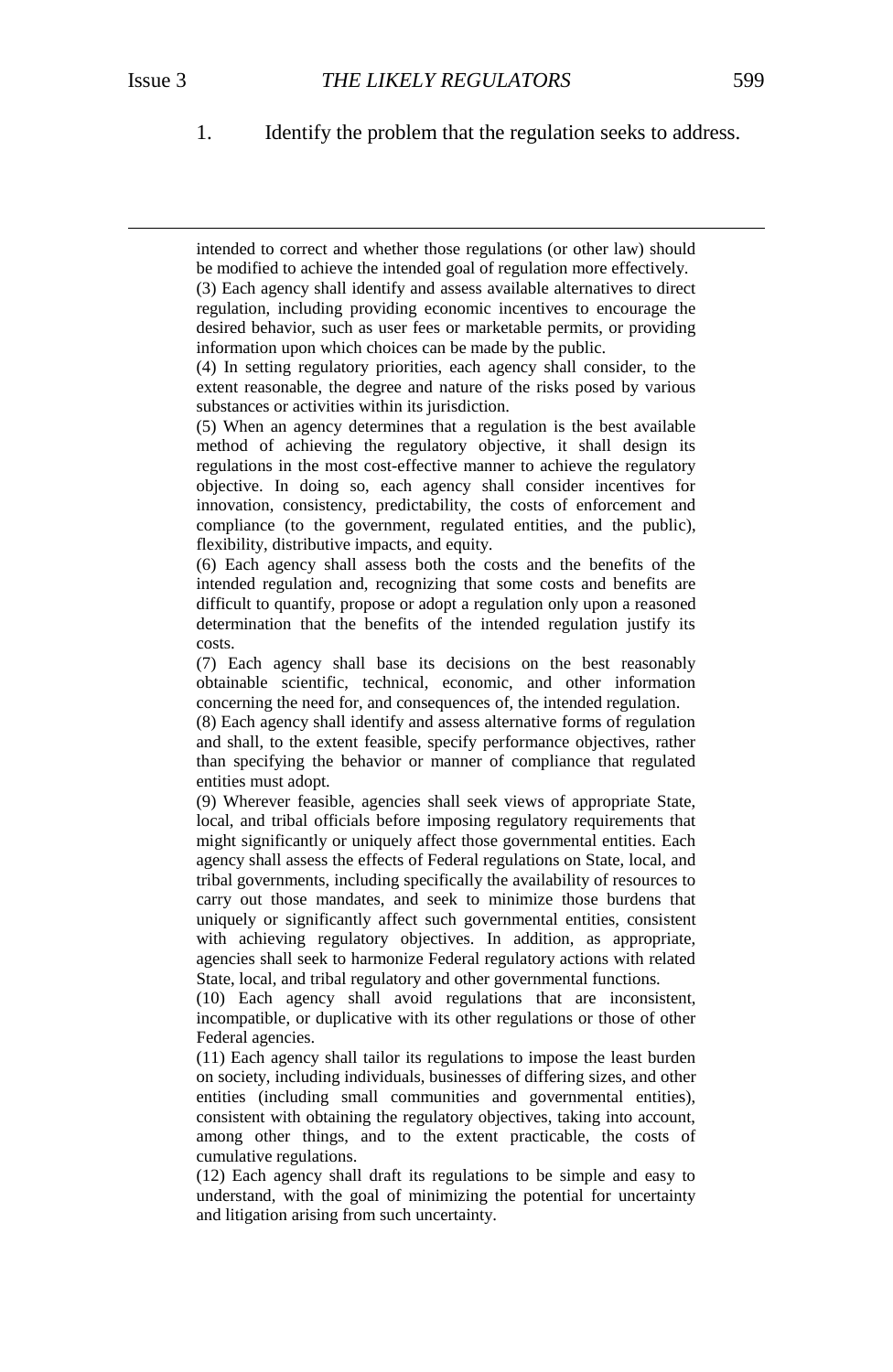$\overline{a}$ 

1. Identify the problem that the regulation seeks to address.

intended to correct and whether those regulations (or other law) should be modified to achieve the intended goal of regulation more effectively.

(3) Each agency shall identify and assess available alternatives to direct regulation, including providing economic incentives to encourage the desired behavior, such as user fees or marketable permits, or providing information upon which choices can be made by the public.

(4) In setting regulatory priorities, each agency shall consider, to the extent reasonable, the degree and nature of the risks posed by various substances or activities within its jurisdiction.

(5) When an agency determines that a regulation is the best available method of achieving the regulatory objective, it shall design its regulations in the most cost-effective manner to achieve the regulatory objective. In doing so, each agency shall consider incentives for innovation, consistency, predictability, the costs of enforcement and compliance (to the government, regulated entities, and the public), flexibility, distributive impacts, and equity.

(6) Each agency shall assess both the costs and the benefits of the intended regulation and, recognizing that some costs and benefits are difficult to quantify, propose or adopt a regulation only upon a reasoned determination that the benefits of the intended regulation justify its costs.

(7) Each agency shall base its decisions on the best reasonably obtainable scientific, technical, economic, and other information concerning the need for, and consequences of, the intended regulation.

(8) Each agency shall identify and assess alternative forms of regulation and shall, to the extent feasible, specify performance objectives, rather than specifying the behavior or manner of compliance that regulated entities must adopt.

(9) Wherever feasible, agencies shall seek views of appropriate State, local, and tribal officials before imposing regulatory requirements that might significantly or uniquely affect those governmental entities. Each agency shall assess the effects of Federal regulations on State, local, and tribal governments, including specifically the availability of resources to carry out those mandates, and seek to minimize those burdens that uniquely or significantly affect such governmental entities, consistent with achieving regulatory objectives. In addition, as appropriate, agencies shall seek to harmonize Federal regulatory actions with related State, local, and tribal regulatory and other governmental functions.

(10) Each agency shall avoid regulations that are inconsistent, incompatible, or duplicative with its other regulations or those of other Federal agencies.

(11) Each agency shall tailor its regulations to impose the least burden on society, including individuals, businesses of differing sizes, and other entities (including small communities and governmental entities), consistent with obtaining the regulatory objectives, taking into account, among other things, and to the extent practicable, the costs of cumulative regulations.

(12) Each agency shall draft its regulations to be simple and easy to understand, with the goal of minimizing the potential for uncertainty and litigation arising from such uncertainty.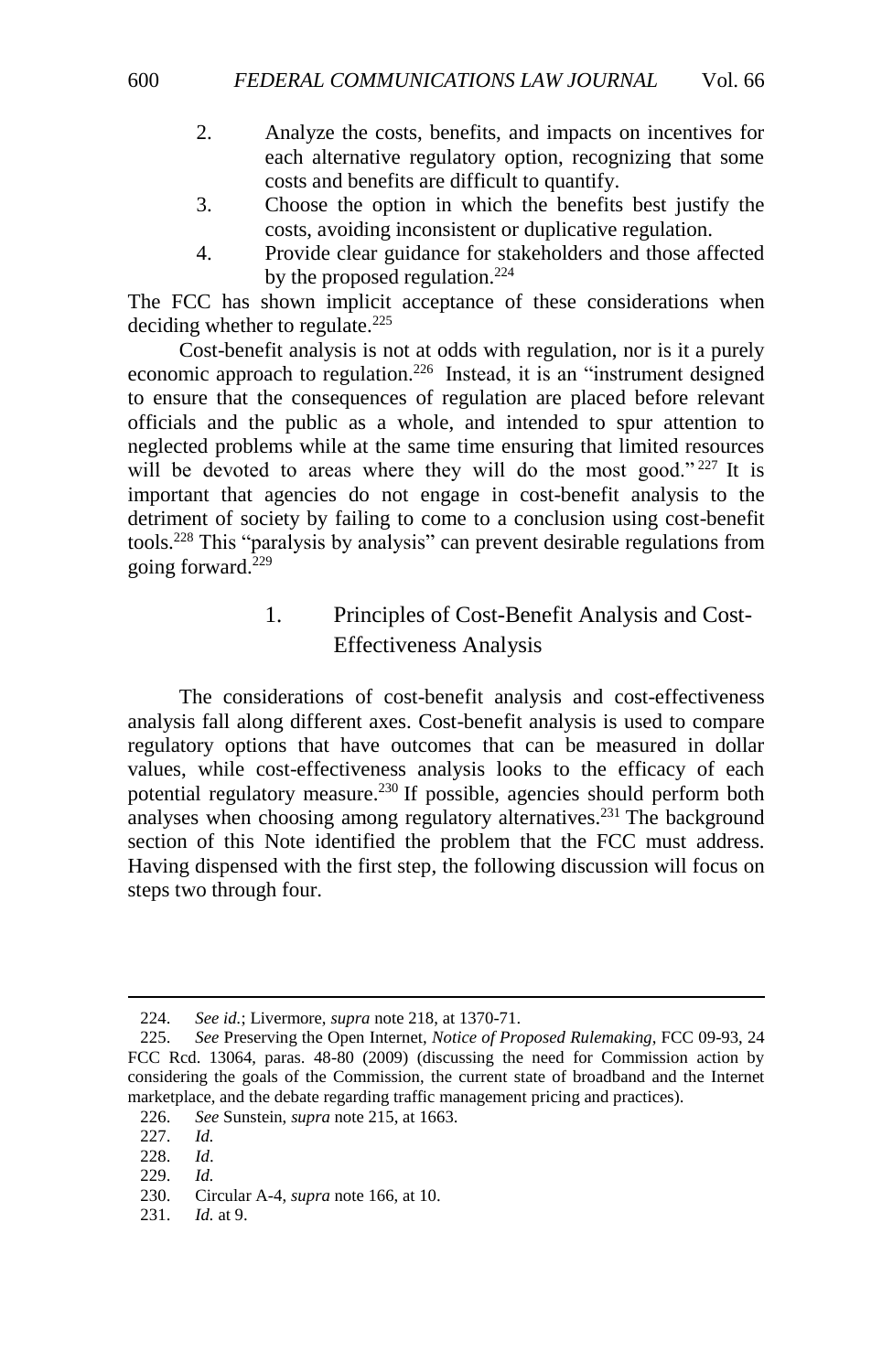- 2. Analyze the costs, benefits, and impacts on incentives for each alternative regulatory option, recognizing that some costs and benefits are difficult to quantify.
- 3. Choose the option in which the benefits best justify the costs, avoiding inconsistent or duplicative regulation.
- 4. Provide clear guidance for stakeholders and those affected by the proposed regulation.<sup>224</sup>

The FCC has shown implicit acceptance of these considerations when deciding whether to regulate.<sup>225</sup>

Cost-benefit analysis is not at odds with regulation, nor is it a purely economic approach to regulation.<sup>226</sup> Instead, it is an "instrument designed to ensure that the consequences of regulation are placed before relevant officials and the public as a whole, and intended to spur attention to neglected problems while at the same time ensuring that limited resources will be devoted to areas where they will do the most good."  $227$  It is important that agencies do not engage in cost-benefit analysis to the detriment of society by failing to come to a conclusion using cost-benefit tools.<sup>228</sup> This "paralysis by analysis" can prevent desirable regulations from going forward. $229$ 

## 1. Principles of Cost-Benefit Analysis and Cost-Effectiveness Analysis

<span id="page-33-0"></span>The considerations of cost-benefit analysis and cost-effectiveness analysis fall along different axes. Cost-benefit analysis is used to compare regulatory options that have outcomes that can be measured in dollar values, while cost-effectiveness analysis looks to the efficacy of each potential regulatory measure.<sup>230</sup> If possible, agencies should perform both analyses when choosing among regulatory alternatives.<sup>231</sup> The background section of this Note identified the problem that the FCC must address. Having dispensed with the first step, the following discussion will focus on steps two through four.

 $\overline{a}$ 

231. *Id.* at 9.

<sup>224.</sup> *See id.*; Livermore, *supra* note [218,](#page-31-0) at 1370-71.

<sup>225.</sup> *See* Preserving the Open Internet, *Notice of Proposed Rulemaking*, FCC 09-93, 24 FCC Rcd. 13064, paras. 48-80 (2009) (discussing the need for Commission action by considering the goals of the Commission, the current state of broadband and the Internet marketplace, and the debate regarding traffic management pricing and practices).

<sup>226.</sup> *See* Sunstein, *supra* note [215,](#page-30-1) at 1663.

<sup>227.</sup> *Id.*

<sup>228.</sup> *Id*.

<sup>229.</sup> *Id.*

<sup>230.</sup> Circular A-4, *supra* note [166,](#page-23-2) at 10.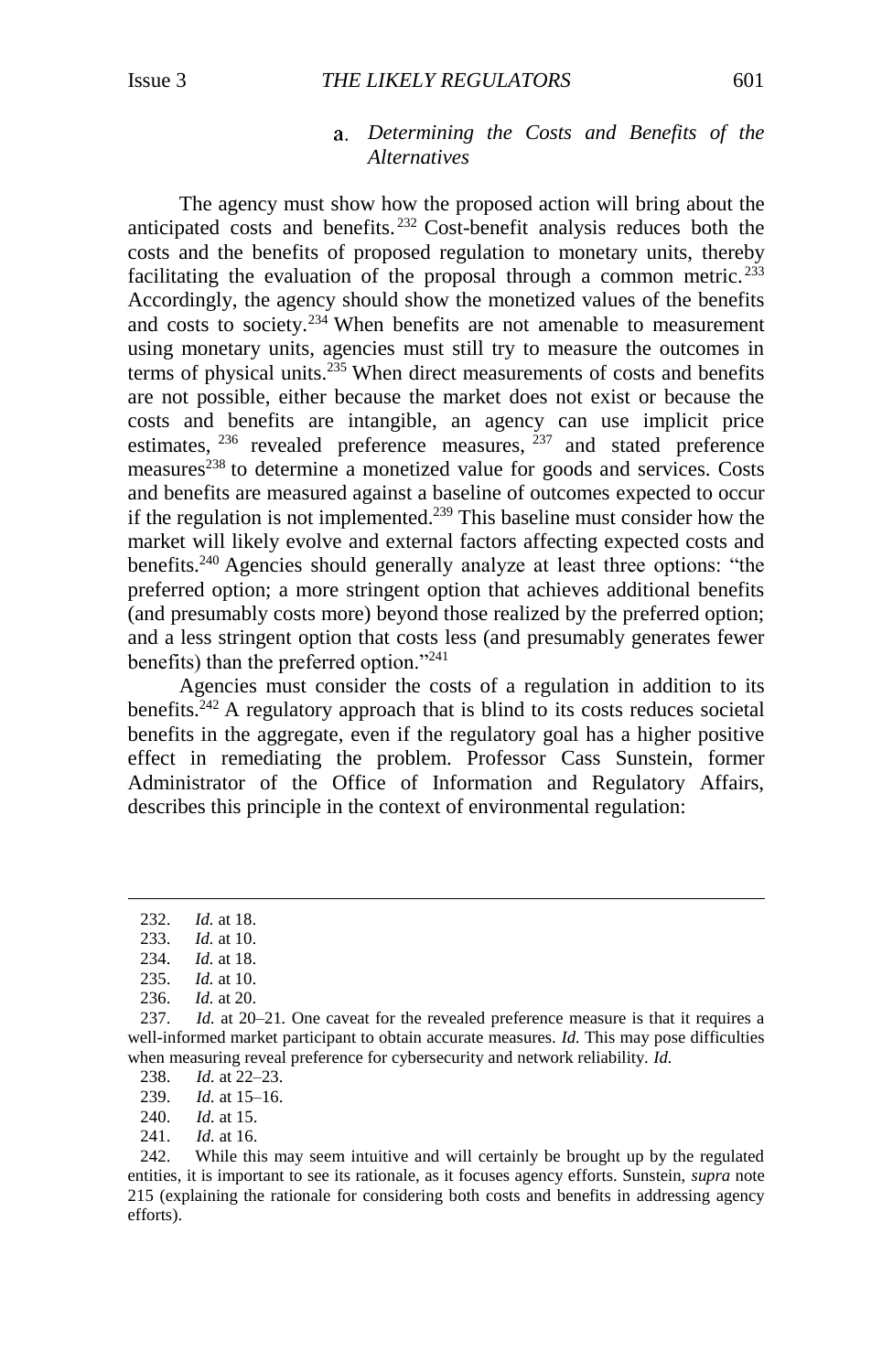#### *Determining the Costs and Benefits of the Alternatives*

The agency must show how the proposed action will bring about the anticipated costs and benefits. <sup>232</sup> Cost-benefit analysis reduces both the costs and the benefits of proposed regulation to monetary units, thereby facilitating the evaluation of the proposal through a common metric.<sup>233</sup> Accordingly, the agency should show the monetized values of the benefits and costs to society.<sup>234</sup> When benefits are not amenable to measurement using monetary units, agencies must still try to measure the outcomes in terms of physical units.<sup>235</sup> When direct measurements of costs and benefits are not possible, either because the market does not exist or because the costs and benefits are intangible, an agency can use implicit price estimates, <sup>236</sup> revealed preference measures, <sup>237</sup> and stated preference measures<sup>238</sup> to determine a monetized value for goods and services. Costs and benefits are measured against a baseline of outcomes expected to occur if the regulation is not implemented.<sup>239</sup> This baseline must consider how the market will likely evolve and external factors affecting expected costs and benefits.<sup>240</sup> Agencies should generally analyze at least three options: "the preferred option; a more stringent option that achieves additional benefits (and presumably costs more) beyond those realized by the preferred option; and a less stringent option that costs less (and presumably generates fewer benefits) than the preferred option."<sup>241</sup>

Agencies must consider the costs of a regulation in addition to its benefits.<sup>242</sup> A regulatory approach that is blind to its costs reduces societal benefits in the aggregate, even if the regulatory goal has a higher positive effect in remediating the problem. Professor Cass Sunstein, former Administrator of the Office of Information and Regulatory Affairs, describes this principle in the context of environmental regulation:

<sup>232.</sup> *Id.* at 18.

<sup>233.</sup> *Id.* at 10.

<sup>234.</sup> *Id.* at 18.

<sup>235.</sup> *Id.* at 10.

<sup>236.</sup> *Id.* at 20.

<sup>237.</sup> *Id.* at 20–21*.* One caveat for the revealed preference measure is that it requires a well-informed market participant to obtain accurate measures. *Id.* This may pose difficulties when measuring reveal preference for cybersecurity and network reliability. *Id.*

<sup>238.</sup> *Id.* at 22–23.

<sup>239.</sup> *Id.* at 15–16.

<sup>240.</sup> *Id.* at 15.

<sup>241.</sup> *Id.* at 16.

<sup>242.</sup> While this may seem intuitive and will certainly be brought up by the regulated entities, it is important to see its rationale, as it focuses agency efforts. Sunstein, *supra* note [215](#page-30-1) (explaining the rationale for considering both costs and benefits in addressing agency efforts).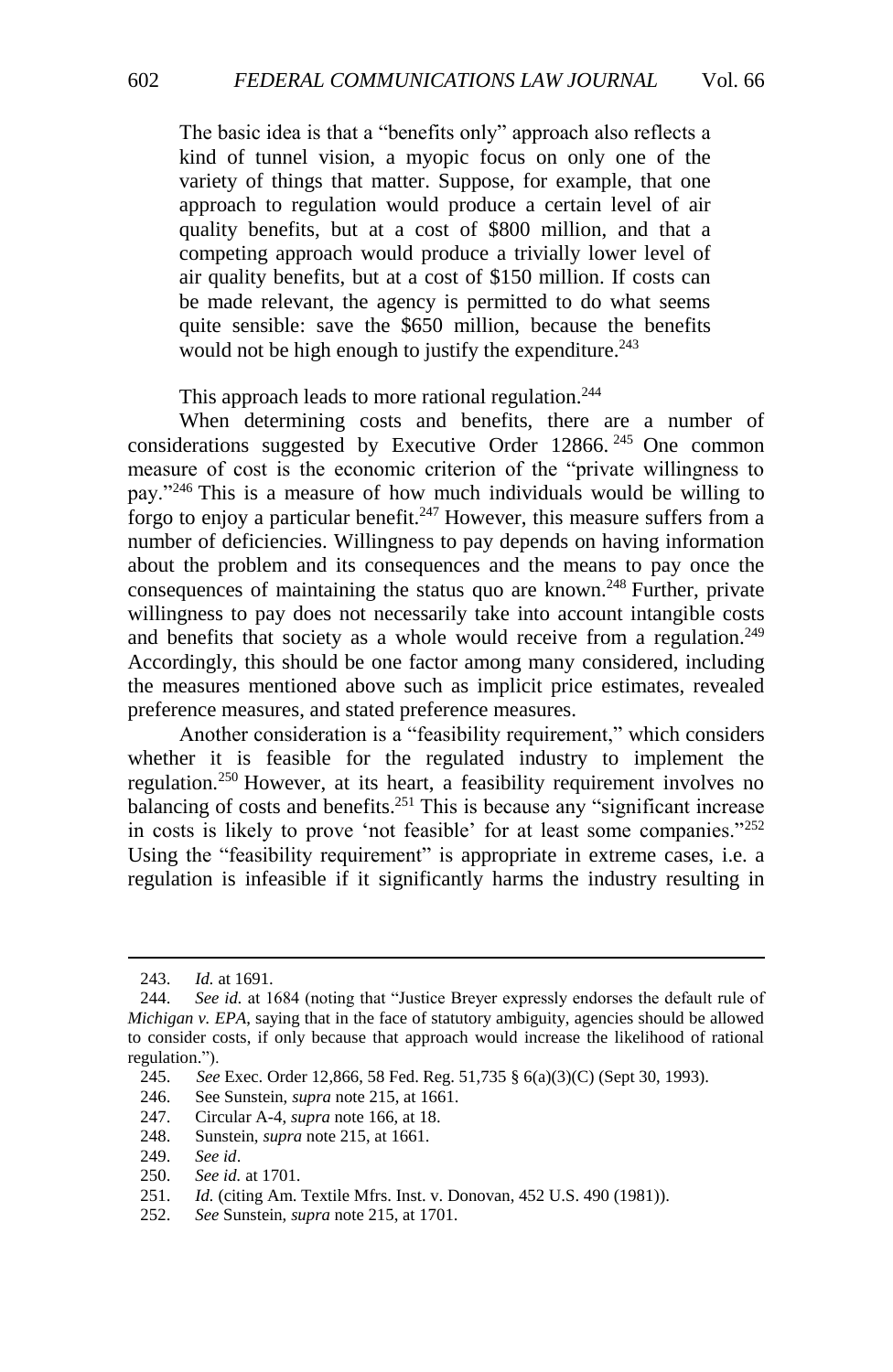The basic idea is that a "benefits only" approach also reflects a kind of tunnel vision, a myopic focus on only one of the variety of things that matter. Suppose, for example, that one approach to regulation would produce a certain level of air quality benefits, but at a cost of \$800 million, and that a competing approach would produce a trivially lower level of air quality benefits, but at a cost of \$150 million. If costs can be made relevant, the agency is permitted to do what seems quite sensible: save the \$650 million, because the benefits would not be high enough to justify the expenditure.<sup>243</sup>

This approach leads to more rational regulation.<sup>244</sup>

When determining costs and benefits, there are a number of considerations suggested by Executive Order 12866.<sup>245</sup> One common measure of cost is the economic criterion of the "private willingness to pay."<sup>246</sup> This is a measure of how much individuals would be willing to forgo to enjoy a particular benefit.<sup>247</sup> However, this measure suffers from a number of deficiencies. Willingness to pay depends on having information about the problem and its consequences and the means to pay once the consequences of maintaining the status quo are known.<sup>248</sup> Further, private willingness to pay does not necessarily take into account intangible costs and benefits that society as a whole would receive from a regulation.<sup>249</sup> Accordingly, this should be one factor among many considered, including the measures mentioned above such as implicit price estimates, revealed preference measures, and stated preference measures.

Another consideration is a "feasibility requirement," which considers whether it is feasible for the regulated industry to implement the regulation.<sup>250</sup> However, at its heart, a feasibility requirement involves no balancing of costs and benefits.<sup>251</sup> This is because any "significant increase in costs is likely to prove 'not feasible' for at least some companies."<sup>252</sup> Using the "feasibility requirement" is appropriate in extreme cases, *i.e.* a regulation is infeasible if it significantly harms the industry resulting in

<sup>243.</sup> *Id.* at 1691.

<sup>244.</sup> *See id.* at 1684 (noting that "Justice Breyer expressly endorses the default rule of *Michigan v. EPA*, saying that in the face of statutory ambiguity, agencies should be allowed to consider costs, if only because that approach would increase the likelihood of rational regulation.").

<sup>245.</sup> *See* Exec. Order 12,866, 58 Fed. Reg. 51,735 § 6(a)(3)(C) (Sept 30, 1993). 246. See Sunstein, *supra* note 215, at 1661.

See Sunstein, *supra* not[e 215,](#page-30-1) at 1661.

<sup>247.</sup> Circular A-4, *supra* note [166,](#page-23-2) at 18.

<sup>248.</sup> Sunstein, *supra* not[e 215,](#page-30-1) at 1661.

<sup>249.</sup> *See id*.

<sup>250.</sup> *See id.* at 1701.

<sup>251.</sup> *Id.* (citing Am. Textile Mfrs. Inst. v. Donovan, 452 U.S. 490 (1981)).

<sup>252.</sup> *See* Sunstein, *supra* note [215,](#page-30-1) at 1701.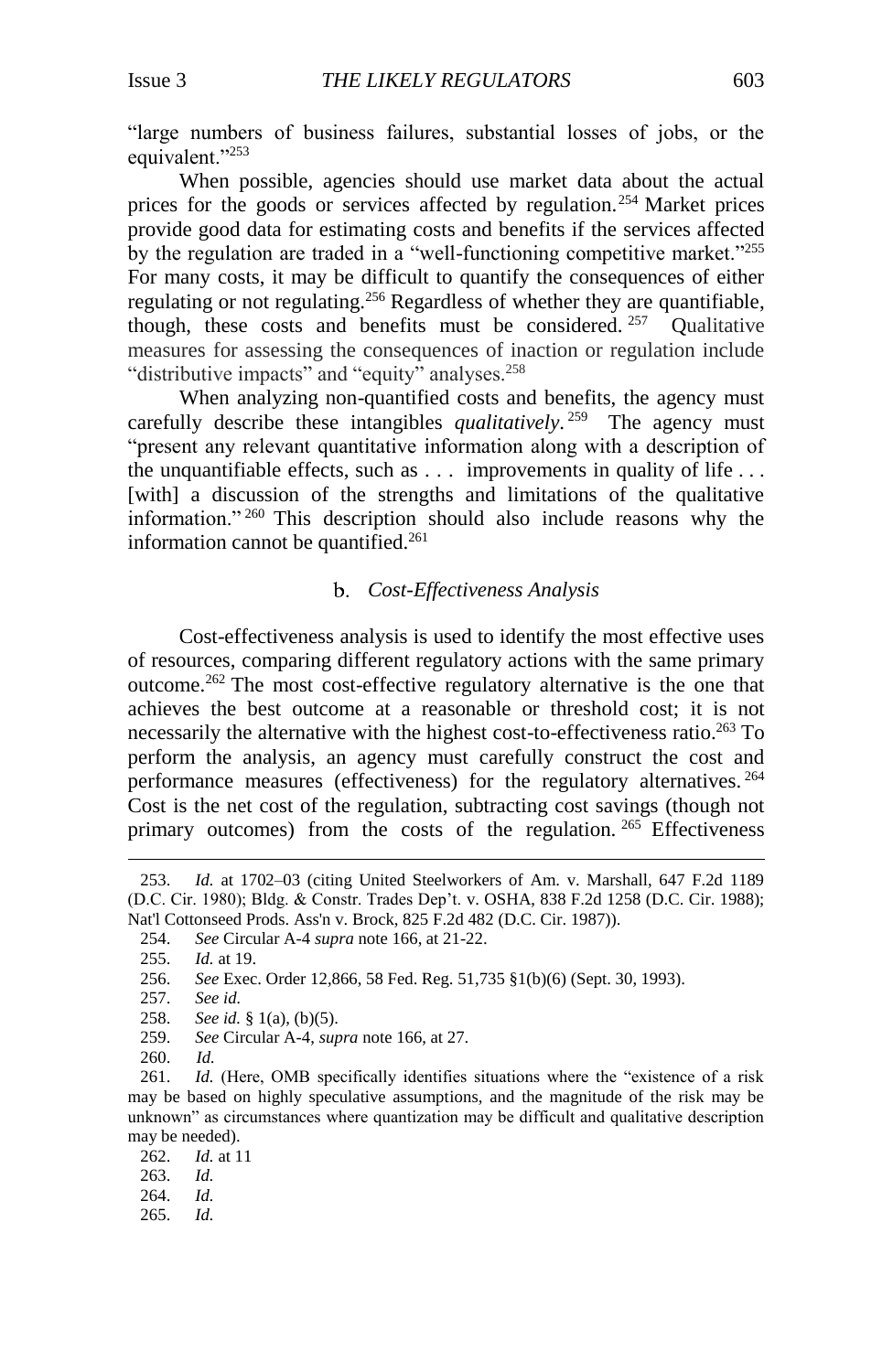"large numbers of business failures, substantial losses of jobs, or the equivalent."<sup>253</sup>

When possible, agencies should use market data about the actual prices for the goods or services affected by regulation.<sup>254</sup> Market prices provide good data for estimating costs and benefits if the services affected by the regulation are traded in a "well-functioning competitive market."<sup>255</sup> For many costs, it may be difficult to quantify the consequences of either regulating or not regulating.<sup>256</sup> Regardless of whether they are quantifiable, though, these costs and benefits must be considered. <sup>257</sup> **Oualitative** measures for assessing the consequences of inaction or regulation include "distributive impacts" and "equity" analyses.<sup>258</sup>

When analyzing non-quantified costs and benefits, the agency must carefully describe these intangibles *qualitatively*. 259 The agency must "present any relevant quantitative information along with a description of the unquantifiable effects, such as . . . improvements in quality of life . . . [with] a discussion of the strengths and limitations of the qualitative information." <sup>260</sup> This description should also include reasons why the information cannot be quantified.<sup>261</sup>

#### *Cost-Effectiveness Analysis*

Cost-effectiveness analysis is used to identify the most effective uses of resources, comparing different regulatory actions with the same primary outcome.<sup>262</sup> The most cost-effective regulatory alternative is the one that achieves the best outcome at a reasonable or threshold cost; it is not necessarily the alternative with the highest cost-to-effectiveness ratio.<sup>263</sup> To perform the analysis, an agency must carefully construct the cost and performance measures (effectiveness) for the regulatory alternatives. <sup>264</sup> Cost is the net cost of the regulation, subtracting cost savings (though not primary outcomes) from the costs of the regulation. <sup>265</sup> Effectiveness

257. *See id.*

- 259. *See* Circular A-4, *supra* note [166,](#page-23-2) at 27.
- 260. *Id.*

 $\overline{a}$ 

265. *Id.*

<sup>253.</sup> *Id.* at 1702–03 (citing United Steelworkers of Am. v. Marshall, 647 F.2d 1189 (D.C. Cir. 1980); Bldg. & Constr. Trades Dep't. v. OSHA, 838 F.2d 1258 (D.C. Cir. 1988); Nat'l Cottonseed Prods. Ass'n v. Brock, 825 F.2d 482 (D.C. Cir. 1987)).

<sup>254.</sup> *See* Circular A-4 *supra* not[e 166,](#page-23-2) at 21-22.

<sup>255.</sup> *Id.* at 19.

<sup>256.</sup> *See* Exec. Order 12,866, 58 Fed. Reg. 51,735 §1(b)(6) (Sept. 30, 1993).

<sup>258.</sup> *See id.* § 1(a), (b)(5).

<sup>261.</sup> *Id.* (Here, OMB specifically identifies situations where the "existence of a risk may be based on highly speculative assumptions, and the magnitude of the risk may be unknown" as circumstances where quantization may be difficult and qualitative description may be needed).

<sup>262.</sup> *Id.* at 11

<sup>263.</sup> *Id.*

<sup>264.</sup> *Id.*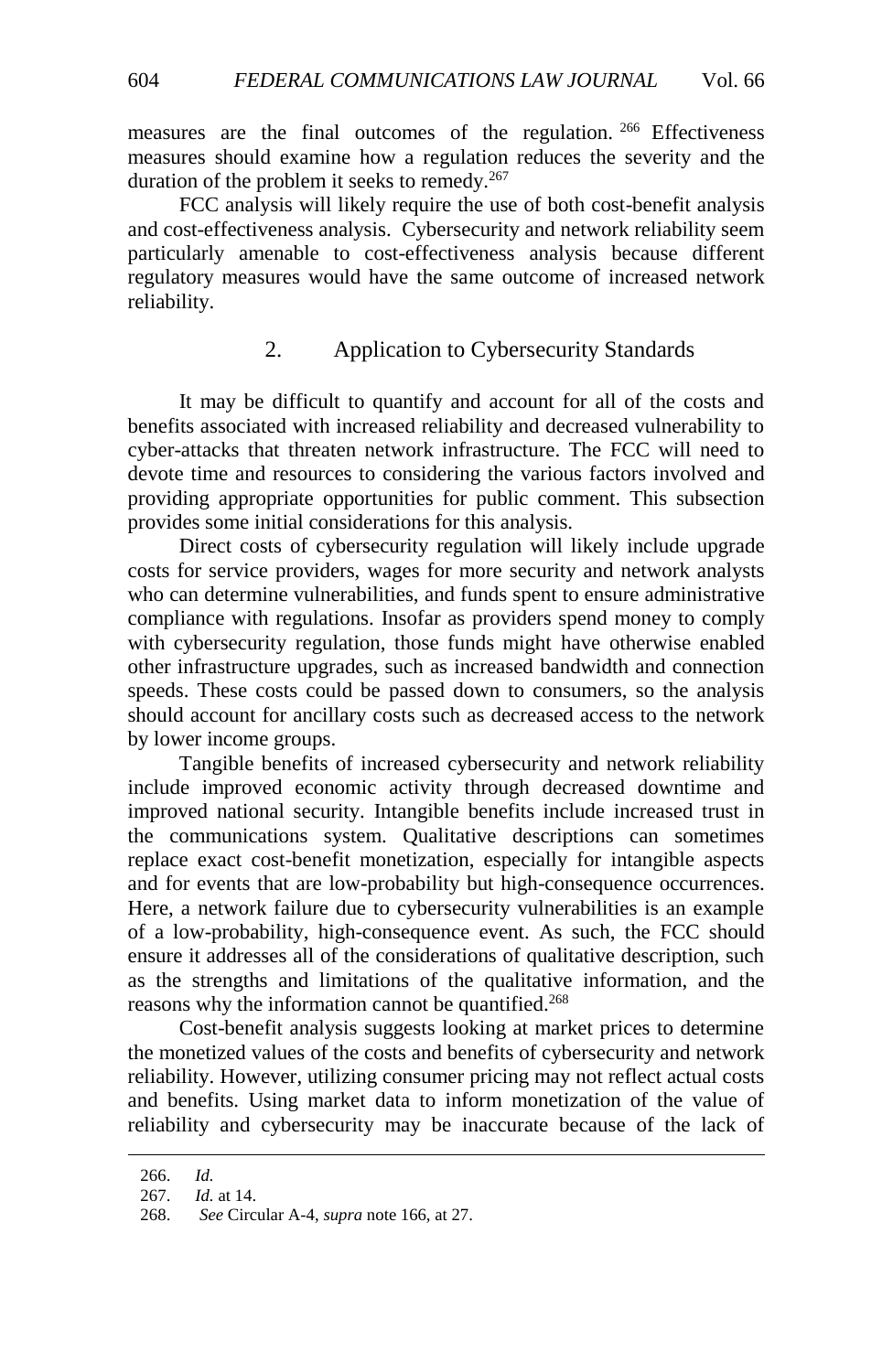measures are the final outcomes of the regulation.<sup>266</sup> Effectiveness measures should examine how a regulation reduces the severity and the duration of the problem it seeks to remedy. 267

FCC analysis will likely require the use of both cost-benefit analysis and cost-effectiveness analysis. Cybersecurity and network reliability seem particularly amenable to cost-effectiveness analysis because different regulatory measures would have the same outcome of increased network reliability.

## 2. Application to Cybersecurity Standards

<span id="page-37-0"></span>It may be difficult to quantify and account for all of the costs and benefits associated with increased reliability and decreased vulnerability to cyber-attacks that threaten network infrastructure. The FCC will need to devote time and resources to considering the various factors involved and providing appropriate opportunities for public comment. This subsection provides some initial considerations for this analysis.

Direct costs of cybersecurity regulation will likely include upgrade costs for service providers, wages for more security and network analysts who can determine vulnerabilities, and funds spent to ensure administrative compliance with regulations. Insofar as providers spend money to comply with cybersecurity regulation, those funds might have otherwise enabled other infrastructure upgrades, such as increased bandwidth and connection speeds. These costs could be passed down to consumers, so the analysis should account for ancillary costs such as decreased access to the network by lower income groups.

Tangible benefits of increased cybersecurity and network reliability include improved economic activity through decreased downtime and improved national security. Intangible benefits include increased trust in the communications system. Qualitative descriptions can sometimes replace exact cost-benefit monetization, especially for intangible aspects and for events that are low-probability but high-consequence occurrences. Here, a network failure due to cybersecurity vulnerabilities is an example of a low-probability, high-consequence event. As such, the FCC should ensure it addresses all of the considerations of qualitative description, such as the strengths and limitations of the qualitative information, and the reasons why the information cannot be quantified.<sup>268</sup>

Cost-benefit analysis suggests looking at market prices to determine the monetized values of the costs and benefits of cybersecurity and network reliability. However, utilizing consumer pricing may not reflect actual costs and benefits. Using market data to inform monetization of the value of reliability and cybersecurity may be inaccurate because of the lack of

<sup>266.</sup> *Id.*

<sup>267.</sup> *Id.* at 14.

<sup>268.</sup> *See* Circular A-4, *supra* not[e 166,](#page-23-2) at 27.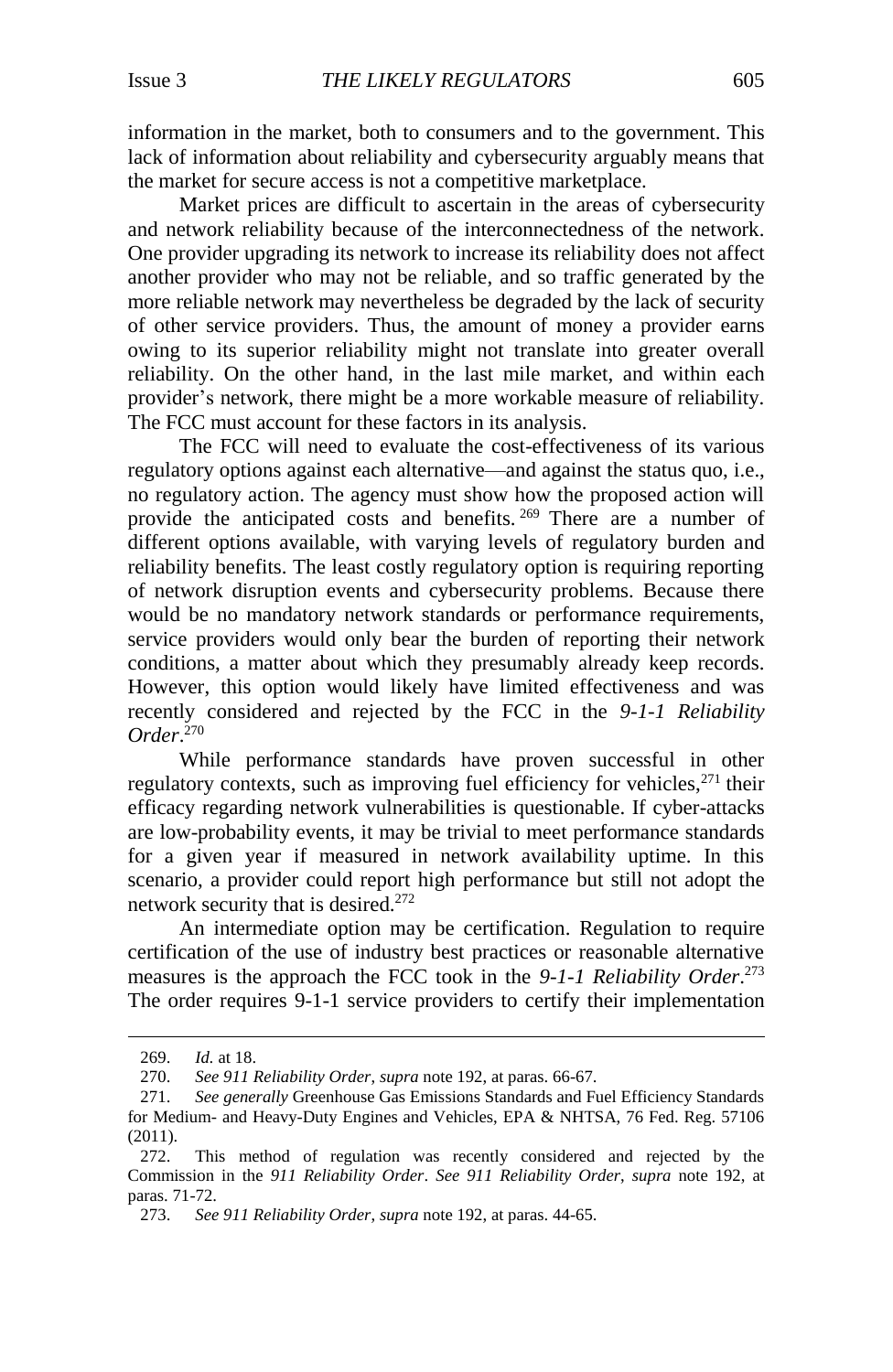information in the market, both to consumers and to the government. This lack of information about reliability and cybersecurity arguably means that the market for secure access is not a competitive marketplace.

Market prices are difficult to ascertain in the areas of cybersecurity and network reliability because of the interconnectedness of the network. One provider upgrading its network to increase its reliability does not affect another provider who may not be reliable, and so traffic generated by the more reliable network may nevertheless be degraded by the lack of security of other service providers. Thus, the amount of money a provider earns owing to its superior reliability might not translate into greater overall reliability. On the other hand, in the last mile market, and within each provider's network, there might be a more workable measure of reliability. The FCC must account for these factors in its analysis.

The FCC will need to evaluate the cost-effectiveness of its various regulatory options against each alternative—and against the status quo, i.e., no regulatory action. The agency must show how the proposed action will provide the anticipated costs and benefits. <sup>269</sup> There are a number of different options available, with varying levels of regulatory burden and reliability benefits. The least costly regulatory option is requiring reporting of network disruption events and cybersecurity problems. Because there would be no mandatory network standards or performance requirements, service providers would only bear the burden of reporting their network conditions, a matter about which they presumably already keep records. However, this option would likely have limited effectiveness and was recently considered and rejected by the FCC in the *9-1-1 Reliability Order*. 270

While performance standards have proven successful in other regulatory contexts, such as improving fuel efficiency for vehicles, $271$  their efficacy regarding network vulnerabilities is questionable. If cyber-attacks are low-probability events, it may be trivial to meet performance standards for a given year if measured in network availability uptime. In this scenario, a provider could report high performance but still not adopt the network security that is desired.<sup>272</sup>

An intermediate option may be certification. Regulation to require certification of the use of industry best practices or reasonable alternative measures is the approach the FCC took in the *9-1-1 Reliability Order*. 273 The order requires 9-1-1 service providers to certify their implementation

<sup>269.</sup> *Id.* at 18.

<sup>270.</sup> *See 911 Reliability Order*, *supra* not[e 192,](#page-26-1) at paras. 66-67.

<sup>271.</sup> *See generally* Greenhouse Gas Emissions Standards and Fuel Efficiency Standards for Medium- and Heavy-Duty Engines and Vehicles, EPA & NHTSA, 76 Fed. Reg. 57106 (2011).

<sup>272.</sup> This method of regulation was recently considered and rejected by the Commission in the *911 Reliability Order*. *See 911 Reliability Order*, *supra* note [192,](#page-26-1) at paras. 71-72.

<sup>273.</sup> *See 911 Reliability Order*, *supra* not[e 192,](#page-26-1) at paras. 44-65.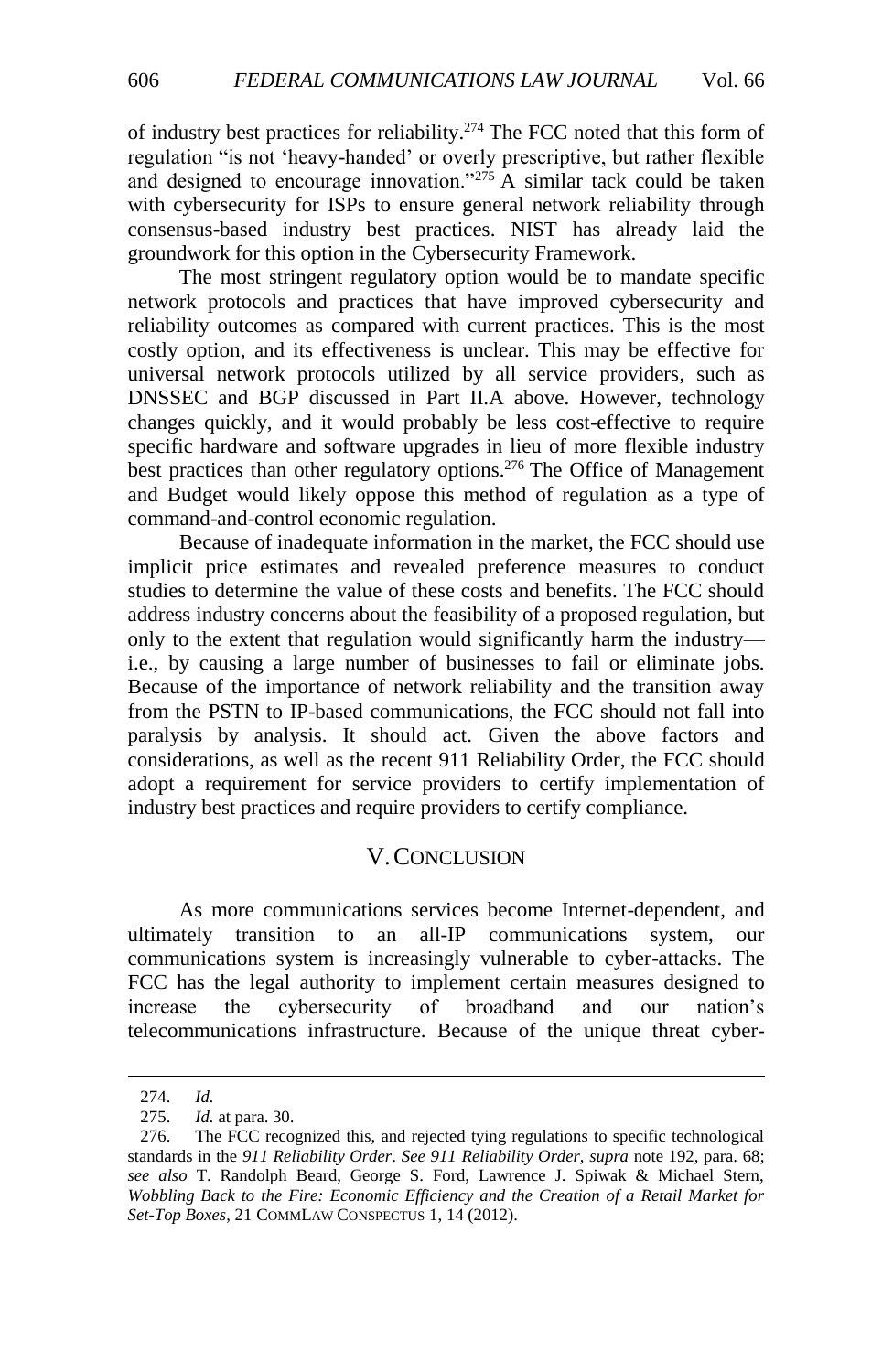of industry best practices for reliability. <sup>274</sup> The FCC noted that this form of regulation "is not 'heavy-handed' or overly prescriptive, but rather flexible and designed to encourage innovation."<sup>275</sup> A similar tack could be taken with cybersecurity for ISPs to ensure general network reliability through consensus-based industry best practices. NIST has already laid the groundwork for this option in the Cybersecurity Framework.

The most stringent regulatory option would be to mandate specific network protocols and practices that have improved cybersecurity and reliability outcomes as compared with current practices. This is the most costly option, and its effectiveness is unclear. This may be effective for universal network protocols utilized by all service providers, such as DNSSEC and BGP discussed in Part II.A above. However, technology changes quickly, and it would probably be less cost-effective to require specific hardware and software upgrades in lieu of more flexible industry best practices than other regulatory options.<sup>276</sup> The Office of Management and Budget would likely oppose this method of regulation as a type of command-and-control economic regulation.

Because of inadequate information in the market, the FCC should use implicit price estimates and revealed preference measures to conduct studies to determine the value of these costs and benefits. The FCC should address industry concerns about the feasibility of a proposed regulation, but only to the extent that regulation would significantly harm the industry i.e., by causing a large number of businesses to fail or eliminate jobs. Because of the importance of network reliability and the transition away from the PSTN to IP-based communications, the FCC should not fall into paralysis by analysis. It should act. Given the above factors and considerations, as well as the recent 911 Reliability Order, the FCC should adopt a requirement for service providers to certify implementation of industry best practices and require providers to certify compliance.

## V.CONCLUSION

<span id="page-39-0"></span>As more communications services become Internet-dependent, and ultimately transition to an all-IP communications system, our communications system is increasingly vulnerable to cyber-attacks. The FCC has the legal authority to implement certain measures designed to increase the cybersecurity of broadband and our nation's telecommunications infrastructure. Because of the unique threat cyber-

<sup>274.</sup> *Id.*

<sup>275.</sup> *Id.* at para. 30.

<sup>276.</sup> The FCC recognized this, and rejected tying regulations to specific technological standards in the *911 Reliability Order*. *See 911 Reliability Order*, *supra* not[e 192,](#page-26-1) para. 68; *see also* T. Randolph Beard, George S. Ford, Lawrence J. Spiwak & Michael Stern, *Wobbling Back to the Fire: Economic Efficiency and the Creation of a Retail Market for Set-Top Boxes*, 21 COMMLAW CONSPECTUS 1, 14 (2012).